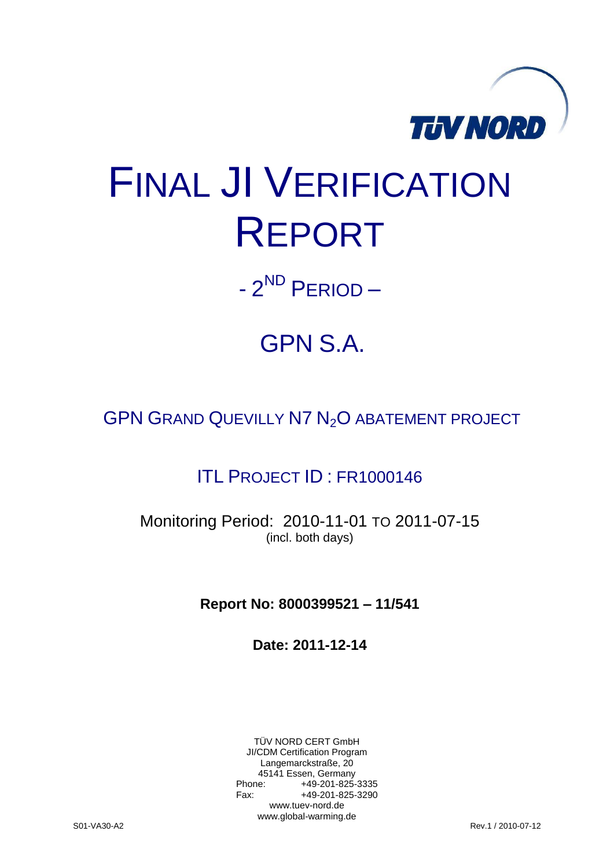

# FINAL JI VERIFICATION REPORT

- 2<sup>ND</sup> PERIOD –

## GPN S.A.

GPN GRAND QUEVILLY N7 N<sub>2</sub>O ABATEMENT PROJECT

### ITL PROJECT ID : FR1000146

Monitoring Period: 2010-11-01 TO 2011-07-15 (incl. both days)

**Report No: 8000399521 – 11/541**

**Date: 2011-12-14**

TÜV NORD CERT GmbH JI/CDM Certification Program Langemarckstraße, 20 45141 Essen, Germany<br>+49-201-825-49 +49-201-825-3335 Fax: +49-201-825-3290 www.tuev-nord.de www.global-warming.de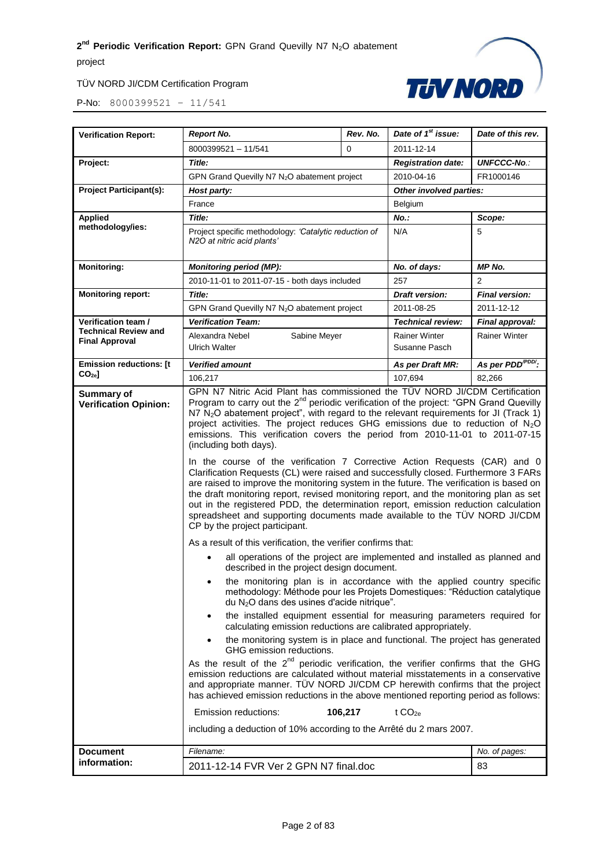#### TÜV NORD JI/CDM Certification Program



| <b>Verification Report:</b>                          | <b>Report No.</b>                                                                                                                                                                                                                                                                                                                                                                                                                                                                                                                                                                                                                                                                                                                                                                                                                                                                                                                                                                                                                                                                                                                                                                                                                                                                                                                                                                                                                                                                                                                                                                                                                                                                                                                                                                                                                                                                                                                                                                                                                                                                                                                                                                                                                 | Rev. No. | Date of 1 <sup>st</sup> issue:        | Date of this rev.           |
|------------------------------------------------------|-----------------------------------------------------------------------------------------------------------------------------------------------------------------------------------------------------------------------------------------------------------------------------------------------------------------------------------------------------------------------------------------------------------------------------------------------------------------------------------------------------------------------------------------------------------------------------------------------------------------------------------------------------------------------------------------------------------------------------------------------------------------------------------------------------------------------------------------------------------------------------------------------------------------------------------------------------------------------------------------------------------------------------------------------------------------------------------------------------------------------------------------------------------------------------------------------------------------------------------------------------------------------------------------------------------------------------------------------------------------------------------------------------------------------------------------------------------------------------------------------------------------------------------------------------------------------------------------------------------------------------------------------------------------------------------------------------------------------------------------------------------------------------------------------------------------------------------------------------------------------------------------------------------------------------------------------------------------------------------------------------------------------------------------------------------------------------------------------------------------------------------------------------------------------------------------------------------------------------------|----------|---------------------------------------|-----------------------------|
|                                                      | 8000399521 - 11/541<br>0                                                                                                                                                                                                                                                                                                                                                                                                                                                                                                                                                                                                                                                                                                                                                                                                                                                                                                                                                                                                                                                                                                                                                                                                                                                                                                                                                                                                                                                                                                                                                                                                                                                                                                                                                                                                                                                                                                                                                                                                                                                                                                                                                                                                          |          | 2011-12-14                            |                             |
| Project:                                             | Title:                                                                                                                                                                                                                                                                                                                                                                                                                                                                                                                                                                                                                                                                                                                                                                                                                                                                                                                                                                                                                                                                                                                                                                                                                                                                                                                                                                                                                                                                                                                                                                                                                                                                                                                                                                                                                                                                                                                                                                                                                                                                                                                                                                                                                            |          | <b>Registration date:</b>             | <b>UNFCCC-No.:</b>          |
|                                                      | GPN Grand Quevilly N7 N <sub>2</sub> O abatement project                                                                                                                                                                                                                                                                                                                                                                                                                                                                                                                                                                                                                                                                                                                                                                                                                                                                                                                                                                                                                                                                                                                                                                                                                                                                                                                                                                                                                                                                                                                                                                                                                                                                                                                                                                                                                                                                                                                                                                                                                                                                                                                                                                          |          | 2010-04-16                            | FR1000146                   |
| <b>Project Participant(s):</b>                       | Other involved parties:<br>Host party:                                                                                                                                                                                                                                                                                                                                                                                                                                                                                                                                                                                                                                                                                                                                                                                                                                                                                                                                                                                                                                                                                                                                                                                                                                                                                                                                                                                                                                                                                                                                                                                                                                                                                                                                                                                                                                                                                                                                                                                                                                                                                                                                                                                            |          |                                       |                             |
|                                                      | France<br>Belgium                                                                                                                                                                                                                                                                                                                                                                                                                                                                                                                                                                                                                                                                                                                                                                                                                                                                                                                                                                                                                                                                                                                                                                                                                                                                                                                                                                                                                                                                                                                                                                                                                                                                                                                                                                                                                                                                                                                                                                                                                                                                                                                                                                                                                 |          |                                       |                             |
| <b>Applied</b>                                       | Title:                                                                                                                                                                                                                                                                                                                                                                                                                                                                                                                                                                                                                                                                                                                                                                                                                                                                                                                                                                                                                                                                                                                                                                                                                                                                                                                                                                                                                                                                                                                                                                                                                                                                                                                                                                                                                                                                                                                                                                                                                                                                                                                                                                                                                            |          | No.:                                  | Scope:                      |
| methodology/ies:                                     | N/A<br>Project specific methodology: 'Catalytic reduction of<br>5<br>N2O at nitric acid plants'                                                                                                                                                                                                                                                                                                                                                                                                                                                                                                                                                                                                                                                                                                                                                                                                                                                                                                                                                                                                                                                                                                                                                                                                                                                                                                                                                                                                                                                                                                                                                                                                                                                                                                                                                                                                                                                                                                                                                                                                                                                                                                                                   |          |                                       |                             |
| <b>Monitoring:</b>                                   | <b>MP No.</b><br><b>Monitoring period (MP):</b><br>No. of days:                                                                                                                                                                                                                                                                                                                                                                                                                                                                                                                                                                                                                                                                                                                                                                                                                                                                                                                                                                                                                                                                                                                                                                                                                                                                                                                                                                                                                                                                                                                                                                                                                                                                                                                                                                                                                                                                                                                                                                                                                                                                                                                                                                   |          |                                       |                             |
|                                                      | 2010-11-01 to 2011-07-15 - both days included                                                                                                                                                                                                                                                                                                                                                                                                                                                                                                                                                                                                                                                                                                                                                                                                                                                                                                                                                                                                                                                                                                                                                                                                                                                                                                                                                                                                                                                                                                                                                                                                                                                                                                                                                                                                                                                                                                                                                                                                                                                                                                                                                                                     |          | 257                                   | 2                           |
| <b>Monitoring report:</b>                            | Title:                                                                                                                                                                                                                                                                                                                                                                                                                                                                                                                                                                                                                                                                                                                                                                                                                                                                                                                                                                                                                                                                                                                                                                                                                                                                                                                                                                                                                                                                                                                                                                                                                                                                                                                                                                                                                                                                                                                                                                                                                                                                                                                                                                                                                            |          | Draft version:                        | <b>Final version:</b>       |
|                                                      | GPN Grand Quevilly N7 N <sub>2</sub> O abatement project                                                                                                                                                                                                                                                                                                                                                                                                                                                                                                                                                                                                                                                                                                                                                                                                                                                                                                                                                                                                                                                                                                                                                                                                                                                                                                                                                                                                                                                                                                                                                                                                                                                                                                                                                                                                                                                                                                                                                                                                                                                                                                                                                                          |          | 2011-08-25                            | 2011-12-12                  |
| Verification team /                                  | <b>Verification Team:</b>                                                                                                                                                                                                                                                                                                                                                                                                                                                                                                                                                                                                                                                                                                                                                                                                                                                                                                                                                                                                                                                                                                                                                                                                                                                                                                                                                                                                                                                                                                                                                                                                                                                                                                                                                                                                                                                                                                                                                                                                                                                                                                                                                                                                         |          | <b>Technical review:</b>              | Final approval:             |
| <b>Technical Review and</b><br><b>Final Approval</b> | Alexandra Nebel<br>Sabine Meyer<br><b>Ulrich Walter</b>                                                                                                                                                                                                                                                                                                                                                                                                                                                                                                                                                                                                                                                                                                                                                                                                                                                                                                                                                                                                                                                                                                                                                                                                                                                                                                                                                                                                                                                                                                                                                                                                                                                                                                                                                                                                                                                                                                                                                                                                                                                                                                                                                                           |          | <b>Rainer Winter</b><br>Susanne Pasch | <b>Rainer Winter</b>        |
| <b>Emission reductions: [t</b>                       | <b>Verified amount</b>                                                                                                                                                                                                                                                                                                                                                                                                                                                                                                                                                                                                                                                                                                                                                                                                                                                                                                                                                                                                                                                                                                                                                                                                                                                                                                                                                                                                                                                                                                                                                                                                                                                                                                                                                                                                                                                                                                                                                                                                                                                                                                                                                                                                            |          | As per Draft MR:                      | As per PDD <sup>PDD</sup> : |
| CO <sub>2e</sub>                                     | 106,217                                                                                                                                                                                                                                                                                                                                                                                                                                                                                                                                                                                                                                                                                                                                                                                                                                                                                                                                                                                                                                                                                                                                                                                                                                                                                                                                                                                                                                                                                                                                                                                                                                                                                                                                                                                                                                                                                                                                                                                                                                                                                                                                                                                                                           |          | 107.694                               | 82,266                      |
| Summary of<br><b>Verification Opinion:</b>           | GPN N7 Nitric Acid Plant has commissioned the TÜV NORD JI/CDM Certification<br>Program to carry out the 2 <sup>nd</sup> periodic verification of the project: "GPN Grand Quevilly<br>N7 $N_2$ O abatement project", with regard to the relevant requirements for JI (Track 1)<br>project activities. The project reduces GHG emissions due to reduction of $N_2O$<br>emissions. This verification covers the period from 2010-11-01 to 2011-07-15<br>(including both days).<br>In the course of the verification 7 Corrective Action Requests (CAR) and 0<br>Clarification Requests (CL) were raised and successfully closed. Furthermore 3 FARs<br>are raised to improve the monitoring system in the future. The verification is based on<br>the draft monitoring report, revised monitoring report, and the monitoring plan as set<br>out in the registered PDD, the determination report, emission reduction calculation<br>spreadsheet and supporting documents made available to the TÜV NORD JI/CDM<br>CP by the project participant.<br>As a result of this verification, the verifier confirms that:<br>all operations of the project are implemented and installed as planned and<br>described in the project design document.<br>the monitoring plan is in accordance with the applied country specific<br>٠<br>methodology: Méthode pour les Projets Domestiques: "Réduction catalytique<br>du N <sub>2</sub> O dans des usines d'acide nitrique".<br>the installed equipment essential for measuring parameters required for<br>$\bullet$<br>calculating emission reductions are calibrated appropriately.<br>the monitoring system is in place and functional. The project has generated<br>$\bullet$<br>GHG emission reductions.<br>As the result of the $2^{nd}$ periodic verification, the verifier confirms that the GHG<br>emission reductions are calculated without material misstatements in a conservative<br>and appropriate manner. TUV NORD JI/CDM CP herewith confirms that the project<br>has achieved emission reductions in the above mentioned reporting period as follows:<br>Emission reductions:<br>106,217<br>t $CO2e$<br>including a deduction of 10% according to the Arrêté du 2 mars 2007. |          |                                       |                             |
| <b>Document</b>                                      | Filename:                                                                                                                                                                                                                                                                                                                                                                                                                                                                                                                                                                                                                                                                                                                                                                                                                                                                                                                                                                                                                                                                                                                                                                                                                                                                                                                                                                                                                                                                                                                                                                                                                                                                                                                                                                                                                                                                                                                                                                                                                                                                                                                                                                                                                         |          |                                       | No. of pages:               |
| information:                                         |                                                                                                                                                                                                                                                                                                                                                                                                                                                                                                                                                                                                                                                                                                                                                                                                                                                                                                                                                                                                                                                                                                                                                                                                                                                                                                                                                                                                                                                                                                                                                                                                                                                                                                                                                                                                                                                                                                                                                                                                                                                                                                                                                                                                                                   |          |                                       | 83                          |
|                                                      | 2011-12-14 FVR Ver 2 GPN N7 final.doc                                                                                                                                                                                                                                                                                                                                                                                                                                                                                                                                                                                                                                                                                                                                                                                                                                                                                                                                                                                                                                                                                                                                                                                                                                                                                                                                                                                                                                                                                                                                                                                                                                                                                                                                                                                                                                                                                                                                                                                                                                                                                                                                                                                             |          |                                       |                             |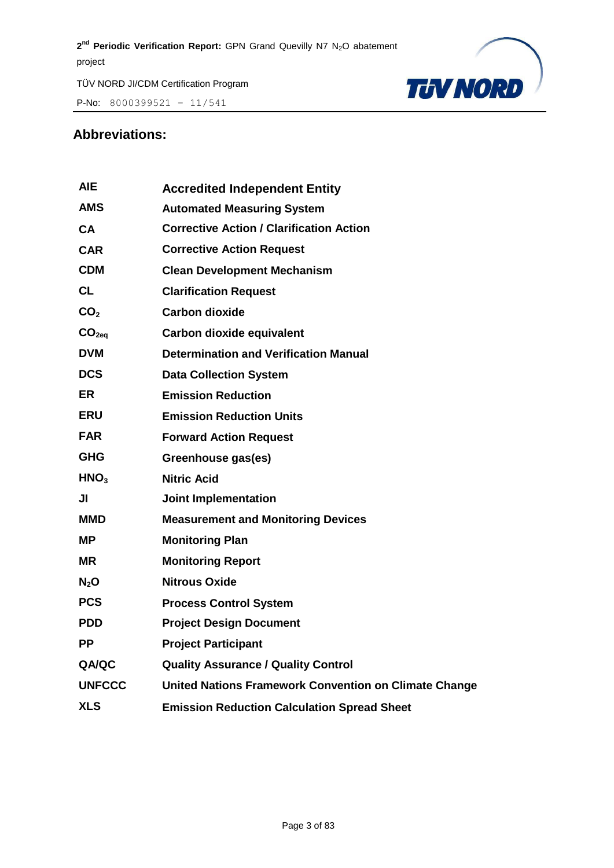P-No:  $8000399521 - 11/541$ 



#### **Abbreviations:**

| <b>AIE</b>        | <b>Accredited Independent Entity</b>                         |
|-------------------|--------------------------------------------------------------|
| <b>AMS</b>        | <b>Automated Measuring System</b>                            |
| <b>CA</b>         | <b>Corrective Action / Clarification Action</b>              |
| <b>CAR</b>        | <b>Corrective Action Request</b>                             |
| <b>CDM</b>        | <b>Clean Development Mechanism</b>                           |
| <b>CL</b>         | <b>Clarification Request</b>                                 |
| CO <sub>2</sub>   | <b>Carbon dioxide</b>                                        |
| CO <sub>2eq</sub> | Carbon dioxide equivalent                                    |
| <b>DVM</b>        | <b>Determination and Verification Manual</b>                 |
| <b>DCS</b>        | <b>Data Collection System</b>                                |
| <b>ER</b>         | <b>Emission Reduction</b>                                    |
| <b>ERU</b>        | <b>Emission Reduction Units</b>                              |
| <b>FAR</b>        | <b>Forward Action Request</b>                                |
| <b>GHG</b>        | Greenhouse gas(es)                                           |
| HNO <sub>3</sub>  | <b>Nitric Acid</b>                                           |
| JI                | <b>Joint Implementation</b>                                  |
| MMD               | <b>Measurement and Monitoring Devices</b>                    |
| <b>MP</b>         | <b>Monitoring Plan</b>                                       |
| <b>MR</b>         | <b>Monitoring Report</b>                                     |
| N <sub>2</sub> O  | <b>Nitrous Oxide</b>                                         |
| <b>PCS</b>        | <b>Process Control System</b>                                |
| <b>PDD</b>        | <b>Project Design Document</b>                               |
| PP.               | <b>Project Participant</b>                                   |
| <b>QA/QC</b>      | <b>Quality Assurance / Quality Control</b>                   |
| <b>UNFCCC</b>     | <b>United Nations Framework Convention on Climate Change</b> |
| <b>XLS</b>        | <b>Emission Reduction Calculation Spread Sheet</b>           |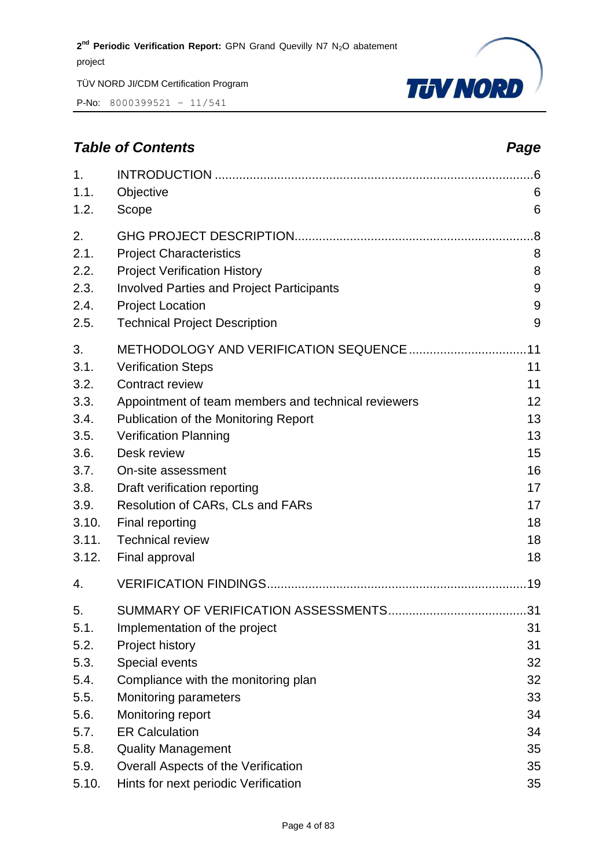P-No: 8000399521 – 11/541



#### *Table of Contents Page*

| 1.<br>1.1.<br>1.2.   | Objective<br>Scope                                                                                                  | .6<br>6<br>6 |
|----------------------|---------------------------------------------------------------------------------------------------------------------|--------------|
| 2.<br>2.1.<br>2.2.   | <b>Project Characteristics</b><br><b>Project Verification History</b>                                               | .8<br>8<br>8 |
| 2.3.<br>2.4.<br>2.5. | <b>Involved Parties and Project Participants</b><br><b>Project Location</b><br><b>Technical Project Description</b> | 9<br>9<br>9  |
| 3.                   |                                                                                                                     | .11          |
| 3.1.                 | <b>Verification Steps</b>                                                                                           | 11           |
| 3.2.                 | <b>Contract review</b>                                                                                              | 11           |
| 3.3.<br>3.4.         | Appointment of team members and technical reviewers<br>Publication of the Monitoring Report                         | 12<br>13     |
| 3.5.                 | <b>Verification Planning</b>                                                                                        | 13           |
| 3.6.                 | Desk review                                                                                                         | 15           |
| 3.7.                 | On-site assessment                                                                                                  | 16           |
| 3.8.                 | Draft verification reporting                                                                                        | 17           |
| 3.9.                 | Resolution of CARs, CLs and FARs                                                                                    | 17           |
| 3.10.                | Final reporting                                                                                                     | 18           |
| 3.11.                | <b>Technical review</b>                                                                                             | 18           |
| 3.12.                | Final approval                                                                                                      | 18           |
| 4.                   |                                                                                                                     |              |
| 5.                   |                                                                                                                     | .31          |
| 5.1.                 | Implementation of the project                                                                                       | 31           |
| 5.2.                 | Project history                                                                                                     | 31           |
| 5.3.                 | Special events                                                                                                      | 32           |
| 5.4.                 | Compliance with the monitoring plan                                                                                 | 32           |
| 5.5.                 | <b>Monitoring parameters</b>                                                                                        | 33           |
| 5.6.                 | Monitoring report                                                                                                   | 34           |
| 5.7.                 | <b>ER Calculation</b>                                                                                               | 34           |
| 5.8.                 | <b>Quality Management</b>                                                                                           | 35           |
| 5.9.                 | Overall Aspects of the Verification                                                                                 | 35           |
| 5.10.                | Hints for next periodic Verification                                                                                | 35           |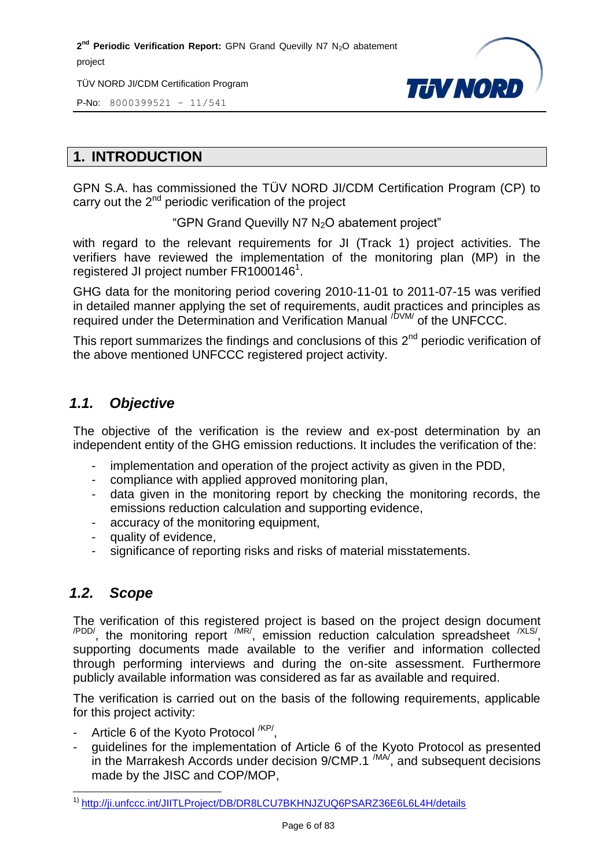TÜV NORD JI/CDM Certification Program



P-No: 8000399521 – 11/541

#### <span id="page-5-0"></span>**1. INTRODUCTION**

GPN S.A. has commissioned the TÜV NORD JI/CDM Certification Program (CP) to carry out the 2<sup>nd</sup> periodic verification of the project

"GPN Grand Quevilly N7 N<sub>2</sub>O abatement project"

with regard to the relevant requirements for JI (Track 1) project activities. The verifiers have reviewed the implementation of the monitoring plan (MP) in the registered JI project number FR1000146<sup>1</sup>.

GHG data for the monitoring period covering 2010-11-01 to 2011-07-15 was verified in detailed manner applying the set of requirements, audit practices and principles as required under the Determination and Verification Manual <sup>/DVM/</sup> of the UNFCCC.

This report summarizes the findings and conclusions of this  $2^{nd}$  periodic verification of the above mentioned UNFCCC registered project activity.

#### <span id="page-5-1"></span>*1.1. Objective*

The objective of the verification is the review and ex-post determination by an independent entity of the GHG emission reductions. It includes the verification of the:

- implementation and operation of the project activity as given in the PDD,
- compliance with applied approved monitoring plan,
- data given in the monitoring report by checking the monitoring records, the emissions reduction calculation and supporting evidence,
- accuracy of the monitoring equipment,
- quality of evidence,
- significance of reporting risks and risks of material misstatements.

#### <span id="page-5-2"></span>*1.2. Scope*

The verification of this registered project is based on the project design document  $\mu_{\text{PDD}}$ , the monitoring report  $\mu_{\text{IR}}$ , emission reduction calculation spreadsheet  $\mu_{\text{SND}}$ supporting documents made available to the verifier and information collected through performing interviews and during the on-site assessment. Furthermore publicly available information was considered as far as available and required.

The verification is carried out on the basis of the following requirements, applicable for this project activity:

- Article 6 of the Kyoto Protocol <sup>/KP/</sup>,
- guidelines for the implementation of Article 6 of the Kyoto Protocol as presented in the Marrakesh Accords under decision  $9/CMP.1^{/MA}$ , and subsequent decisions made by the JISC and COP/MOP,

 $\overline{a}$ <sup>1)</sup> <http://ji.unfccc.int/JIITLProject/DB/DR8LCU7BKHNJZUQ6PSARZ36E6L6L4H/details>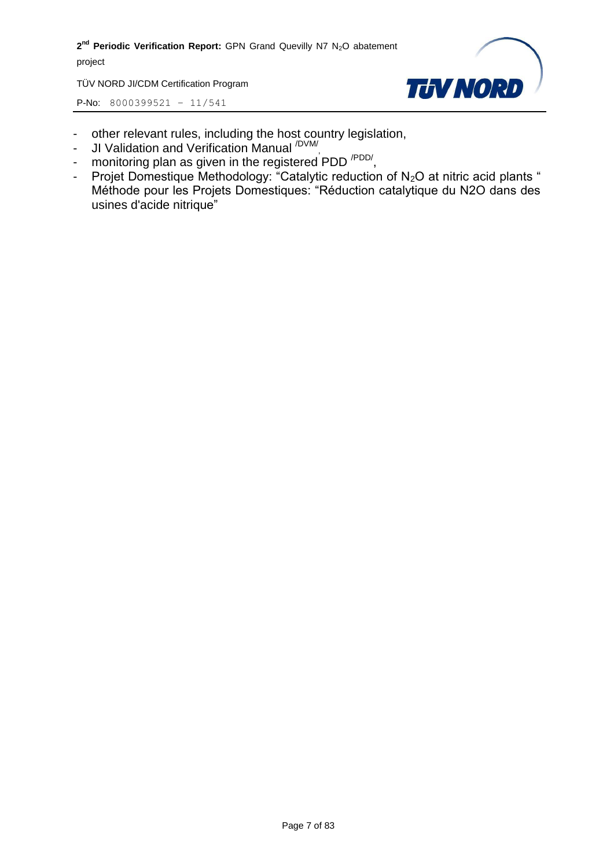TÜV NORD JI/CDM Certification Program



- other relevant rules, including the host country legislation,
- JI Validation and Verification Manual <sup>/DVM/</sup>,
- monitoring plan as given in the registered PDD<sup>/PDD/</sup>,
- Projet Domestique Methodology: "Catalytic reduction of  $N_2O$  at nitric acid plants " Méthode pour les Projets Domestiques: "Réduction catalytique du N2O dans des usines d'acide nitrique"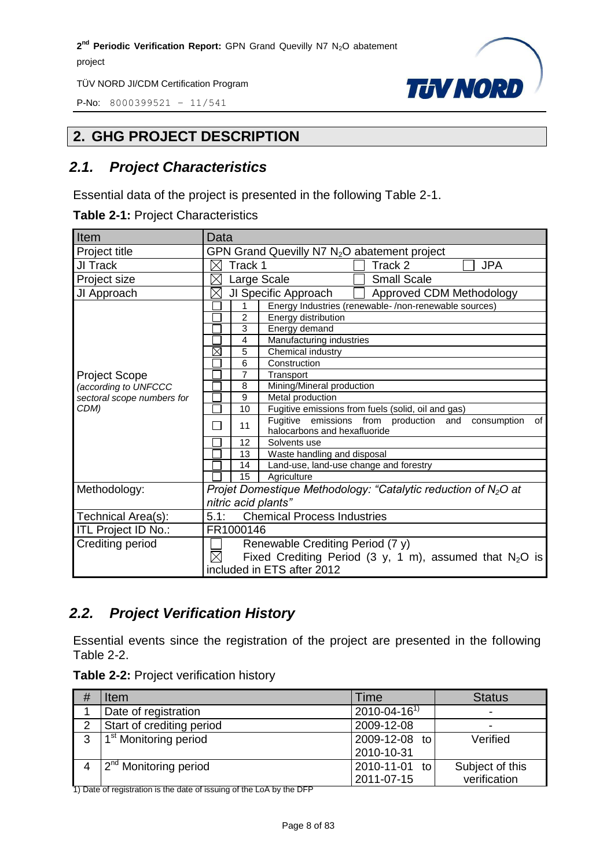P-No: 8000399521 – 11/541



#### <span id="page-7-0"></span>**2. GHG PROJECT DESCRIPTION**

#### <span id="page-7-1"></span>*2.1. Project Characteristics*

Essential data of the project is presented in the following Table 2-1.

| Item                                                                       | Data                                                         |                                                                   |  |  |
|----------------------------------------------------------------------------|--------------------------------------------------------------|-------------------------------------------------------------------|--|--|
| Project title                                                              | GPN Grand Quevilly N7 N <sub>2</sub> O abatement project     |                                                                   |  |  |
| JI Track                                                                   | Track 1<br>Track 2<br><b>JPA</b><br>$\bowtie$                |                                                                   |  |  |
| Project size                                                               |                                                              | <b>Small Scale</b><br>Large Scale                                 |  |  |
| JI Approach                                                                | Approved CDM Methodology<br>$\times$<br>JI Specific Approach |                                                                   |  |  |
|                                                                            |                                                              | Energy Industries (renewable-/non-renewable sources)<br>1         |  |  |
|                                                                            | 2                                                            | Energy distribution                                               |  |  |
|                                                                            | 3                                                            | Energy demand                                                     |  |  |
|                                                                            | 4                                                            | Manufacturing industries                                          |  |  |
|                                                                            | $\boxtimes$                                                  | 5<br>Chemical industry                                            |  |  |
|                                                                            |                                                              | 6<br>Construction                                                 |  |  |
| <b>Project Scope</b><br>(according to UNFCCC<br>sectoral scope numbers for | 7                                                            | Transport                                                         |  |  |
|                                                                            |                                                              | Mining/Mineral production<br>8                                    |  |  |
|                                                                            |                                                              | 9<br>Metal production                                             |  |  |
| CDM)                                                                       | 10                                                           | Fugitive emissions from fuels (solid, oil and gas)                |  |  |
|                                                                            |                                                              | Fugitive emissions from production and<br>consumption<br>οf<br>11 |  |  |
|                                                                            |                                                              | halocarbons and hexafluoride                                      |  |  |
|                                                                            |                                                              | 12<br>Solvents use                                                |  |  |
|                                                                            | 13                                                           | Waste handling and disposal                                       |  |  |
|                                                                            | 14                                                           | Land-use, land-use change and forestry                            |  |  |
|                                                                            | 15                                                           | Agriculture                                                       |  |  |
| Methodology:                                                               |                                                              | Projet Domestique Methodology: "Catalytic reduction of $N_2O$ at  |  |  |
|                                                                            |                                                              | nitric acid plants"                                               |  |  |
| Technical Area(s):                                                         | 5.1:<br><b>Chemical Process Industries</b>                   |                                                                   |  |  |
| ITL Project ID No.:                                                        | FR1000146                                                    |                                                                   |  |  |
| Crediting period                                                           |                                                              | Renewable Crediting Period (7 y)                                  |  |  |
|                                                                            | $\boxtimes$                                                  | Fixed Crediting Period (3 y, 1 m), assumed that $N_2O$ is         |  |  |
|                                                                            |                                                              | included in ETS after 2012                                        |  |  |

#### <span id="page-7-2"></span>*2.2. Project Verification History*

Essential events since the registration of the project are presented in the following Table 2-2.

| Table 2-2: Project verification history |  |  |  |  |
|-----------------------------------------|--|--|--|--|
|-----------------------------------------|--|--|--|--|

| # | Item                              | Time                 | <b>Status</b>   |
|---|-----------------------------------|----------------------|-----------------|
|   | Date of registration              | $2010 - 04 - 16^{1}$ | -               |
| 2 | Start of crediting period         | 2009-12-08           | ۰               |
| 3 | 1 <sup>st</sup> Monitoring period | 2009-12-08 to        | Verified        |
|   |                                   | 2010-10-31           |                 |
|   | 2 <sup>nd</sup> Monitoring period | 2010-11-01 to        | Subject of this |
|   |                                   | 2011-07-15           | verification    |

1) Date of registration is the date of issuing of the LoA by the DFP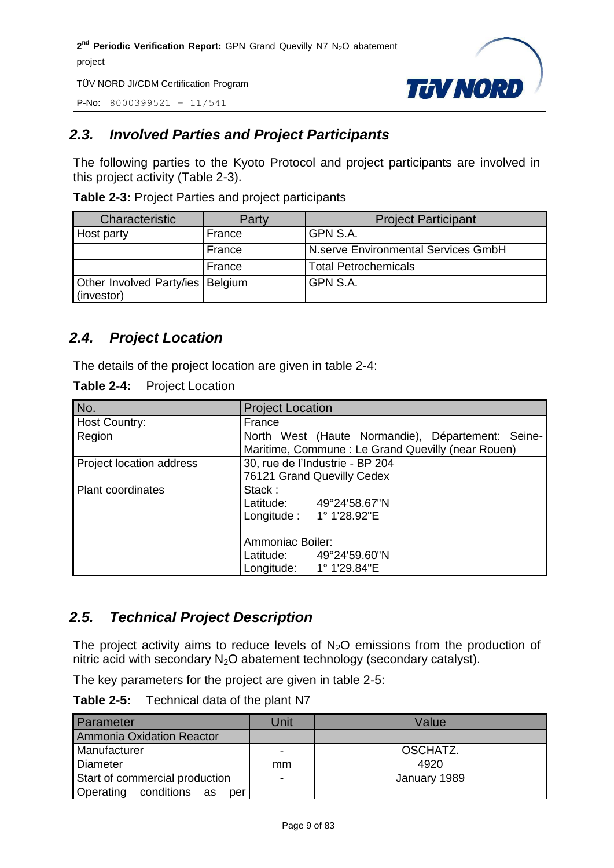P-No: 8000399521 – 11/541



#### <span id="page-8-0"></span>*2.3. Involved Parties and Project Participants*

The following parties to the Kyoto Protocol and project participants are involved in this project activity (Table 2-3).

| Characteristic                                   | Party  | <b>Project Participant</b>          |
|--------------------------------------------------|--------|-------------------------------------|
| Host party                                       | France | GPN S.A.                            |
|                                                  | France | N.serve Environmental Services GmbH |
|                                                  | France | <b>Total Petrochemicals</b>         |
| Other Involved Party/ies   Belgium<br>(investor) |        | GPN S.A.                            |

**Table 2-3:** Project Parties and project participants

#### <span id="page-8-1"></span>*2.4. Project Location*

The details of the project location are given in table 2-4:

| Table 2-4:<br><b>Project Location</b> |
|---------------------------------------|
|---------------------------------------|

| No.                      | <b>Project Location</b>                           |  |  |
|--------------------------|---------------------------------------------------|--|--|
|                          |                                                   |  |  |
| <b>Host Country:</b>     | France                                            |  |  |
| Region                   | North West (Haute Normandie), Département: Seine- |  |  |
|                          | Maritime, Commune: Le Grand Quevilly (near Rouen) |  |  |
| Project location address | 30, rue de l'Industrie - BP 204                   |  |  |
|                          | 76121 Grand Quevilly Cedex                        |  |  |
| <b>Plant coordinates</b> | Stack:                                            |  |  |
|                          | Latitude: 49°24'58.67"N                           |  |  |
|                          | Longitude: 1° 1'28.92"E                           |  |  |
|                          | <b>Ammoniac Boiler:</b>                           |  |  |
|                          | Latitude: 49°24'59.60"N                           |  |  |
|                          | Longitude: 1° 1'29.84"E                           |  |  |

#### <span id="page-8-2"></span>*2.5. Technical Project Description*

The project activity aims to reduce levels of  $N_2O$  emissions from the production of nitric acid with secondary  $N_2O$  abatement technology (secondary catalyst).

The key parameters for the project are given in table 2-5:

**Table 2-5:** Technical data of the plant N7

| Parameter                      | Unit | Value        |
|--------------------------------|------|--------------|
| Ammonia Oxidation Reactor      |      |              |
| Manufacturer                   |      | OSCHATZ.     |
| Diameter                       | mm   | 4920         |
| Start of commercial production | -    | January 1989 |
| Operating conditions as<br>per |      |              |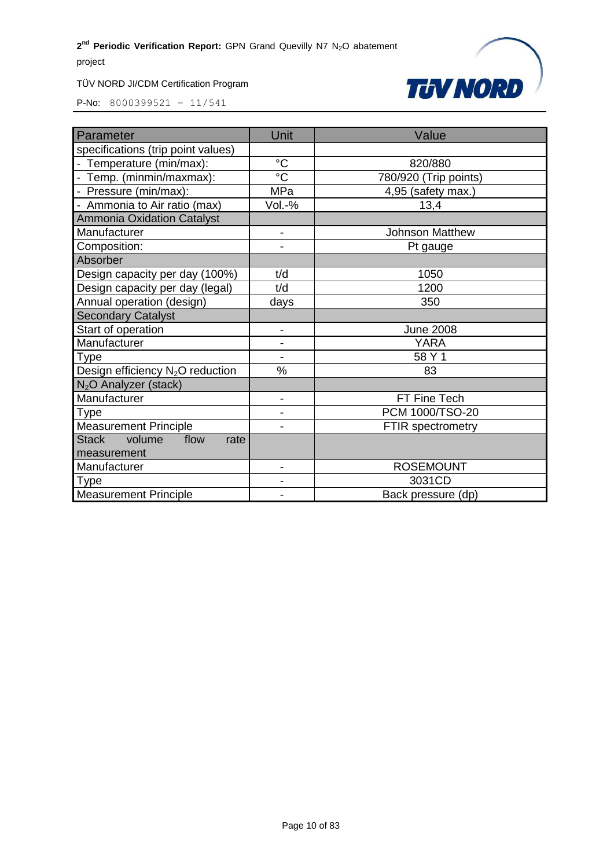

| Parameter                                    | Unit            | Value                    |
|----------------------------------------------|-----------------|--------------------------|
| specifications (trip point values)           |                 |                          |
| - Temperature (min/max):                     | $\rm ^{\circ}C$ | 820/880                  |
| - Temp. (minmin/maxmax):                     | $\overline{c}$  | 780/920 (Trip points)    |
| - Pressure (min/max):                        | <b>MPa</b>      | 4,95 (safety max.)       |
| - Ammonia to Air ratio (max)                 | Vol.-%          | 13,4                     |
| <b>Ammonia Oxidation Catalyst</b>            |                 |                          |
| Manufacturer                                 | $\blacksquare$  | <b>Johnson Matthew</b>   |
| Composition:                                 |                 | Pt gauge                 |
| Absorber                                     |                 |                          |
| Design capacity per day (100%)               | t/d             | 1050                     |
| Design capacity per day (legal)              | t/d             | 1200                     |
| Annual operation (design)                    | days            | 350                      |
| <b>Secondary Catalyst</b>                    |                 |                          |
| Start of operation                           | $\overline{a}$  | <b>June 2008</b>         |
| Manufacturer                                 | $\overline{a}$  | <b>YARA</b>              |
| Type                                         |                 | 58 Y 1                   |
| Design efficiency N <sub>2</sub> O reduction | $\%$            | 83                       |
| N <sub>2</sub> O Analyzer (stack)            |                 |                          |
| Manufacturer                                 | $\blacksquare$  | FT Fine Tech             |
| Type                                         |                 | PCM 1000/TSO-20          |
| <b>Measurement Principle</b>                 |                 | <b>FTIR</b> spectrometry |
| <b>Stack</b><br>volume<br>flow<br>rate       |                 |                          |
| measurement                                  |                 |                          |
| Manufacturer                                 | $\overline{a}$  | <b>ROSEMOUNT</b>         |
| Type                                         |                 | 3031CD                   |
| <b>Measurement Principle</b>                 |                 | Back pressure (dp)       |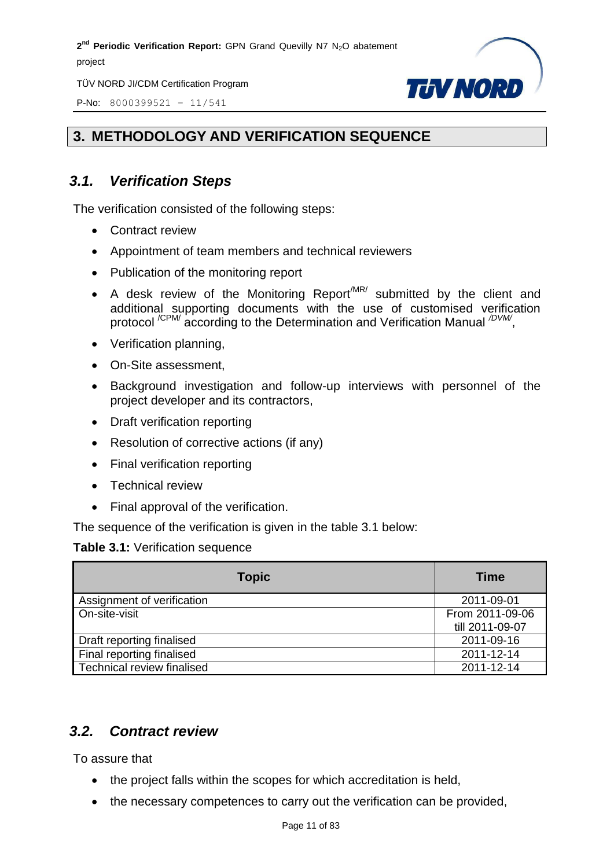TÜV NORD JI/CDM Certification Program

P-No: 8000399521 – 11/541



#### <span id="page-10-0"></span>**3. METHODOLOGY AND VERIFICATION SEQUENCE**

#### <span id="page-10-1"></span>*3.1. Verification Steps*

The verification consisted of the following steps:

- Contract review
- Appointment of team members and technical reviewers
- Publication of the monitoring report
- A desk review of the Monitoring Report<sup> $MR/$ </sup> submitted by the client and additional supporting documents with the use of customised verification protocol<sup>/CPM/</sup> according to the Determination and Verification Manual <sup>/DVM/</sup>,
- Verification planning,
- On-Site assessment,
- Background investigation and follow-up interviews with personnel of the project developer and its contractors,
- Draft verification reporting
- Resolution of corrective actions (if any)
- Final verification reporting
- Technical review
- Final approval of the verification.

The sequence of the verification is given in the table 3.1 below:

#### **Table 3.1:** Verification sequence

| <b>Topic</b>               | <b>Time</b>     |
|----------------------------|-----------------|
| Assignment of verification | 2011-09-01      |
| On-site-visit              | From 2011-09-06 |
|                            | till 2011-09-07 |
| Draft reporting finalised  | 2011-09-16      |
| Final reporting finalised  | 2011-12-14      |
| Technical review finalised | 2011-12-14      |

#### <span id="page-10-2"></span>*3.2. Contract review*

To assure that

- the project falls within the scopes for which accreditation is held,
- the necessary competences to carry out the verification can be provided,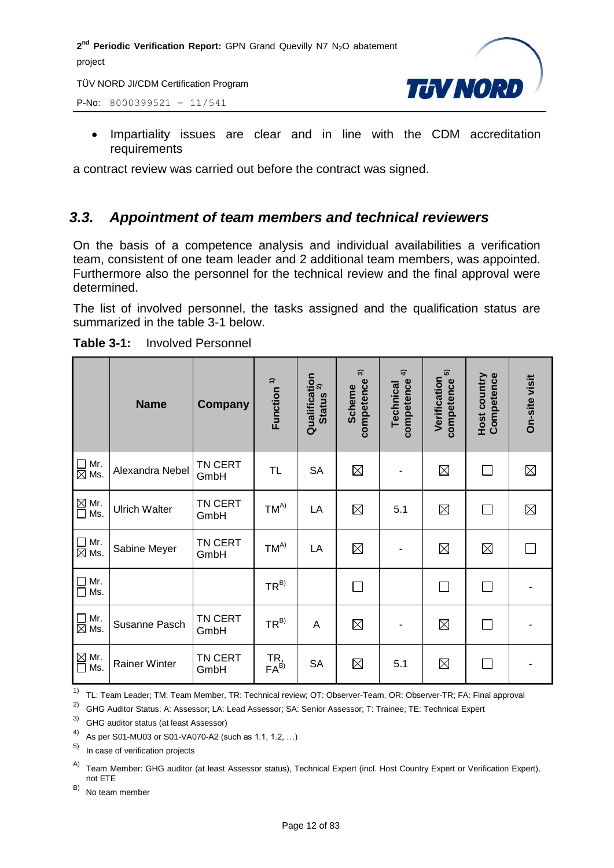TÜV NORD JI/CDM Certification Program

P-No: 8000399521 – 11/541



• Impartiality issues are clear and in line with the CDM accreditation requirements

a contract review was carried out before the contract was signed.

#### <span id="page-11-0"></span>*3.3. Appointment of team members and technical reviewers*

On the basis of a competence analysis and individual availabilities a verification team, consistent of one team leader and 2 additional team members, was appointed. Furthermore also the personnel for the technical review and the final approval were determined.

The list of involved personnel, the tasks assigned and the qualification status are summarized in the table 3-1 below.

|                                             | <b>Name</b>          | Company         | Function <sup>1)</sup>  | Qualification<br>Ctature <sup>2)</sup><br><b>Status</b> | $\widehat{\mathcal{E}}$<br>competence<br><b>Scheme</b> | $\hat{+}$<br>competence<br><b>Technical</b> | $\widehat{\mathfrak{g}}$<br>Verification<br>competence | Host country<br>Competence | On-site visit |
|---------------------------------------------|----------------------|-----------------|-------------------------|---------------------------------------------------------|--------------------------------------------------------|---------------------------------------------|--------------------------------------------------------|----------------------------|---------------|
| $\Box$<br>Mr.<br>$\overline{\boxtimes}$ Ms. | Alexandra Nebel      | TN CERT<br>GmbH | TL                      | <b>SA</b>                                               | $\boxtimes$                                            |                                             | $\boxtimes$                                            | $\Box$                     | $\boxtimes$   |
| $\overline{\text{M}}$ Mr.<br>$\Box$ Ms.     | <b>Ulrich Walter</b> | TN CERT<br>GmbH | $TM^{A)}$               | LA                                                      | $\boxtimes$                                            | 5.1                                         | $\boxtimes$                                            | П                          | $\boxtimes$   |
| $\Box$ Mr.<br>$\overline{\boxtimes}$ Ms.    | Sabine Meyer         | TN CERT<br>GmbH | $TM^{A)}$               | LA                                                      | $\boxtimes$                                            |                                             | $\boxtimes$                                            | $\boxtimes$                |               |
| $\Box$<br>Mr.<br>$\Box$<br>Ms.              |                      |                 | $TR^{B)}$               |                                                         |                                                        |                                             | П                                                      | $\Box$                     |               |
| $\Box$ Mr.<br>$\boxtimes$ Ms.               | Susanne Pasch        | TN CERT<br>GmbH | $TR^{B)}$               | $\overline{A}$                                          | $\boxtimes$                                            |                                             | $\boxtimes$                                            | $\Box$                     |               |
| $\overline{\text{M}}$ Mr.<br>$\Box$ Ms.     | <b>Rainer Winter</b> | TN CERT<br>GmbH | TR,<br>FA <sup>B)</sup> | <b>SA</b>                                               | $\boxtimes$                                            | 5.1                                         | $\boxtimes$                                            | П                          |               |

**Table 3-1:** Involved Personnel

<sup>1)</sup> TL: Team Leader; TM: Team Member, TR: Technical review; OT: Observer-Team, OR: Observer-TR; FA: Final approval

2) GHG Auditor Status: A: Assessor; LA: Lead Assessor; SA: Senior Assessor; T: Trainee; TE: Technical Expert

3) GHG auditor status (at least Assessor)

4) As per S01-MU03 or S01-VA070-A2 (such as 1.1, 1.2, ...)

5) In case of verification projects

A) Team Member: GHG auditor (at least Assessor status), Technical Expert (incl. Host Country Expert or Verification Expert), not ETE

B) No team member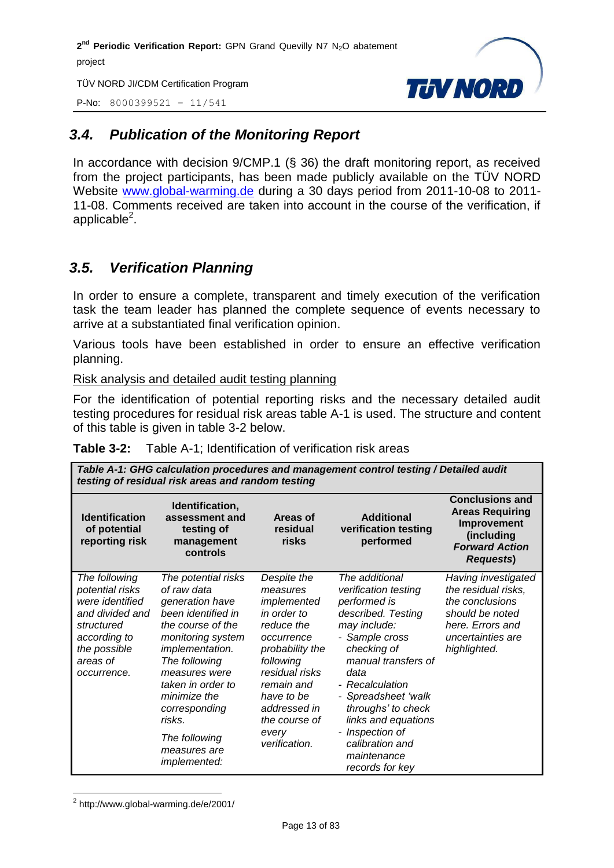TÜV NORD JI/CDM Certification Program

P-No: 8000399521 – 11/541



#### <span id="page-12-0"></span>*3.4. Publication of the Monitoring Report*

In accordance with decision 9/CMP.1 (§ 36) the draft monitoring report, as received from the project participants, has been made publicly available on the TÜV NORD Website [www.global-warming.de](http://www.global-warming.de/) during a 30 days period from 2011-10-08 to 2011- 11-08. Comments received are taken into account in the course of the verification, if applicable $^2$ .

#### <span id="page-12-1"></span>*3.5. Verification Planning*

In order to ensure a complete, transparent and timely execution of the verification task the team leader has planned the complete sequence of events necessary to arrive at a substantiated final verification opinion.

Various tools have been established in order to ensure an effective verification planning.

Risk analysis and detailed audit testing planning

For the identification of potential reporting risks and the necessary detailed audit testing procedures for residual risk areas table A-1 is used. The structure and content of this table is given in table 3-2 below.

|                                                                                                                                                 | Table A-1: GHG calculation procedures and management control testing / Detailed audit<br>testing of residual risk areas and random testing                                                                                                                                                         |                                                                                                                                                                                                                            |                                                                                                                                                                                                                                                                                                                             |                                                                                                                                           |  |
|-------------------------------------------------------------------------------------------------------------------------------------------------|----------------------------------------------------------------------------------------------------------------------------------------------------------------------------------------------------------------------------------------------------------------------------------------------------|----------------------------------------------------------------------------------------------------------------------------------------------------------------------------------------------------------------------------|-----------------------------------------------------------------------------------------------------------------------------------------------------------------------------------------------------------------------------------------------------------------------------------------------------------------------------|-------------------------------------------------------------------------------------------------------------------------------------------|--|
| <b>Identification</b><br>of potential<br>reporting risk                                                                                         | Identification,<br>assessment and<br>testing of<br>management<br>controls                                                                                                                                                                                                                          | Areas of<br>residual<br>risks                                                                                                                                                                                              | <b>Additional</b><br>verification testing<br>performed                                                                                                                                                                                                                                                                      | <b>Conclusions and</b><br><b>Areas Requiring</b><br>Improvement<br>(including<br><b>Forward Action</b><br><b>Requests</b> )               |  |
| The following<br>potential risks<br>were identified<br>and divided and<br>structured<br>according to<br>the possible<br>areas of<br>occurrence. | The potential risks<br>of raw data<br>generation have<br>been identified in<br>the course of the<br>monitoring system<br><i>implementation.</i><br>The following<br>measures were<br>taken in order to<br>minimize the<br>corresponding<br>risks.<br>The following<br>measures are<br>implemented: | Despite the<br>measures<br>implemented<br>in order to<br>reduce the<br>occurrence<br>probability the<br>following<br>residual risks<br>remain and<br>have to be<br>addressed in<br>the course of<br>every<br>verification. | The additional<br>verification testing<br>performed is<br>described. Testing<br>may include:<br>- Sample cross<br>checking of<br>manual transfers of<br>data<br>- Recalculation<br>- Spreadsheet 'walk<br>throughs' to check<br>links and equations<br>- Inspection of<br>calibration and<br>maintenance<br>records for key | Having investigated<br>the residual risks,<br>the conclusions<br>should be noted<br>here. Errors and<br>uncertainties are<br>highlighted. |  |

|  | <b>Table 3-2:</b> Table A-1; Identification of verification risk areas |
|--|------------------------------------------------------------------------|
|--|------------------------------------------------------------------------|

 $\overline{a}$ <sup>2</sup> http://www.global-warming.de/e/2001/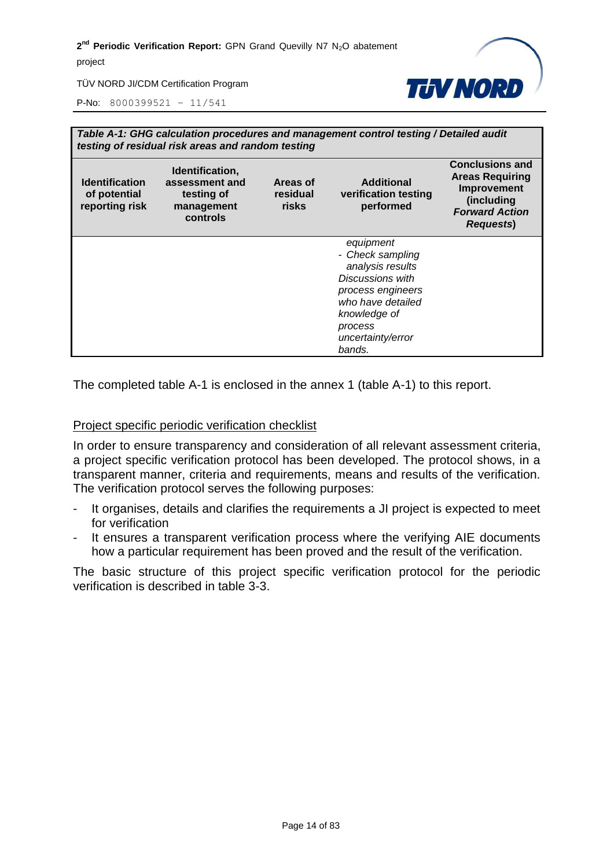

TÜV NORD JI/CDM Certification Program

P-No: 8000399521 – 11/541

|                                                         | Table A-1: GHG calculation procedures and management control testing / Detailed audit<br>testing of residual risk areas and random testing |                               |                                                                                                                                                                           |                                                                                                                             |  |
|---------------------------------------------------------|--------------------------------------------------------------------------------------------------------------------------------------------|-------------------------------|---------------------------------------------------------------------------------------------------------------------------------------------------------------------------|-----------------------------------------------------------------------------------------------------------------------------|--|
| <b>Identification</b><br>of potential<br>reporting risk | Identification,<br>assessment and<br>testing of<br>management<br>controls                                                                  | Areas of<br>residual<br>risks | <b>Additional</b><br>verification testing<br>performed                                                                                                                    | <b>Conclusions and</b><br><b>Areas Requiring</b><br>Improvement<br>(including<br><b>Forward Action</b><br><b>Requests</b> ) |  |
|                                                         |                                                                                                                                            |                               | equipment<br>- Check sampling<br>analysis results<br>Discussions with<br>process engineers<br>who have detailed<br>knowledge of<br>process<br>uncertainty/error<br>bands. |                                                                                                                             |  |

The completed table A-1 is enclosed in the annex 1 (table A-1) to this report.

#### Project specific periodic verification checklist

In order to ensure transparency and consideration of all relevant assessment criteria, a project specific verification protocol has been developed. The protocol shows, in a transparent manner, criteria and requirements, means and results of the verification. The verification protocol serves the following purposes:

- It organises, details and clarifies the requirements a JI project is expected to meet for verification
- It ensures a transparent verification process where the verifying AIE documents how a particular requirement has been proved and the result of the verification.

The basic structure of this project specific verification protocol for the periodic verification is described in table 3-3.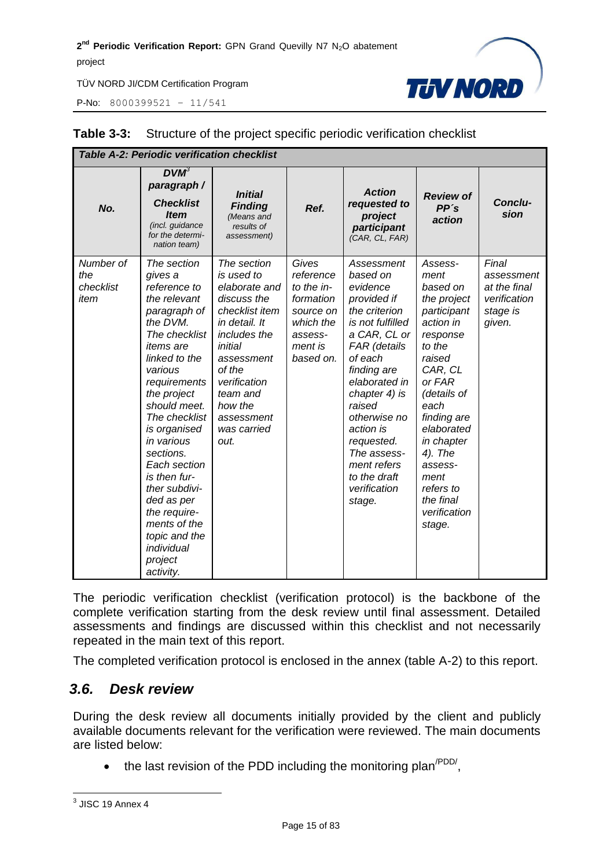P-No: 8000399521 – 11/541



| <b>Table A-2: Periodic verification checklist</b> |                                                                                                                                                                                                                                                                                                                                                                                                                      |                                                                                                                                                                                                                             |                                                                                                            |                                                                                                                                                                                                                                                                                                                 |                                                                                                                                                                                                                                                                                 |                                                                           |
|---------------------------------------------------|----------------------------------------------------------------------------------------------------------------------------------------------------------------------------------------------------------------------------------------------------------------------------------------------------------------------------------------------------------------------------------------------------------------------|-----------------------------------------------------------------------------------------------------------------------------------------------------------------------------------------------------------------------------|------------------------------------------------------------------------------------------------------------|-----------------------------------------------------------------------------------------------------------------------------------------------------------------------------------------------------------------------------------------------------------------------------------------------------------------|---------------------------------------------------------------------------------------------------------------------------------------------------------------------------------------------------------------------------------------------------------------------------------|---------------------------------------------------------------------------|
| No.                                               | $DVM^3$<br>paragraph /<br><b>Checklist</b><br><b>Item</b><br>(incl. guidance<br>for the determi-<br>nation team)                                                                                                                                                                                                                                                                                                     | <b>Initial</b><br><b>Finding</b><br>(Means and<br>results of<br>assessment)                                                                                                                                                 | Ref.                                                                                                       | <b>Action</b><br>requested to<br>project<br>participant<br>(CAR, CL, FAR)                                                                                                                                                                                                                                       | <b>Review of</b><br>PP's<br>action                                                                                                                                                                                                                                              | Conclu-<br>sion                                                           |
| Number of<br>the<br>checklist<br>item             | The section<br>gives a<br>reference to<br>the relevant<br>paragraph of<br>the DVM.<br>The checklist<br><i>items</i> are<br>linked to the<br>various<br>requirements<br>the project<br>should meet.<br>The checklist<br>is organised<br>in various<br>sections.<br>Each section<br>is then fur-<br>ther subdivi-<br>ded as per<br>the require-<br>ments of the<br>topic and the<br>individual<br>project<br>activity. | The section<br>is used to<br>elaborate and<br>discuss the<br>checklist item<br>in detail. It<br>includes the<br>initial<br>assessment<br>of the<br>verification<br>team and<br>how the<br>assessment<br>was carried<br>out. | Gives<br>reference<br>to the in-<br>formation<br>source on<br>which the<br>assess-<br>ment is<br>based on. | Assessment<br>based on<br>evidence<br>provided if<br>the criterion<br>is not fulfilled<br>a CAR, CL or<br>FAR (details<br>of each<br>finding are<br>elaborated in<br>chapter 4) is<br>raised<br>otherwise no<br>action is<br>requested.<br>The assess-<br>ment refers<br>to the draft<br>verification<br>stage. | Assess-<br>ment<br>based on<br>the project<br>participant<br>action in<br>response<br>to the<br>raised<br>CAR, CL<br>or FAR<br>(details of<br>each<br>finding are<br>elaborated<br>in chapter<br>4). The<br>assess-<br>ment<br>refers to<br>the final<br>verification<br>stage. | Final<br>assessment<br>at the final<br>verification<br>stage is<br>given. |

#### **Table 3-3:** Structure of the project specific periodic verification checklist

The periodic verification checklist (verification protocol) is the backbone of the complete verification starting from the desk review until final assessment. Detailed assessments and findings are discussed within this checklist and not necessarily repeated in the main text of this report.

The completed verification protocol is enclosed in the annex (table A-2) to this report.

#### <span id="page-14-0"></span>*3.6. Desk review*

During the desk review all documents initially provided by the client and publicly available documents relevant for the verification were reviewed. The main documents are listed below:

 $\bullet$  the last revision of the PDD including the monitoring plan<sup>/PDD/</sup>,

 3 JISC 19 Annex 4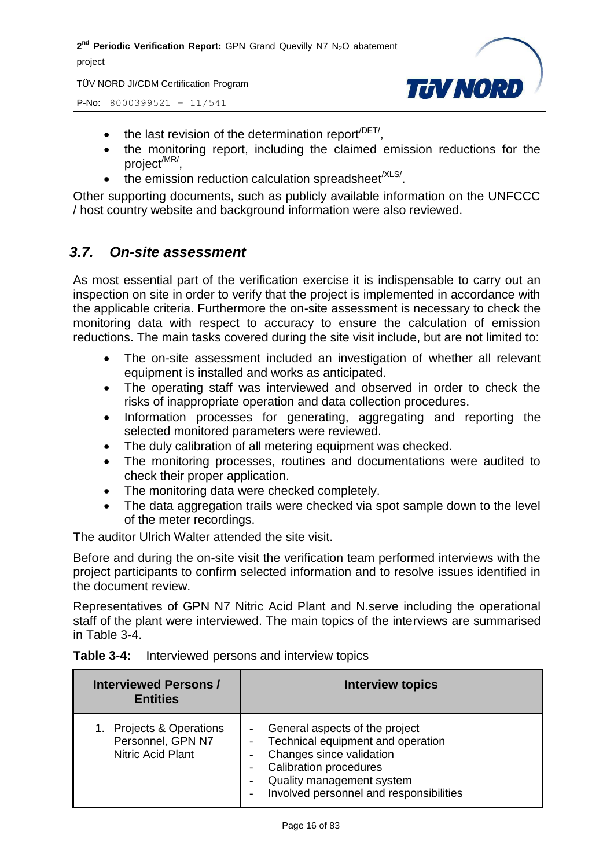TÜV NORD JI/CDM Certification Program



P-No: 8000399521 – 11/541

- $\bullet$  the last revision of the determination report<sup>/DET/</sup>,
- the monitoring report, including the claimed emission reductions for the project<sup>/MR/</sup>,
- $\bullet$  the emission reduction calculation spreadsheet<sup>/XLS/</sup>.

Other supporting documents, such as publicly available information on the UNFCCC / host country website and background information were also reviewed.

#### <span id="page-15-0"></span>*3.7. On-site assessment*

As most essential part of the verification exercise it is indispensable to carry out an inspection on site in order to verify that the project is implemented in accordance with the applicable criteria. Furthermore the on-site assessment is necessary to check the monitoring data with respect to accuracy to ensure the calculation of emission reductions. The main tasks covered during the site visit include, but are not limited to:

- The on-site assessment included an investigation of whether all relevant equipment is installed and works as anticipated.
- The operating staff was interviewed and observed in order to check the risks of inappropriate operation and data collection procedures.
- Information processes for generating, aggregating and reporting the selected monitored parameters were reviewed.
- The duly calibration of all metering equipment was checked.
- The monitoring processes, routines and documentations were audited to check their proper application.
- The monitoring data were checked completely.
- The data aggregation trails were checked via spot sample down to the level of the meter recordings.

The auditor Ulrich Walter attended the site visit.

Before and during the on-site visit the verification team performed interviews with the project participants to confirm selected information and to resolve issues identified in the document review.

Representatives of GPN N7 Nitric Acid Plant and N.serve including the operational staff of the plant were interviewed. The main topics of the interviews are summarised in Table 3-4.

| <b>Interviewed Persons /</b><br><b>Entities</b>                                   | <b>Interview topics</b>                                                                                                                                                                                  |
|-----------------------------------------------------------------------------------|----------------------------------------------------------------------------------------------------------------------------------------------------------------------------------------------------------|
| <b>Projects &amp; Operations</b><br>Personnel, GPN N7<br><b>Nitric Acid Plant</b> | General aspects of the project<br>Technical equipment and operation<br>Changes since validation<br><b>Calibration procedures</b><br>Quality management system<br>Involved personnel and responsibilities |

#### **Table 3-4:** Interviewed persons and interview topics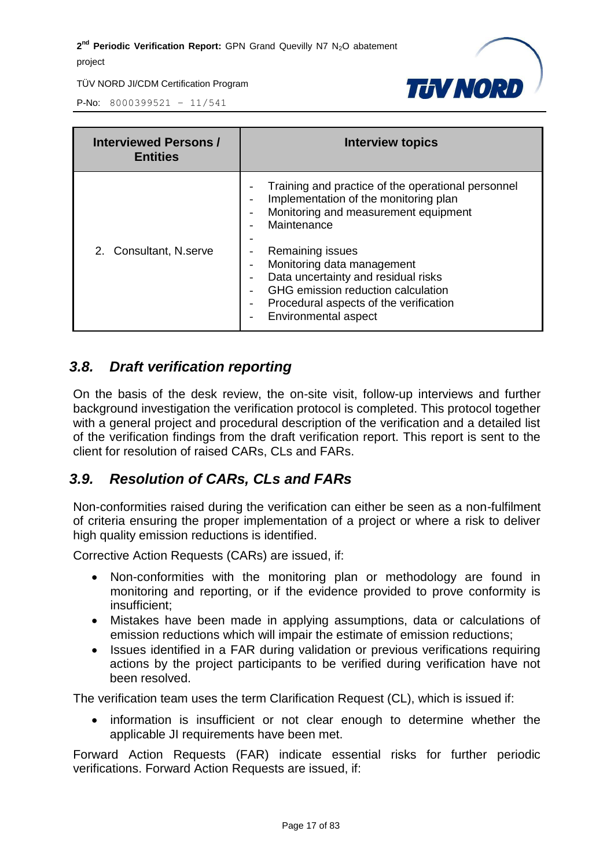

P-No: 8000399521 – 11/541

| <b>Interviewed Persons /</b><br><b>Entities</b> | Interview topics                                                                                                                                                                                                                                                                                                                                                                |
|-------------------------------------------------|---------------------------------------------------------------------------------------------------------------------------------------------------------------------------------------------------------------------------------------------------------------------------------------------------------------------------------------------------------------------------------|
| 2. Consultant, N.serve                          | Training and practice of the operational personnel<br>Implementation of the monitoring plan<br>Monitoring and measurement equipment<br>Maintenance<br>Remaining issues<br>Monitoring data management<br>Data uncertainty and residual risks<br>GHG emission reduction calculation<br>Procedural aspects of the verification<br>$\overline{\phantom{a}}$<br>Environmental aspect |

#### <span id="page-16-0"></span>*3.8. Draft verification reporting*

On the basis of the desk review, the on-site visit, follow-up interviews and further background investigation the verification protocol is completed. This protocol together with a general project and procedural description of the verification and a detailed list of the verification findings from the draft verification report. This report is sent to the client for resolution of raised CARs, CLs and FARs.

#### <span id="page-16-1"></span>*3.9. Resolution of CARs, CLs and FARs*

Non-conformities raised during the verification can either be seen as a non-fulfilment of criteria ensuring the proper implementation of a project or where a risk to deliver high quality emission reductions is identified.

Corrective Action Requests (CARs) are issued, if:

- Non-conformities with the monitoring plan or methodology are found in monitoring and reporting, or if the evidence provided to prove conformity is insufficient;
- Mistakes have been made in applying assumptions, data or calculations of emission reductions which will impair the estimate of emission reductions;
- Issues identified in a FAR during validation or previous verifications requiring actions by the project participants to be verified during verification have not been resolved.

The verification team uses the term Clarification Request (CL), which is issued if:

• information is insufficient or not clear enough to determine whether the applicable JI requirements have been met.

Forward Action Requests (FAR) indicate essential risks for further periodic verifications. Forward Action Requests are issued, if: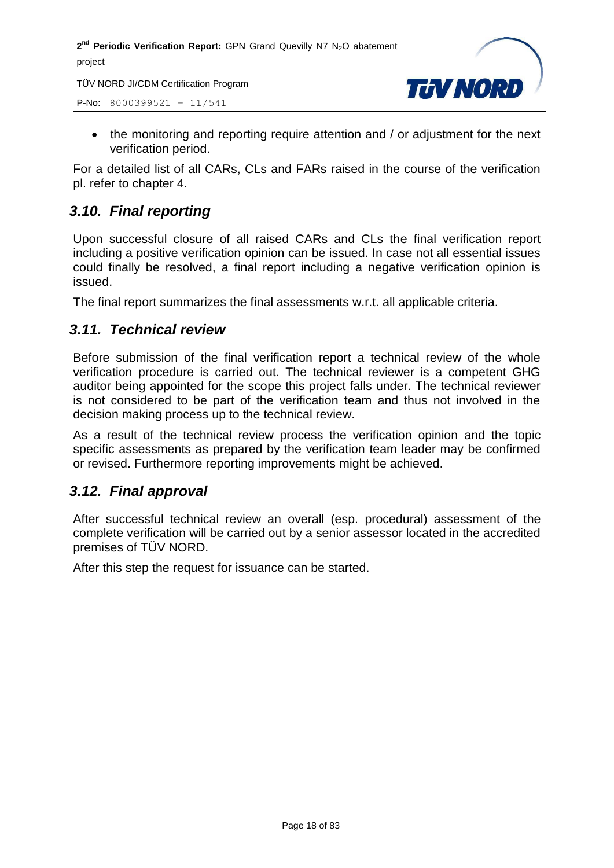TÜV NORD JI/CDM Certification Program

P-No: 8000399521 – 11/541



• the monitoring and reporting require attention and / or adjustment for the next verification period.

For a detailed list of all CARs, CLs and FARs raised in the course of the verification pl. refer to chapter 4.

#### <span id="page-17-0"></span>*3.10. Final reporting*

Upon successful closure of all raised CARs and CLs the final verification report including a positive verification opinion can be issued. In case not all essential issues could finally be resolved, a final report including a negative verification opinion is issued.

The final report summarizes the final assessments w.r.t. all applicable criteria.

#### <span id="page-17-1"></span>*3.11. Technical review*

Before submission of the final verification report a technical review of the whole verification procedure is carried out. The technical reviewer is a competent GHG auditor being appointed for the scope this project falls under. The technical reviewer is not considered to be part of the verification team and thus not involved in the decision making process up to the technical review.

As a result of the technical review process the verification opinion and the topic specific assessments as prepared by the verification team leader may be confirmed or revised. Furthermore reporting improvements might be achieved.

#### <span id="page-17-2"></span>*3.12. Final approval*

After successful technical review an overall (esp. procedural) assessment of the complete verification will be carried out by a senior assessor located in the accredited premises of TÜV NORD.

After this step the request for issuance can be started.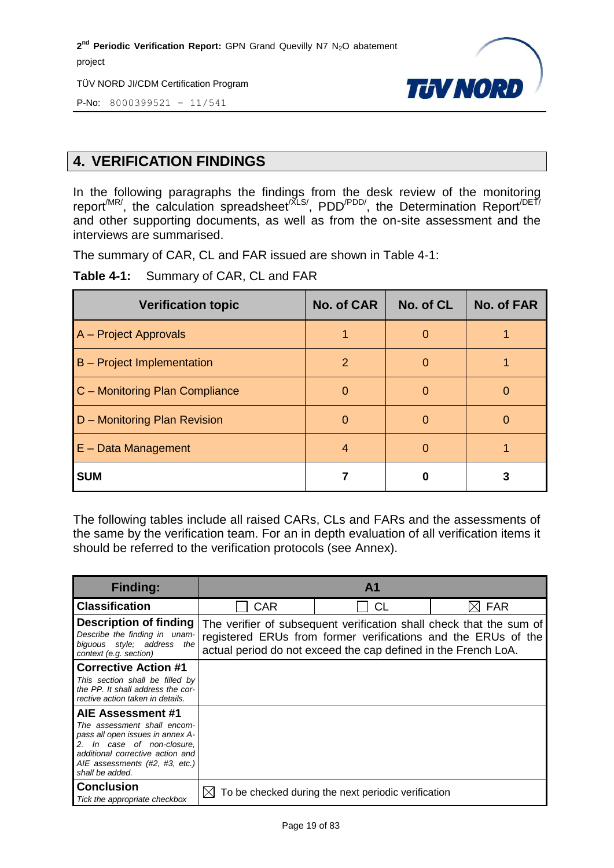TÜV NORD JI/CDM Certification Program



P-No: 8000399521 – 11/541

#### <span id="page-18-0"></span>**4. VERIFICATION FINDINGS**

In the following paragraphs the findings from the desk review of the monitoring report<sup>/MR/</sup>, the calculation spreadsheet<sup>/XLS/</sup>, PDD<sup>/PDD/</sup>, the Determination Report<sup>/DET/</sup> and other supporting documents, as well as from the on-site assessment and the interviews are summarised.

The summary of CAR, CL and FAR issued are shown in Table 4-1:

**Table 4-1:** Summary of CAR, CL and FAR

| <b>Verification topic</b>         | <b>No. of CAR</b> | No. of CL | <b>No. of FAR</b> |
|-----------------------------------|-------------------|-----------|-------------------|
| A - Project Approvals             |                   |           |                   |
| <b>B</b> – Project Implementation | 2                 | O         |                   |
| C - Monitoring Plan Compliance    |                   |           |                   |
| D - Monitoring Plan Revision      | $\mathbf{0}$      |           |                   |
| $E$ – Data Management             | 4                 | O         |                   |
| <b>SUM</b>                        |                   | O         |                   |

The following tables include all raised CARs, CLs and FARs and the assessments of the same by the verification team. For an in depth evaluation of all verification items it should be referred to the verification protocols (see Annex).

| <b>Finding:</b>                                                                                                                                                                                             |            | A <sub>1</sub>                                                                                                                  |                                                                     |
|-------------------------------------------------------------------------------------------------------------------------------------------------------------------------------------------------------------|------------|---------------------------------------------------------------------------------------------------------------------------------|---------------------------------------------------------------------|
| <b>Classification</b>                                                                                                                                                                                       | <b>CAR</b> | <b>CL</b>                                                                                                                       | <b>FAR</b>                                                          |
| <b>Description of finding</b><br>Describe the finding in unam-<br>biquous style: address<br>the<br>context (e.g. section)                                                                                   |            | registered ERUs from former verifications and the ERUs of the<br>actual period do not exceed the cap defined in the French LoA. | The verifier of subsequent verification shall check that the sum of |
| <b>Corrective Action #1</b><br>This section shall be filled by<br>the PP. It shall address the cor-<br>rective action taken in details.                                                                     |            |                                                                                                                                 |                                                                     |
| AIE Assessment #1<br>The assessment shall encom-<br>pass all open issues in annex A-<br>2. In case of non-closure,<br>additional corrective action and<br>AIE assessments (#2, #3, etc.)<br>shall be added. |            |                                                                                                                                 |                                                                     |
| Conclusion<br>Tick the appropriate checkbox                                                                                                                                                                 |            | To be checked during the next periodic verification                                                                             |                                                                     |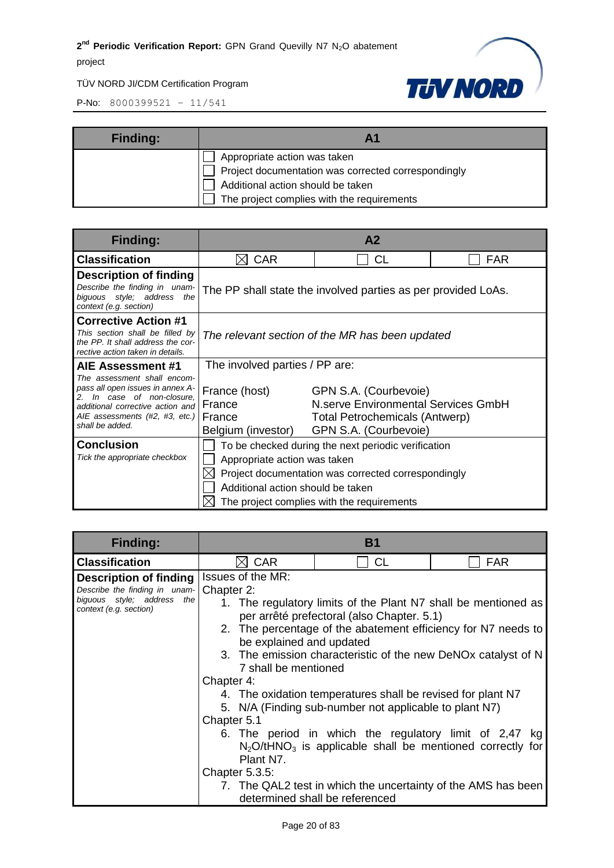TÜV NORD JI/CDM Certification Program



| <b>Finding:</b> | <b>A1</b>                                                                                                                                                              |
|-----------------|------------------------------------------------------------------------------------------------------------------------------------------------------------------------|
|                 | Appropriate action was taken<br>Project documentation was corrected correspondingly<br>Additional action should be taken<br>The project complies with the requirements |

| <b>Finding:</b>                                                                                                                                      | A <sub>2</sub>                                                                                                                                                                                                                |                                                                                                                         |     |
|------------------------------------------------------------------------------------------------------------------------------------------------------|-------------------------------------------------------------------------------------------------------------------------------------------------------------------------------------------------------------------------------|-------------------------------------------------------------------------------------------------------------------------|-----|
| <b>Classification</b>                                                                                                                                | <b>CAR</b><br>IХI                                                                                                                                                                                                             | <b>CL</b>                                                                                                               | FAR |
| <b>Description of finding</b><br>Describe the finding in unam-<br>biquous style; address<br>the<br>context (e.g. section)                            |                                                                                                                                                                                                                               | The PP shall state the involved parties as per provided LoAs.                                                           |     |
| <b>Corrective Action #1</b><br>This section shall be filled by<br>the PP. It shall address the cor-<br>rective action taken in details.              | The relevant section of the MR has been updated                                                                                                                                                                               |                                                                                                                         |     |
| AIE Assessment #1<br>The assessment shall encom-                                                                                                     | The involved parties / PP are:                                                                                                                                                                                                |                                                                                                                         |     |
| pass all open issues in annex A-<br>In case of non-closure.<br>additional corrective action and<br>AIE assessments (#2, #3, etc.)<br>shall be added. | France (host)<br>France<br>France<br>Belgium (investor)                                                                                                                                                                       | GPN S.A. (Courbevoie)<br>N.serve Environmental Services GmbH<br>Total Petrochemicals (Antwerp)<br>GPN S.A. (Courbevoie) |     |
| <b>Conclusion</b><br>Tick the appropriate checkbox                                                                                                   | To be checked during the next periodic verification<br>Appropriate action was taken<br>Project documentation was corrected correspondingly<br>Additional action should be taken<br>The project complies with the requirements |                                                                                                                         |     |

| Finding:                                                                              | В1                                                                                                                                                                                                                                                                                     |           |            |  |
|---------------------------------------------------------------------------------------|----------------------------------------------------------------------------------------------------------------------------------------------------------------------------------------------------------------------------------------------------------------------------------------|-----------|------------|--|
| <b>Classification</b>                                                                 | <b>CAR</b><br>MГ                                                                                                                                                                                                                                                                       | <b>CL</b> | <b>FAR</b> |  |
| Description of finding                                                                | Issues of the MR:                                                                                                                                                                                                                                                                      |           |            |  |
| Describe the finding in unam-<br>biguous style; address the<br>context (e.g. section) | Chapter 2:<br>1. The regulatory limits of the Plant N7 shall be mentioned as<br>per arrêté prefectoral (also Chapter. 5.1)<br>2. The percentage of the abatement efficiency for N7 needs to<br>be explained and updated                                                                |           |            |  |
|                                                                                       | 3. The emission characteristic of the new DeNOx catalyst of N<br>7 shall be mentioned                                                                                                                                                                                                  |           |            |  |
|                                                                                       | Chapter 4:                                                                                                                                                                                                                                                                             |           |            |  |
|                                                                                       | 4. The oxidation temperatures shall be revised for plant N7<br>5. N/A (Finding sub-number not applicable to plant N7)                                                                                                                                                                  |           |            |  |
|                                                                                       | Chapter 5.1<br>6. The period in which the regulatory limit of 2,47 kg<br>$N_2O$ /tHNO <sub>3</sub> is applicable shall be mentioned correctly for<br>Plant N7.<br>Chapter $5.3.5$ :<br>7. The QAL2 test in which the uncertainty of the AMS has been<br>determined shall be referenced |           |            |  |
|                                                                                       |                                                                                                                                                                                                                                                                                        |           |            |  |
|                                                                                       |                                                                                                                                                                                                                                                                                        |           |            |  |
|                                                                                       |                                                                                                                                                                                                                                                                                        |           |            |  |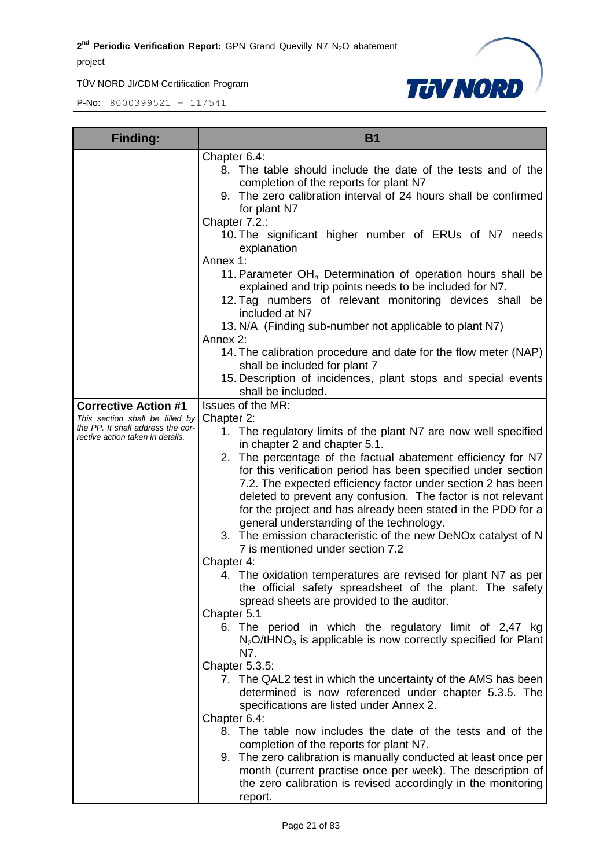TÜV NORD JI/CDM Certification Program



| <b>Finding:</b>                                                                                          | <b>B1</b>                                                                                                                                                                                                                                                                                                                                                                                                                                                                                                                                                                                                                                                                                                                                                                                                                                                                                                                                          |  |  |
|----------------------------------------------------------------------------------------------------------|----------------------------------------------------------------------------------------------------------------------------------------------------------------------------------------------------------------------------------------------------------------------------------------------------------------------------------------------------------------------------------------------------------------------------------------------------------------------------------------------------------------------------------------------------------------------------------------------------------------------------------------------------------------------------------------------------------------------------------------------------------------------------------------------------------------------------------------------------------------------------------------------------------------------------------------------------|--|--|
|                                                                                                          | Chapter 6.4:<br>8. The table should include the date of the tests and of the<br>completion of the reports for plant N7<br>9. The zero calibration interval of 24 hours shall be confirmed<br>for plant N7<br>Chapter 7.2.:                                                                                                                                                                                                                                                                                                                                                                                                                                                                                                                                                                                                                                                                                                                         |  |  |
|                                                                                                          | 10. The significant higher number of ERUs of N7 needs<br>explanation<br>Annex 1:<br>11. Parameter OH <sub>n</sub> Determination of operation hours shall be<br>explained and trip points needs to be included for N7.                                                                                                                                                                                                                                                                                                                                                                                                                                                                                                                                                                                                                                                                                                                              |  |  |
|                                                                                                          | 12. Tag numbers of relevant monitoring devices shall be<br>included at N7<br>13. N/A (Finding sub-number not applicable to plant N7)<br>Annex 2:                                                                                                                                                                                                                                                                                                                                                                                                                                                                                                                                                                                                                                                                                                                                                                                                   |  |  |
|                                                                                                          | 14. The calibration procedure and date for the flow meter (NAP)<br>shall be included for plant 7<br>15. Description of incidences, plant stops and special events<br>shall be included.                                                                                                                                                                                                                                                                                                                                                                                                                                                                                                                                                                                                                                                                                                                                                            |  |  |
| <b>Corrective Action #1</b>                                                                              | Issues of the MR:                                                                                                                                                                                                                                                                                                                                                                                                                                                                                                                                                                                                                                                                                                                                                                                                                                                                                                                                  |  |  |
| This section shall be filled by<br>the PP. It shall address the cor-<br>rective action taken in details. | Chapter 2:<br>1. The regulatory limits of the plant N7 are now well specified<br>in chapter 2 and chapter 5.1.<br>2. The percentage of the factual abatement efficiency for N7<br>for this verification period has been specified under section<br>7.2. The expected efficiency factor under section 2 has been<br>deleted to prevent any confusion. The factor is not relevant<br>for the project and has already been stated in the PDD for a<br>general understanding of the technology.<br>3. The emission characteristic of the new DeNOx catalyst of N<br>7 is mentioned under section 7.2<br>Chapter 4:<br>4. The oxidation temperatures are revised for plant N7 as per<br>the official safety spreadsheet of the plant. The safety<br>spread sheets are provided to the auditor.<br>Chapter 5.1<br>6. The period in which the regulatory limit of 2,47 kg<br>$N_2$ O/tHNO <sub>3</sub> is applicable is now correctly specified for Plant |  |  |
|                                                                                                          | N7.<br>Chapter 5.3.5:<br>7. The QAL2 test in which the uncertainty of the AMS has been<br>determined is now referenced under chapter 5.3.5. The<br>specifications are listed under Annex 2.<br>Chapter 6.4:<br>8. The table now includes the date of the tests and of the<br>completion of the reports for plant N7.<br>9. The zero calibration is manually conducted at least once per<br>month (current practise once per week). The description of<br>the zero calibration is revised accordingly in the monitoring<br>report.                                                                                                                                                                                                                                                                                                                                                                                                                  |  |  |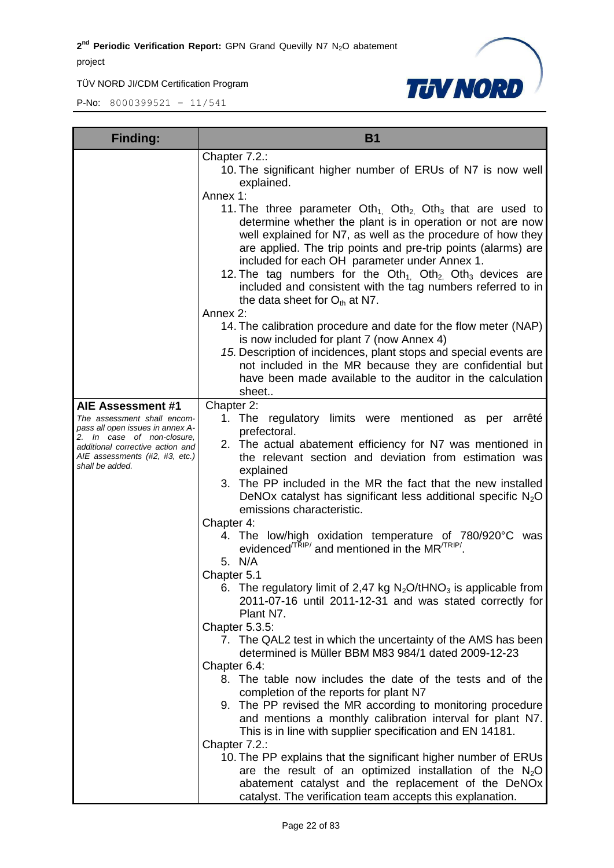TÜV NORD JI/CDM Certification Program



| <b>Finding:</b>                                                                                                                                                                                             | <b>B1</b>                                                                                                                                                                                                                                                                                                                                                                                                                                                                                                                                                                                                                                                                                                                                                                                                                                                                                                                                                                                                                                                                                                                                                                                                                                                                                                                                                                                                                                       |  |  |
|-------------------------------------------------------------------------------------------------------------------------------------------------------------------------------------------------------------|-------------------------------------------------------------------------------------------------------------------------------------------------------------------------------------------------------------------------------------------------------------------------------------------------------------------------------------------------------------------------------------------------------------------------------------------------------------------------------------------------------------------------------------------------------------------------------------------------------------------------------------------------------------------------------------------------------------------------------------------------------------------------------------------------------------------------------------------------------------------------------------------------------------------------------------------------------------------------------------------------------------------------------------------------------------------------------------------------------------------------------------------------------------------------------------------------------------------------------------------------------------------------------------------------------------------------------------------------------------------------------------------------------------------------------------------------|--|--|
|                                                                                                                                                                                                             | Chapter 7.2.:<br>10. The significant higher number of ERUs of N7 is now well<br>explained.<br>Annex 1:<br>11. The three parameter $Oth_{1}$ , $Oth_{2}$ , $Oth_{3}$ that are used to<br>determine whether the plant is in operation or not are now<br>well explained for N7, as well as the procedure of how they<br>are applied. The trip points and pre-trip points (alarms) are<br>included for each OH parameter under Annex 1.<br>12. The tag numbers for the $Oth_{1}$ . $Oth_{2}$ . $Oth_{3}$ devices are<br>included and consistent with the tag numbers referred to in<br>the data sheet for $O_{th}$ at N7.<br>Annex 2:<br>14. The calibration procedure and date for the flow meter (NAP)<br>is now included for plant 7 (now Annex 4)<br>15. Description of incidences, plant stops and special events are<br>not included in the MR because they are confidential but<br>have been made available to the auditor in the calculation                                                                                                                                                                                                                                                                                                                                                                                                                                                                                                |  |  |
|                                                                                                                                                                                                             | sheet                                                                                                                                                                                                                                                                                                                                                                                                                                                                                                                                                                                                                                                                                                                                                                                                                                                                                                                                                                                                                                                                                                                                                                                                                                                                                                                                                                                                                                           |  |  |
| AIE Assessment #1<br>The assessment shall encom-<br>pass all open issues in annex A-<br>2. In case of non-closure,<br>additional corrective action and<br>AIE assessments (#2, #3, etc.)<br>shall be added. | Chapter 2:<br>1. The regulatory limits were mentioned as per arrêté<br>prefectoral.<br>2. The actual abatement efficiency for N7 was mentioned in<br>the relevant section and deviation from estimation was<br>explained<br>3. The PP included in the MR the fact that the new installed<br>DeNOx catalyst has significant less additional specific $N_2O$<br>emissions characteristic.<br>Chapter 4:<br>4. The low/high oxidation temperature of 780/920°C was<br>evidenced <sup>/TRIP/</sup> and mentioned in the MR <sup>/TRIP/</sup><br>5. N/A<br>Chapter 5.1<br>6. The regulatory limit of 2,47 kg $N_2O/tHNO_3$ is applicable from<br>2011-07-16 until 2011-12-31 and was stated correctly for<br>Plant N7.<br>Chapter 5.3.5:<br>7. The QAL2 test in which the uncertainty of the AMS has been<br>determined is Müller BBM M83 984/1 dated 2009-12-23<br>Chapter 6.4:<br>8. The table now includes the date of the tests and of the<br>completion of the reports for plant N7<br>9. The PP revised the MR according to monitoring procedure<br>and mentions a monthly calibration interval for plant N7.<br>This is in line with supplier specification and EN 14181.<br>Chapter 7.2.:<br>10. The PP explains that the significant higher number of ERUs<br>are the result of an optimized installation of the $N_2O$<br>abatement catalyst and the replacement of the DeNOx<br>catalyst. The verification team accepts this explanation. |  |  |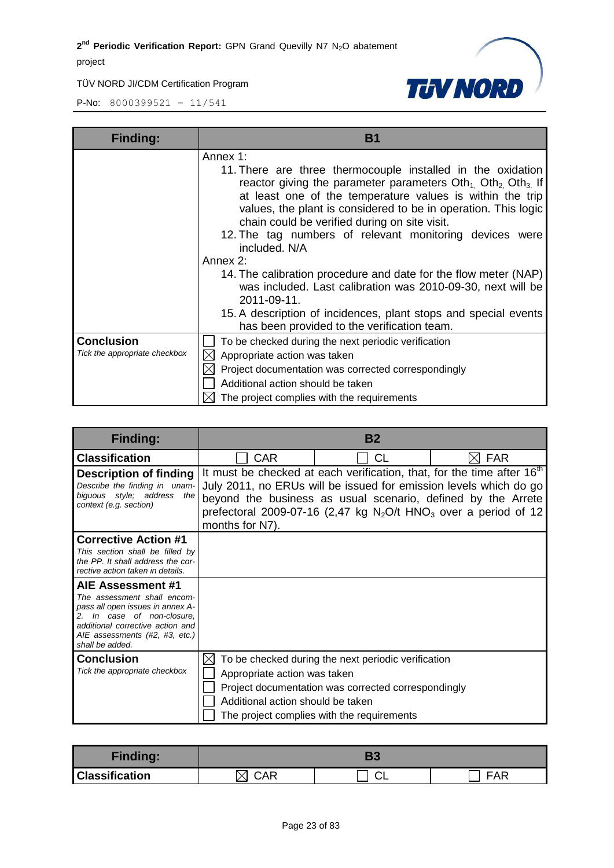TÜV NORD JI/CDM Certification Program



| <b>Finding:</b>                                    | <b>B</b> 1                                                                                                                                                                                                                                                                                                                                                                                                                                                                                                                                                                                                                                                                                  |
|----------------------------------------------------|---------------------------------------------------------------------------------------------------------------------------------------------------------------------------------------------------------------------------------------------------------------------------------------------------------------------------------------------------------------------------------------------------------------------------------------------------------------------------------------------------------------------------------------------------------------------------------------------------------------------------------------------------------------------------------------------|
|                                                    | Annex 1:<br>11. There are three thermocouple installed in the oxidation<br>reactor giving the parameter parameters $Oth1$ , $Oth2$ , $Oth3$ , If<br>at least one of the temperature values is within the trip<br>values, the plant is considered to be in operation. This logic<br>chain could be verified during on site visit.<br>12. The tag numbers of relevant monitoring devices were<br>included. N/A<br>Annex 2:<br>14. The calibration procedure and date for the flow meter (NAP)<br>was included. Last calibration was 2010-09-30, next will be<br>2011-09-11.<br>15. A description of incidences, plant stops and special events<br>has been provided to the verification team. |
| <b>Conclusion</b><br>Tick the appropriate checkbox | To be checked during the next periodic verification<br>Appropriate action was taken<br>Project documentation was corrected correspondingly<br>Additional action should be taken<br>The project complies with the requirements                                                                                                                                                                                                                                                                                                                                                                                                                                                               |

| <b>Finding:</b>                                                                                                                                                                                                |                                                                               | <b>B2</b>                                                                                                                                                |                                                                                                                                                                     |
|----------------------------------------------------------------------------------------------------------------------------------------------------------------------------------------------------------------|-------------------------------------------------------------------------------|----------------------------------------------------------------------------------------------------------------------------------------------------------|---------------------------------------------------------------------------------------------------------------------------------------------------------------------|
| <b>Classification</b>                                                                                                                                                                                          | <b>CAR</b>                                                                    | СL                                                                                                                                                       | <b>FAR</b>                                                                                                                                                          |
| <b>Description of finding</b><br>Describe the finding in unam-<br>biguous style; address<br>the<br>context (e.g. section)                                                                                      | months for N7).                                                               | July 2011, no ERUs will be issued for emission levels which do go<br>beyond the business as usual scenario, defined by the Arrete                        | It must be checked at each verification, that, for the time after 16 <sup>th</sup><br>prefectoral 2009-07-16 (2,47 kg $N_2O/t$ HNO <sub>3</sub> over a period of 12 |
| <b>Corrective Action #1</b><br>This section shall be filled by<br>the PP. It shall address the cor-<br>rective action taken in details.                                                                        |                                                                               |                                                                                                                                                          |                                                                                                                                                                     |
| AIE Assessment #1<br>The assessment shall encom-<br>pass all open issues in annex A-<br>In case of non-closure,<br>2.<br>additional corrective action and<br>AIE assessments (#2, #3, etc.)<br>shall be added. |                                                                               |                                                                                                                                                          |                                                                                                                                                                     |
| <b>Conclusion</b><br>Tick the appropriate checkbox                                                                                                                                                             | $\times$<br>Appropriate action was taken<br>Additional action should be taken | To be checked during the next periodic verification<br>Project documentation was corrected correspondingly<br>The project complies with the requirements |                                                                                                                                                                     |

| <b>Finding:</b>       |  |   |     |
|-----------------------|--|---|-----|
| <b>Classification</b> |  | ⌒ | `AR |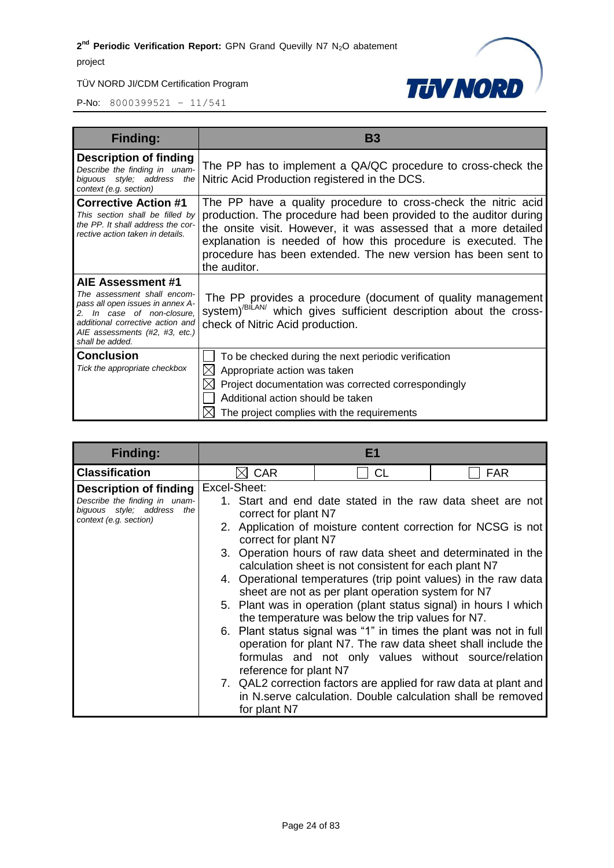#### TÜV NORD JI/CDM Certification Program



| <b>Finding:</b>                                                                                                                                                                                             | <b>B3</b>                                                                                                                                                                                                                                                                                                                                               |
|-------------------------------------------------------------------------------------------------------------------------------------------------------------------------------------------------------------|---------------------------------------------------------------------------------------------------------------------------------------------------------------------------------------------------------------------------------------------------------------------------------------------------------------------------------------------------------|
| <b>Description of finding</b><br>Describe the finding in unam-<br>biguous style; address the<br>context (e.g. section)                                                                                      | The PP has to implement a QA/QC procedure to cross-check the<br>Nitric Acid Production registered in the DCS.                                                                                                                                                                                                                                           |
| <b>Corrective Action #1</b><br>This section shall be filled by<br>the PP. It shall address the cor-<br>rective action taken in details.                                                                     | The PP have a quality procedure to cross-check the nitric acid<br>production. The procedure had been provided to the auditor during<br>the onsite visit. However, it was assessed that a more detailed<br>explanation is needed of how this procedure is executed. The<br>procedure has been extended. The new version has been sent to<br>the auditor. |
| AIE Assessment #1<br>The assessment shall encom-<br>pass all open issues in annex A-<br>2. In case of non-closure.<br>additional corrective action and<br>AIE assessments (#2, #3, etc.)<br>shall be added. | The PP provides a procedure (document of quality management<br>system) <sup>/BILAN/</sup> which gives sufficient description about the cross-<br>check of Nitric Acid production.                                                                                                                                                                       |
| <b>Conclusion</b><br>Tick the appropriate checkbox                                                                                                                                                          | To be checked during the next periodic verification<br>Appropriate action was taken<br>$\boxtimes$<br>Project documentation was corrected correspondingly<br>M<br>Additional action should be taken<br>The project complies with the requirements                                                                                                       |

| <b>Finding:</b>                                                                                                 | E1                                                                                     |                                                                                                                                                                                                                                                                                                                                                                                                                                                                                                                                                                      |                                                                                                                             |
|-----------------------------------------------------------------------------------------------------------------|----------------------------------------------------------------------------------------|----------------------------------------------------------------------------------------------------------------------------------------------------------------------------------------------------------------------------------------------------------------------------------------------------------------------------------------------------------------------------------------------------------------------------------------------------------------------------------------------------------------------------------------------------------------------|-----------------------------------------------------------------------------------------------------------------------------|
| <b>Classification</b>                                                                                           | <b>CAR</b>                                                                             | CL                                                                                                                                                                                                                                                                                                                                                                                                                                                                                                                                                                   | <b>FAR</b>                                                                                                                  |
| Description of finding<br>Describe the finding in unam-<br>biguous style; address the<br>context (e.g. section) | Excel-Sheet:<br>correct for plant N7<br>correct for plant N7<br>reference for plant N7 | 3. Operation hours of raw data sheet and determinated in the<br>calculation sheet is not consistent for each plant N7<br>4. Operational temperatures (trip point values) in the raw data<br>sheet are not as per plant operation system for N7<br>5. Plant was in operation (plant status signal) in hours I which<br>the temperature was below the trip values for N7.<br>6. Plant status signal was "1" in times the plant was not in full<br>operation for plant N7. The raw data sheet shall include the<br>formulas and not only values without source/relation | 1. Start and end date stated in the raw data sheet are not<br>2. Application of moisture content correction for NCSG is not |
|                                                                                                                 | for plant N7                                                                           | 7. QAL2 correction factors are applied for raw data at plant and<br>in N. serve calculation. Double calculation shall be removed                                                                                                                                                                                                                                                                                                                                                                                                                                     |                                                                                                                             |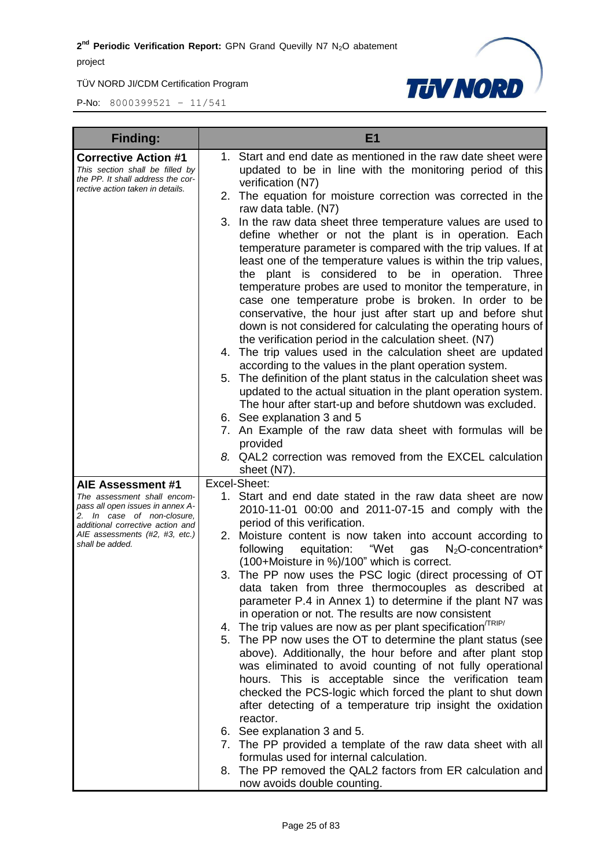

| <b>Finding:</b>                                                                                                                                                                                             | E <sub>1</sub>                                                                                                                                                                                                                                                                                                                                                                                                                                                                                                                                                                                                                                                                                                                                                                                                                                                                                                                                                                                                                                                                                                                                                                                                                                                                                                      |
|-------------------------------------------------------------------------------------------------------------------------------------------------------------------------------------------------------------|---------------------------------------------------------------------------------------------------------------------------------------------------------------------------------------------------------------------------------------------------------------------------------------------------------------------------------------------------------------------------------------------------------------------------------------------------------------------------------------------------------------------------------------------------------------------------------------------------------------------------------------------------------------------------------------------------------------------------------------------------------------------------------------------------------------------------------------------------------------------------------------------------------------------------------------------------------------------------------------------------------------------------------------------------------------------------------------------------------------------------------------------------------------------------------------------------------------------------------------------------------------------------------------------------------------------|
| <b>Corrective Action #1</b><br>This section shall be filled by<br>the PP. It shall address the cor-<br>rective action taken in details.                                                                     | 1. Start and end date as mentioned in the raw date sheet were<br>updated to be in line with the monitoring period of this<br>verification (N7)<br>2. The equation for moisture correction was corrected in the<br>raw data table. (N7)<br>3.<br>In the raw data sheet three temperature values are used to<br>define whether or not the plant is in operation. Each<br>temperature parameter is compared with the trip values. If at<br>least one of the temperature values is within the trip values,<br>the plant is considered to be in operation. Three<br>temperature probes are used to monitor the temperature, in<br>case one temperature probe is broken. In order to be<br>conservative, the hour just after start up and before shut<br>down is not considered for calculating the operating hours of<br>the verification period in the calculation sheet. (N7)<br>4. The trip values used in the calculation sheet are updated<br>according to the values in the plant operation system.<br>The definition of the plant status in the calculation sheet was<br>5.<br>updated to the actual situation in the plant operation system.<br>The hour after start-up and before shutdown was excluded.<br>6. See explanation 3 and 5<br>7. An Example of the raw data sheet with formulas will be<br>provided |
|                                                                                                                                                                                                             | 8. QAL2 correction was removed from the EXCEL calculation<br>sheet (N7).                                                                                                                                                                                                                                                                                                                                                                                                                                                                                                                                                                                                                                                                                                                                                                                                                                                                                                                                                                                                                                                                                                                                                                                                                                            |
| AIE Assessment #1<br>The assessment shall encom-<br>pass all open issues in annex A-<br>2. In case of non-closure,<br>additional corrective action and<br>AIE assessments (#2, #3, etc.)<br>shall be added. | Excel-Sheet:<br>1. Start and end date stated in the raw data sheet are now<br>2010-11-01 00:00 and 2011-07-15 and comply with the<br>period of this verification.<br>2. Moisture content is now taken into account according to<br>$N_2$ O-concentration*<br>following<br>equitation:<br>"Wet<br>gas                                                                                                                                                                                                                                                                                                                                                                                                                                                                                                                                                                                                                                                                                                                                                                                                                                                                                                                                                                                                                |
|                                                                                                                                                                                                             | (100+Moisture in %)/100" which is correct.<br>3. The PP now uses the PSC logic (direct processing of OT<br>data taken from three thermocouples as described at<br>parameter P.4 in Annex 1) to determine if the plant N7 was<br>in operation or not. The results are now consistent<br>4. The trip values are now as per plant specification $T_{RIP}$<br>5. The PP now uses the OT to determine the plant status (see<br>above). Additionally, the hour before and after plant stop<br>was eliminated to avoid counting of not fully operational<br>hours. This is acceptable since the verification team<br>checked the PCS-logic which forced the plant to shut down<br>after detecting of a temperature trip insight the oxidation<br>reactor.<br>6. See explanation 3 and 5.                                                                                                                                                                                                                                                                                                                                                                                                                                                                                                                                   |
|                                                                                                                                                                                                             | 7. The PP provided a template of the raw data sheet with all<br>formulas used for internal calculation.<br>8. The PP removed the QAL2 factors from ER calculation and<br>now avoids double counting.                                                                                                                                                                                                                                                                                                                                                                                                                                                                                                                                                                                                                                                                                                                                                                                                                                                                                                                                                                                                                                                                                                                |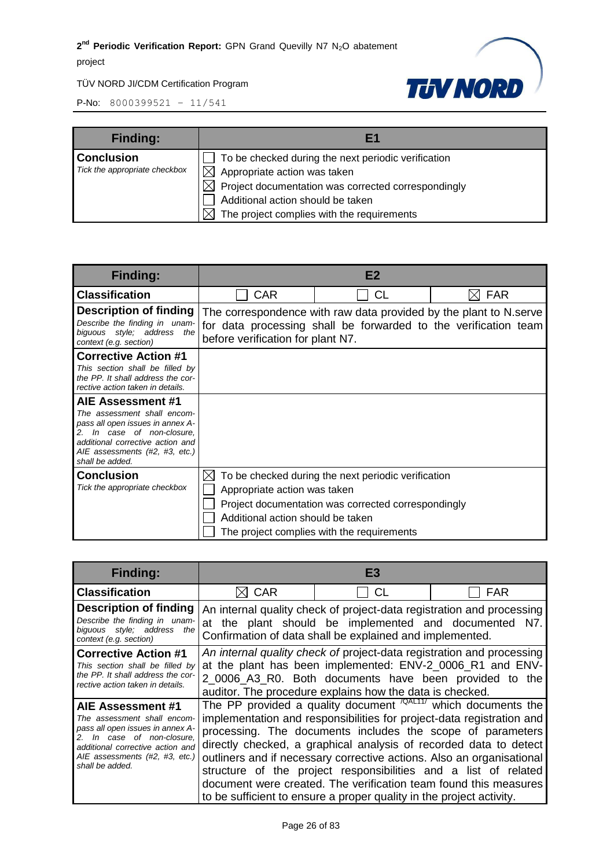#### TÜV NORD JI/CDM Certification Program



| <b>Finding:</b>               | F1                                                  |
|-------------------------------|-----------------------------------------------------|
| <b>Conclusion</b>             | To be checked during the next periodic verification |
| Tick the appropriate checkbox | Appropriate action was taken                        |
|                               | Project documentation was corrected correspondingly |
|                               | Additional action should be taken                   |
|                               | The project complies with the requirements          |

| <b>Finding:</b>                                                                                                                                                                           |                                   | E2                                                                |                                                                 |
|-------------------------------------------------------------------------------------------------------------------------------------------------------------------------------------------|-----------------------------------|-------------------------------------------------------------------|-----------------------------------------------------------------|
| <b>Classification</b>                                                                                                                                                                     | <b>CAR</b>                        | <b>CL</b>                                                         | <b>FAR</b>                                                      |
| <b>Description of finding</b><br>Describe the finding in unam-<br>biguous style; address the<br>context (e.g. section)                                                                    | before verification for plant N7. | The correspondence with raw data provided by the plant to N.serve | for data processing shall be forwarded to the verification team |
| <b>Corrective Action #1</b>                                                                                                                                                               |                                   |                                                                   |                                                                 |
| This section shall be filled by<br>the PP. It shall address the cor-<br>rective action taken in details.                                                                                  |                                   |                                                                   |                                                                 |
| AIE Assessment #1                                                                                                                                                                         |                                   |                                                                   |                                                                 |
| The assessment shall encom-<br>pass all open issues in annex A-<br>In case of non-closure,<br>2.<br>additional corrective action and<br>AIE assessments (#2, #3, etc.)<br>shall be added. |                                   |                                                                   |                                                                 |
| Conclusion                                                                                                                                                                                | IХ                                | To be checked during the next periodic verification               |                                                                 |
| Tick the appropriate checkbox                                                                                                                                                             | Appropriate action was taken      |                                                                   |                                                                 |
|                                                                                                                                                                                           |                                   | Project documentation was corrected correspondingly               |                                                                 |
|                                                                                                                                                                                           | Additional action should be taken |                                                                   |                                                                 |
|                                                                                                                                                                                           |                                   | The project complies with the requirements                        |                                                                 |

| <b>Finding:</b>                                                                                                                                                                                          | Ε3                                                                                                                                                                                                                                                       |                                                                                                                                                                                                                                                                                                                                                                                                                                                                                                                                                                            |            |
|----------------------------------------------------------------------------------------------------------------------------------------------------------------------------------------------------------|----------------------------------------------------------------------------------------------------------------------------------------------------------------------------------------------------------------------------------------------------------|----------------------------------------------------------------------------------------------------------------------------------------------------------------------------------------------------------------------------------------------------------------------------------------------------------------------------------------------------------------------------------------------------------------------------------------------------------------------------------------------------------------------------------------------------------------------------|------------|
| <b>Classification</b>                                                                                                                                                                                    | <b>CAR</b>                                                                                                                                                                                                                                               | CL                                                                                                                                                                                                                                                                                                                                                                                                                                                                                                                                                                         | <b>FAR</b> |
| <b>Description of finding</b><br>Describe the finding in unam-<br>biguous style; address the<br>context (e.g. section)                                                                                   | An internal quality check of project-data registration and processing<br>at the plant should be implemented and documented N7.<br>Confirmation of data shall be explained and implemented.                                                               |                                                                                                                                                                                                                                                                                                                                                                                                                                                                                                                                                                            |            |
| <b>Corrective Action #1</b><br>This section shall be filled by<br>the PP. It shall address the cor-<br>rective action taken in details.                                                                  | An internal quality check of project-data registration and processing<br>at the plant has been implemented: ENV-2_0006_R1 and ENV-<br>2_0006_A3_R0. Both documents have been provided to the<br>auditor. The procedure explains how the data is checked. |                                                                                                                                                                                                                                                                                                                                                                                                                                                                                                                                                                            |            |
| AIE Assessment #1<br>The assessment shall encom-<br>pass all open issues in annex A-<br>In case of non-closure,<br>additional corrective action and<br>AIE assessments (#2, #3, etc.)<br>shall be added. |                                                                                                                                                                                                                                                          | The PP provided a quality document $\sqrt{QAL11/}$ which documents the<br>implementation and responsibilities for project-data registration and<br>processing. The documents includes the scope of parameters<br>directly checked, a graphical analysis of recorded data to detect<br>outliners and if necessary corrective actions. Also an organisational<br>structure of the project responsibilities and a list of related<br>document were created. The verification team found this measures<br>to be sufficient to ensure a proper quality in the project activity. |            |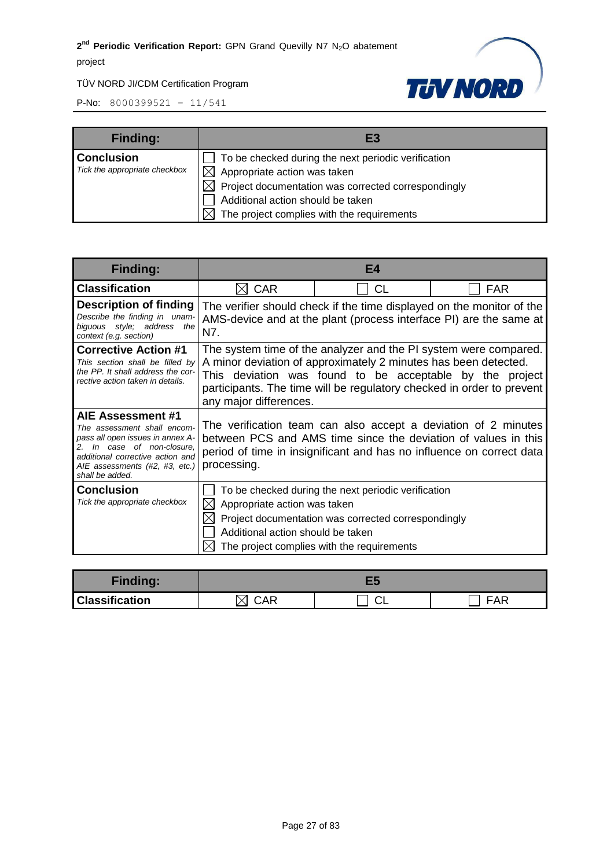#### TÜV NORD JI/CDM Certification Program



| <b>Finding:</b>               | EB                                                              |
|-------------------------------|-----------------------------------------------------------------|
| <b>Conclusion</b>             | To be checked during the next periodic verification             |
| Tick the appropriate checkbox | $\boxtimes$ Appropriate action was taken                        |
|                               | $\boxtimes$ Project documentation was corrected correspondingly |
|                               | Additional action should be taken                               |
|                               | The project complies with the requirements                      |

| <b>Finding:</b>                                                                                                                                                                                          | E4                                                                                                                                                                                                                                                                                                 |           |            |
|----------------------------------------------------------------------------------------------------------------------------------------------------------------------------------------------------------|----------------------------------------------------------------------------------------------------------------------------------------------------------------------------------------------------------------------------------------------------------------------------------------------------|-----------|------------|
| <b>Classification</b>                                                                                                                                                                                    | <b>CAR</b>                                                                                                                                                                                                                                                                                         | <b>CL</b> | <b>FAR</b> |
| <b>Description of finding</b><br>Describe the finding in unam-<br>biguous style; address<br>the<br>context (e.g. section)                                                                                | The verifier should check if the time displayed on the monitor of the<br>AMS-device and at the plant (process interface PI) are the same at<br>N7.                                                                                                                                                 |           |            |
| <b>Corrective Action #1</b><br>This section shall be filled by<br>the PP. It shall address the cor-<br>rective action taken in details.                                                                  | The system time of the analyzer and the PI system were compared.<br>A minor deviation of approximately 2 minutes has been detected.<br>This deviation was found to be acceptable by the project<br>participants. The time will be regulatory checked in order to prevent<br>any major differences. |           |            |
| AIE Assessment #1<br>The assessment shall encom-<br>pass all open issues in annex A-<br>In case of non-closure.<br>additional corrective action and<br>AIE assessments (#2, #3, etc.)<br>shall be added. | The verification team can also accept a deviation of 2 minutes<br>between PCS and AMS time since the deviation of values in this<br>period of time in insignificant and has no influence on correct data<br>processing.                                                                            |           |            |
| <b>Conclusion</b><br>Tick the appropriate checkbox                                                                                                                                                       | To be checked during the next periodic verification<br>Appropriate action was taken<br>Project documentation was corrected correspondingly<br>Additional action should be taken<br>The project complies with the requirements                                                                      |           |            |

| <b>Finding:</b>       |            |    |     |
|-----------------------|------------|----|-----|
| <b>Classification</b> | <b>CAR</b> | ◡∟ | FAR |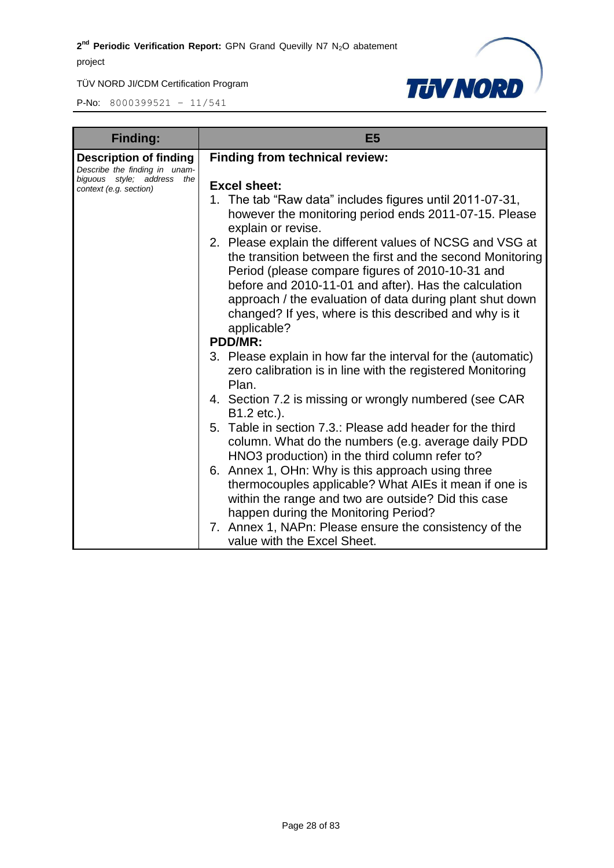

| <b>Finding:</b>                                                                                                        | E <sub>5</sub>                                                                                                                                                                                                                                                                                                                                                            |  |
|------------------------------------------------------------------------------------------------------------------------|---------------------------------------------------------------------------------------------------------------------------------------------------------------------------------------------------------------------------------------------------------------------------------------------------------------------------------------------------------------------------|--|
| <b>Description of finding</b><br>Describe the finding in unam-<br>biguous style; address the<br>context (e.g. section) | <b>Finding from technical review:</b><br><b>Excel sheet:</b><br>1. The tab "Raw data" includes figures until 2011-07-31,<br>however the monitoring period ends 2011-07-15. Please<br>explain or revise.                                                                                                                                                                   |  |
|                                                                                                                        | 2. Please explain the different values of NCSG and VSG at<br>the transition between the first and the second Monitoring<br>Period (please compare figures of 2010-10-31 and<br>before and 2010-11-01 and after). Has the calculation<br>approach / the evaluation of data during plant shut down<br>changed? If yes, where is this described and why is it<br>applicable? |  |
|                                                                                                                        | <b>PDD/MR:</b>                                                                                                                                                                                                                                                                                                                                                            |  |
|                                                                                                                        | 3. Please explain in how far the interval for the (automatic)<br>zero calibration is in line with the registered Monitoring<br>Plan.                                                                                                                                                                                                                                      |  |
|                                                                                                                        | 4. Section 7.2 is missing or wrongly numbered (see CAR<br>B1.2 etc.).                                                                                                                                                                                                                                                                                                     |  |
|                                                                                                                        | 5. Table in section 7.3.: Please add header for the third<br>column. What do the numbers (e.g. average daily PDD<br>HNO3 production) in the third column refer to?                                                                                                                                                                                                        |  |
|                                                                                                                        | 6. Annex 1, OHn: Why is this approach using three<br>thermocouples applicable? What AIEs it mean if one is<br>within the range and two are outside? Did this case<br>happen during the Monitoring Period?                                                                                                                                                                 |  |
|                                                                                                                        | 7. Annex 1, NAPn: Please ensure the consistency of the<br>value with the Excel Sheet.                                                                                                                                                                                                                                                                                     |  |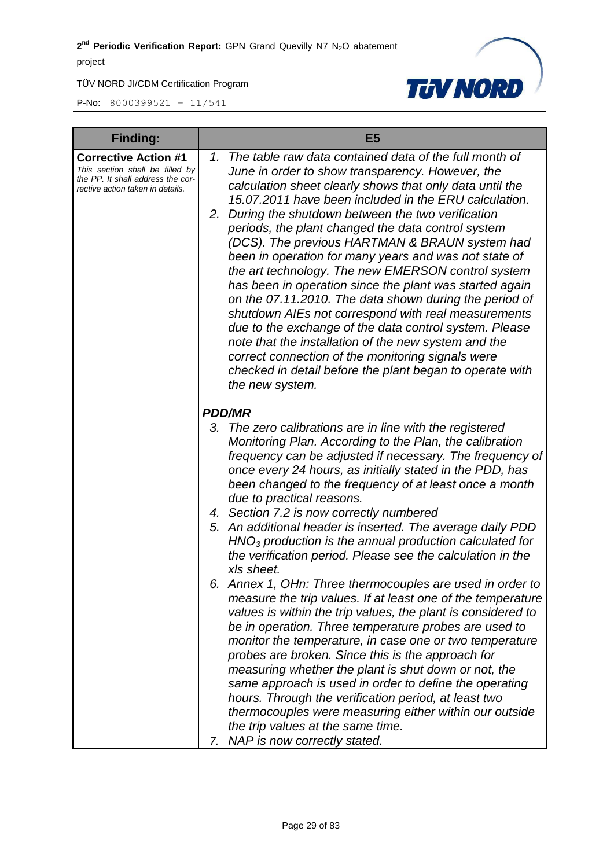

| <b>Finding:</b>                                                                                                                         | E <sub>5</sub>                                                                                                                                                                                                                                                                                                                                                                                                                                                                                                                                                                                                                                                                                                                                                                                                                                                                                                                                           |  |
|-----------------------------------------------------------------------------------------------------------------------------------------|----------------------------------------------------------------------------------------------------------------------------------------------------------------------------------------------------------------------------------------------------------------------------------------------------------------------------------------------------------------------------------------------------------------------------------------------------------------------------------------------------------------------------------------------------------------------------------------------------------------------------------------------------------------------------------------------------------------------------------------------------------------------------------------------------------------------------------------------------------------------------------------------------------------------------------------------------------|--|
| <b>Corrective Action #1</b><br>This section shall be filled by<br>the PP. It shall address the cor-<br>rective action taken in details. | The table raw data contained data of the full month of<br>1.<br>June in order to show transparency. However, the<br>calculation sheet clearly shows that only data until the<br>15.07.2011 have been included in the ERU calculation.<br>During the shutdown between the two verification<br>2.<br>periods, the plant changed the data control system<br>(DCS). The previous HARTMAN & BRAUN system had<br>been in operation for many years and was not state of<br>the art technology. The new EMERSON control system<br>has been in operation since the plant was started again<br>on the 07.11.2010. The data shown during the period of<br>shutdown AIEs not correspond with real measurements<br>due to the exchange of the data control system. Please<br>note that the installation of the new system and the<br>correct connection of the monitoring signals were<br>checked in detail before the plant began to operate with<br>the new system. |  |
|                                                                                                                                         | <b>PDD/MR</b>                                                                                                                                                                                                                                                                                                                                                                                                                                                                                                                                                                                                                                                                                                                                                                                                                                                                                                                                            |  |
|                                                                                                                                         | 3. The zero calibrations are in line with the registered<br>Monitoring Plan. According to the Plan, the calibration<br>frequency can be adjusted if necessary. The frequency of<br>once every 24 hours, as initially stated in the PDD, has<br>been changed to the frequency of at least once a month<br>due to practical reasons.                                                                                                                                                                                                                                                                                                                                                                                                                                                                                                                                                                                                                       |  |
|                                                                                                                                         | 4. Section 7.2 is now correctly numbered<br>5. An additional header is inserted. The average daily PDD<br>$HNO3$ production is the annual production calculated for<br>the verification period. Please see the calculation in the<br>xls sheet.                                                                                                                                                                                                                                                                                                                                                                                                                                                                                                                                                                                                                                                                                                          |  |
|                                                                                                                                         | Annex 1, OHn: Three thermocouples are used in order to<br>6.<br>measure the trip values. If at least one of the temperature<br>values is within the trip values, the plant is considered to<br>be in operation. Three temperature probes are used to<br>monitor the temperature, in case one or two temperature<br>probes are broken. Since this is the approach for<br>measuring whether the plant is shut down or not, the<br>same approach is used in order to define the operating<br>hours. Through the verification period, at least two<br>thermocouples were measuring either within our outside<br>the trip values at the same time.<br>7. NAP is now correctly stated.                                                                                                                                                                                                                                                                         |  |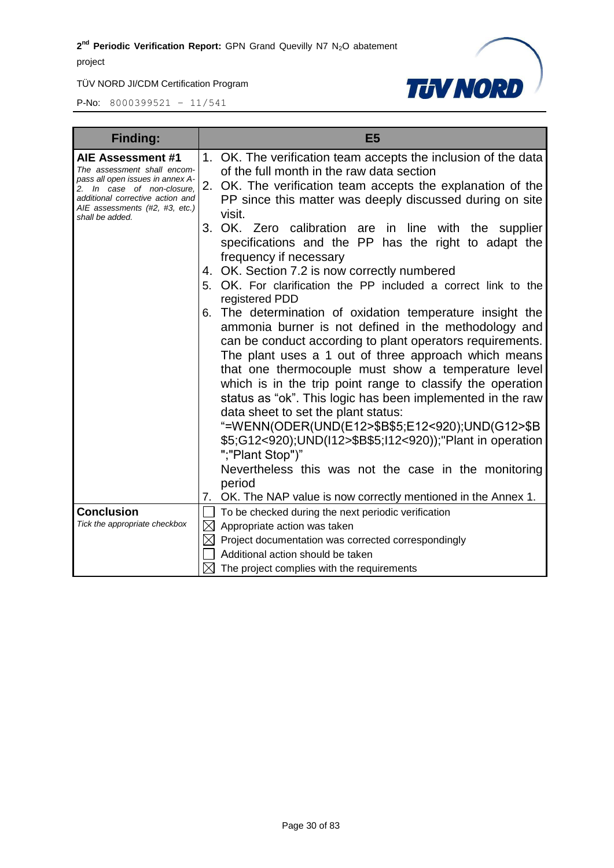TÜV NORD JI/CDM Certification Program



| <b>Finding:</b>                                                                                                                                                                                             | E <sub>5</sub>                                                                                                                                                                                                                                                                                                                                                                                                                                                                                                                                                                                                                                                                                                                                                                                                                                                                                                                                                                                                                                                                                                                                                                                                                 |
|-------------------------------------------------------------------------------------------------------------------------------------------------------------------------------------------------------------|--------------------------------------------------------------------------------------------------------------------------------------------------------------------------------------------------------------------------------------------------------------------------------------------------------------------------------------------------------------------------------------------------------------------------------------------------------------------------------------------------------------------------------------------------------------------------------------------------------------------------------------------------------------------------------------------------------------------------------------------------------------------------------------------------------------------------------------------------------------------------------------------------------------------------------------------------------------------------------------------------------------------------------------------------------------------------------------------------------------------------------------------------------------------------------------------------------------------------------|
| AIE Assessment #1<br>The assessment shall encom-<br>pass all open issues in annex A-<br>2. In case of non-closure,<br>additional corrective action and<br>AIE assessments (#2, #3, etc.)<br>shall be added. | 1. OK. The verification team accepts the inclusion of the data<br>of the full month in the raw data section<br>2. OK. The verification team accepts the explanation of the<br>PP since this matter was deeply discussed during on site<br>visit.<br>OK.<br>3 <sub>1</sub><br>Zero calibration are in line with the supplier<br>specifications and the PP has the right to adapt the<br>frequency if necessary<br>4. OK. Section 7.2 is now correctly numbered<br>5. OK. For clarification the PP included a correct link to the<br>registered PDD<br>The determination of oxidation temperature insight the<br>6.<br>ammonia burner is not defined in the methodology and<br>can be conduct according to plant operators requirements.<br>The plant uses a 1 out of three approach which means<br>that one thermocouple must show a temperature level<br>which is in the trip point range to classify the operation<br>status as "ok". This logic has been implemented in the raw<br>data sheet to set the plant status:<br>"=WENN(ODER(UND(E12>\$B\$5;E12<920);UND(G12>\$B<br>\$5;G12<920);UND(I12>\$B\$5;I12<920));"Plant in operation<br>";"Plant Stop")"<br>Nevertheless this was not the case in the monitoring<br>period |
| <b>Conclusion</b><br>Tick the appropriate checkbox                                                                                                                                                          | OK. The NAP value is now correctly mentioned in the Annex 1.<br>7.<br>To be checked during the next periodic verification<br>$\boxtimes$<br>Appropriate action was taken<br>$\boxtimes$<br>Project documentation was corrected correspondingly<br>Additional action should be taken<br>The project complies with the requirements                                                                                                                                                                                                                                                                                                                                                                                                                                                                                                                                                                                                                                                                                                                                                                                                                                                                                              |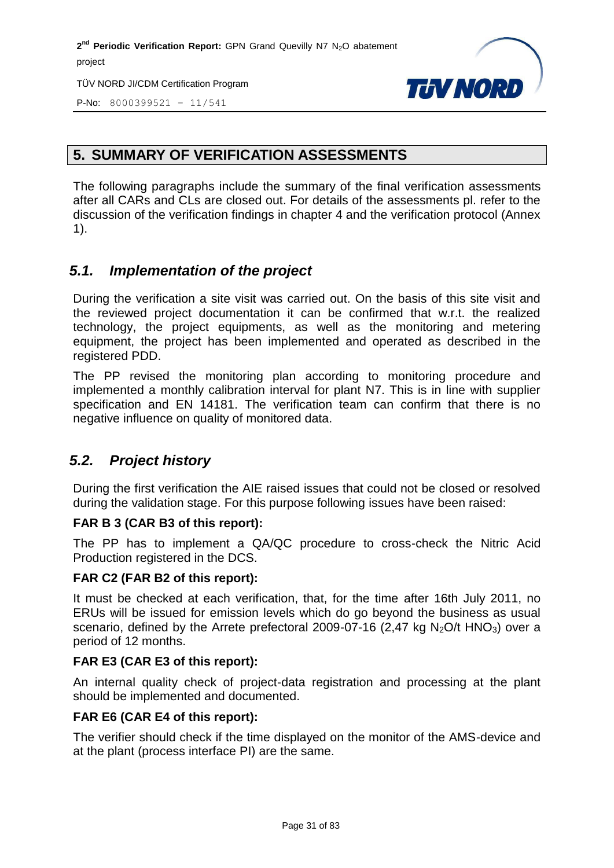TÜV NORD JI/CDM Certification Program



P-No: 8000399521 – 11/541

#### <span id="page-30-0"></span>**5. SUMMARY OF VERIFICATION ASSESSMENTS**

The following paragraphs include the summary of the final verification assessments after all CARs and CLs are closed out. For details of the assessments pl. refer to the discussion of the verification findings in chapter 4 and the verification protocol (Annex 1).

#### <span id="page-30-1"></span>*5.1. Implementation of the project*

During the verification a site visit was carried out. On the basis of this site visit and the reviewed project documentation it can be confirmed that w.r.t. the realized technology, the project equipments, as well as the monitoring and metering equipment, the project has been implemented and operated as described in the registered PDD.

The PP revised the monitoring plan according to monitoring procedure and implemented a monthly calibration interval for plant N7. This is in line with supplier specification and EN 14181. The verification team can confirm that there is no negative influence on quality of monitored data.

#### <span id="page-30-2"></span>*5.2. Project history*

During the first verification the AIE raised issues that could not be closed or resolved during the validation stage. For this purpose following issues have been raised:

#### **FAR B 3 (CAR B3 of this report):**

The PP has to implement a QA/QC procedure to cross-check the Nitric Acid Production registered in the DCS.

#### **FAR C2 (FAR B2 of this report):**

It must be checked at each verification, that, for the time after 16th July 2011, no ERUs will be issued for emission levels which do go beyond the business as usual scenario, defined by the Arrete prefectoral 2009-07-16 (2,47 kg  $N_2O/t$  HNO<sub>3</sub>) over a period of 12 months.

#### **FAR E3 (CAR E3 of this report):**

An internal quality check of project-data registration and processing at the plant should be implemented and documented.

#### **FAR E6 (CAR E4 of this report):**

The verifier should check if the time displayed on the monitor of the AMS-device and at the plant (process interface PI) are the same.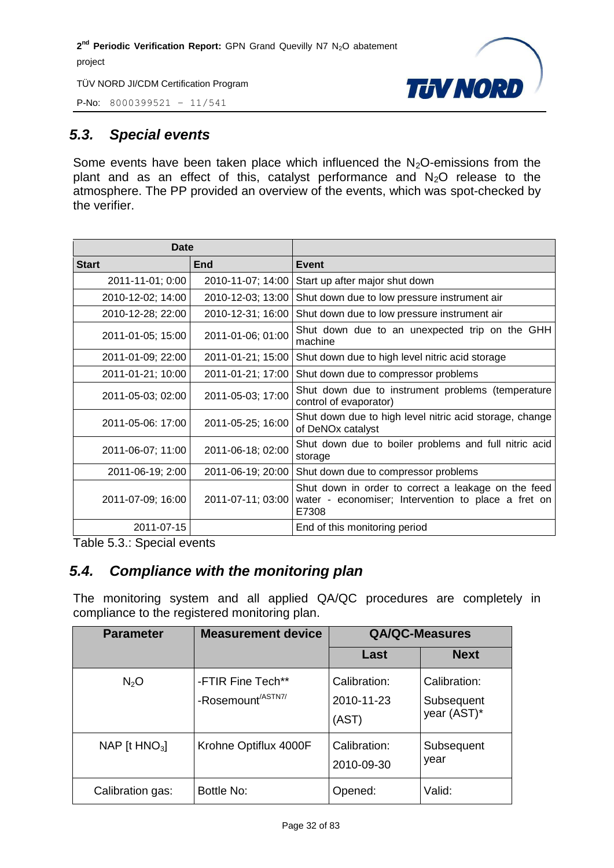



#### <span id="page-31-0"></span>*5.3. Special events*

<span id="page-31-1"></span>Some events have been taken place which influenced the  $N_2O$ -emissions from the plant and as an effect of this, catalyst performance and  $N<sub>2</sub>O$  release to the atmosphere. The PP provided an overview of the events, which was spot-checked by the verifier.

| Date              |                   |                                                                                                                     |
|-------------------|-------------------|---------------------------------------------------------------------------------------------------------------------|
| <b>Start</b>      | End               | <b>Event</b>                                                                                                        |
| 2011-11-01; 0:00  | 2010-11-07; 14:00 | Start up after major shut down                                                                                      |
| 2010-12-02; 14:00 | 2010-12-03; 13:00 | Shut down due to low pressure instrument air                                                                        |
| 2010-12-28; 22:00 | 2010-12-31; 16:00 | Shut down due to low pressure instrument air                                                                        |
| 2011-01-05; 15:00 | 2011-01-06; 01:00 | Shut down due to an unexpected trip on the GHH<br>machine                                                           |
| 2011-01-09; 22:00 | 2011-01-21; 15:00 | Shut down due to high level nitric acid storage                                                                     |
| 2011-01-21; 10:00 | 2011-01-21; 17:00 | Shut down due to compressor problems                                                                                |
| 2011-05-03; 02:00 | 2011-05-03; 17:00 | Shut down due to instrument problems (temperature<br>control of evaporator)                                         |
| 2011-05-06: 17:00 | 2011-05-25; 16:00 | Shut down due to high level nitric acid storage, change<br>of DeNOx catalyst                                        |
| 2011-06-07; 11:00 | 2011-06-18; 02:00 | Shut down due to boiler problems and full nitric acid<br>storage                                                    |
| 2011-06-19; 2:00  | 2011-06-19; 20:00 | Shut down due to compressor problems                                                                                |
| 2011-07-09; 16:00 | 2011-07-11; 03:00 | Shut down in order to correct a leakage on the feed<br>water - economiser; Intervention to place a fret on<br>E7308 |
| 2011-07-15        |                   | End of this monitoring period                                                                                       |

Table 5.3.: Special events

#### *5.4. Compliance with the monitoring plan*

The monitoring system and all applied QA/QC procedures are completely in compliance to the registered monitoring plan.

| <b>Parameter</b> | <b>Measurement device</b>                          | <b>QA/QC-Measures</b>               |                                           |
|------------------|----------------------------------------------------|-------------------------------------|-------------------------------------------|
|                  |                                                    | Last                                | <b>Next</b>                               |
| N <sub>2</sub> O | -FTIR Fine Tech**<br>-Rosemount <sup>/ASTN7/</sup> | Calibration:<br>2010-11-23<br>(AST) | Calibration:<br>Subsequent<br>year (AST)* |
| NAP $[t HNO3]$   | Krohne Optiflux 4000F                              | Calibration:<br>2010-09-30          | Subsequent<br>year                        |
| Calibration gas: | Bottle No:                                         | Opened:                             | Valid:                                    |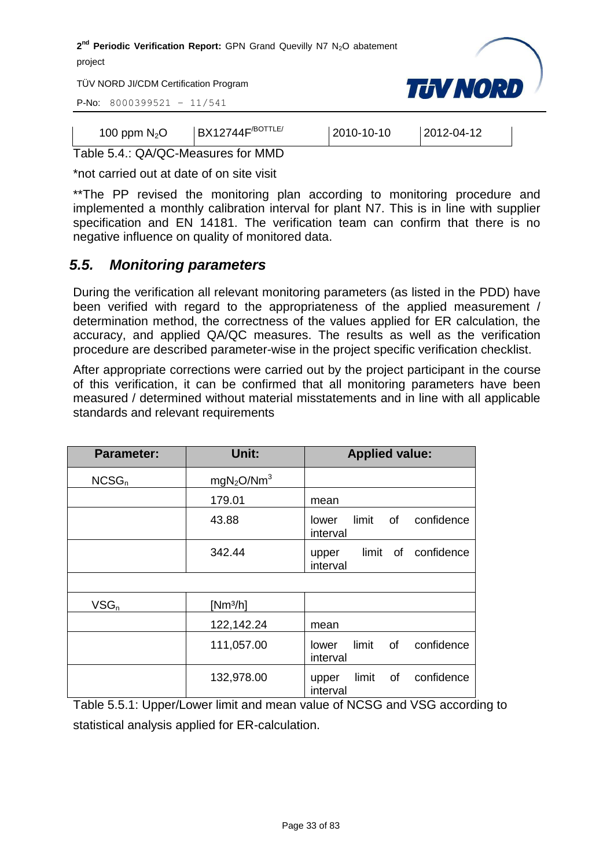

TÜV NORD JI/CDM Certification Program

P-No: 8000399521 – 11/541

| 100 ppm $N_2O$ | BX12744F/ <sup>BOTTLE/</sup> | $ 2010 - 10 - 10 $ | $ 2012 - 04 - 12 $ |  |
|----------------|------------------------------|--------------------|--------------------|--|

Table 5.4.: QA/QC-Measures for MMD

\*not carried out at date of on site visit

\*\*The PP revised the monitoring plan according to monitoring procedure and implemented a monthly calibration interval for plant N7. This is in line with supplier specification and EN 14181. The verification team can confirm that there is no negative influence on quality of monitored data.

#### <span id="page-32-0"></span>*5.5. Monitoring parameters*

During the verification all relevant monitoring parameters (as listed in the PDD) have been verified with regard to the appropriateness of the applied measurement / determination method, the correctness of the values applied for ER calculation, the accuracy, and applied QA/QC measures. The results as well as the verification procedure are described parameter-wise in the project specific verification checklist.

After appropriate corrections were carried out by the project participant in the course of this verification, it can be confirmed that all monitoring parameters have been measured / determined without material misstatements and in line with all applicable standards and relevant requirements

| <b>Parameter:</b> | Unit:                              | <b>Applied value:</b>                          |
|-------------------|------------------------------------|------------------------------------------------|
| NCSG <sub>n</sub> | mgN <sub>2</sub> O/Nm <sup>3</sup> |                                                |
|                   | 179.01                             | mean                                           |
|                   | 43.88                              | limit<br>confidence<br>of<br>lower<br>interval |
|                   | 342.44                             | limit of<br>confidence<br>upper<br>interval    |
|                   |                                    |                                                |
| $VSG_n$           | [Nm <sup>3</sup> /h]               |                                                |
|                   | 122,142.24                         | mean                                           |
|                   | 111,057.00                         | limit<br>of<br>confidence<br>lower<br>interval |
|                   | 132,978.00                         | limit of<br>confidence<br>upper<br>interval    |

Table 5.5.1: Upper/Lower limit and mean value of NCSG and VSG according to statistical analysis applied for ER-calculation.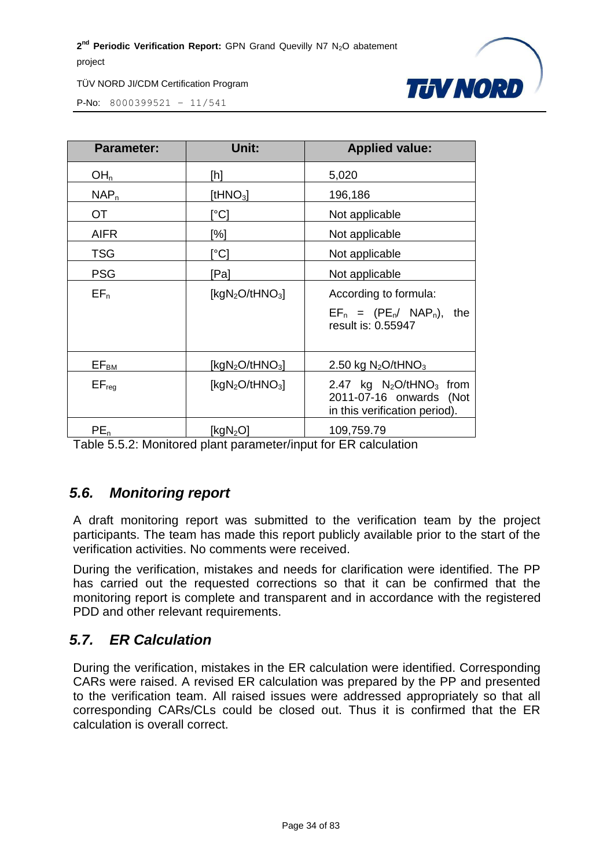

P-No: 8000399521 – 11/541

| <b>Parameter:</b> | Unit:                                   | <b>Applied value:</b>                                                                              |
|-------------------|-----------------------------------------|----------------------------------------------------------------------------------------------------|
| OH <sub>n</sub>   | [h]                                     | 5,020                                                                                              |
| NAP <sub>n</sub>  | [t $HNO3$ ]                             | 196,186                                                                                            |
| OT.               | [°C]                                    | Not applicable                                                                                     |
| <b>AIFR</b>       | [%]                                     | Not applicable                                                                                     |
| <b>TSG</b>        | [°C]                                    | Not applicable                                                                                     |
| <b>PSG</b>        | [Pa]                                    | Not applicable                                                                                     |
| $EF_n$            | [kgN <sub>2</sub> O/tHNO <sub>3</sub> ] | According to formula:<br>$EF_n = (PE_n / NAP_n),$<br>the<br>result is: 0.55947                     |
| $EF_{BM}$         | [kg $N_2O$ /tHN $O_3$ ]                 | 2.50 kg $N_2O$ /tHNO <sub>3</sub>                                                                  |
| $EF_{req}$        | [kgN <sub>2</sub> O/tHNO <sub>3</sub> ] | 2.47 kg $N_2$ O/tHNO <sub>3</sub> from<br>2011-07-16 onwards (Not<br>in this verification period). |
| $PE_n$            | [kg $\mathsf{N}_2\mathsf{O}]$           | 109,759.79                                                                                         |

Table 5.5.2: Monitored plant parameter/input for ER calculation

#### <span id="page-33-0"></span>*5.6. Monitoring report*

A draft monitoring report was submitted to the verification team by the project participants. The team has made this report publicly available prior to the start of the verification activities. No comments were received.

During the verification, mistakes and needs for clarification were identified. The PP has carried out the requested corrections so that it can be confirmed that the monitoring report is complete and transparent and in accordance with the registered PDD and other relevant requirements.

#### <span id="page-33-1"></span>*5.7. ER Calculation*

During the verification, mistakes in the ER calculation were identified. Corresponding CARs were raised. A revised ER calculation was prepared by the PP and presented to the verification team. All raised issues were addressed appropriately so that all corresponding CARs/CLs could be closed out. Thus it is confirmed that the ER calculation is overall correct.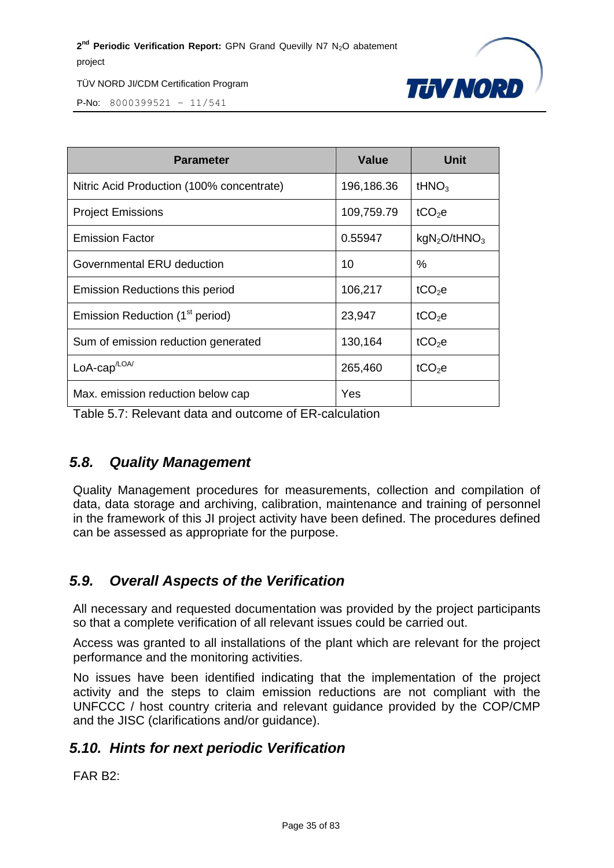

P-No: 8000399521 – 11/541

| <b>Parameter</b>                            | <b>Value</b> | Unit                                 |
|---------------------------------------------|--------------|--------------------------------------|
| Nitric Acid Production (100% concentrate)   | 196,186.36   | tHN $O_3$                            |
| <b>Project Emissions</b>                    | 109,759.79   | tCO <sub>2</sub> e                   |
| <b>Emission Factor</b>                      | 0.55947      | kgN <sub>2</sub> O/tHNO <sub>3</sub> |
| Governmental ERU deduction                  | 10           | %                                    |
| Emission Reductions this period             | 106,217      | tCO <sub>2</sub> e                   |
| Emission Reduction (1 <sup>st</sup> period) | 23,947       | tCO <sub>2</sub> e                   |
| Sum of emission reduction generated         | 130,164      | tCO <sub>2</sub> e                   |
| LoA-cap <sup>/LOA/</sup>                    | 265,460      | tCO <sub>2</sub> e                   |
| Max. emission reduction below cap           | Yes          |                                      |

Table 5.7: Relevant data and outcome of ER-calculation

#### <span id="page-34-0"></span>*5.8. Quality Management*

Quality Management procedures for measurements, collection and compilation of data, data storage and archiving, calibration, maintenance and training of personnel in the framework of this JI project activity have been defined. The procedures defined can be assessed as appropriate for the purpose.

#### <span id="page-34-1"></span>*5.9. Overall Aspects of the Verification*

All necessary and requested documentation was provided by the project participants so that a complete verification of all relevant issues could be carried out.

Access was granted to all installations of the plant which are relevant for the project performance and the monitoring activities.

No issues have been identified indicating that the implementation of the project activity and the steps to claim emission reductions are not compliant with the UNFCCC / host country criteria and relevant guidance provided by the COP/CMP and the JISC (clarifications and/or guidance).

#### <span id="page-34-2"></span>*5.10. Hints for next periodic Verification*

FAR B2: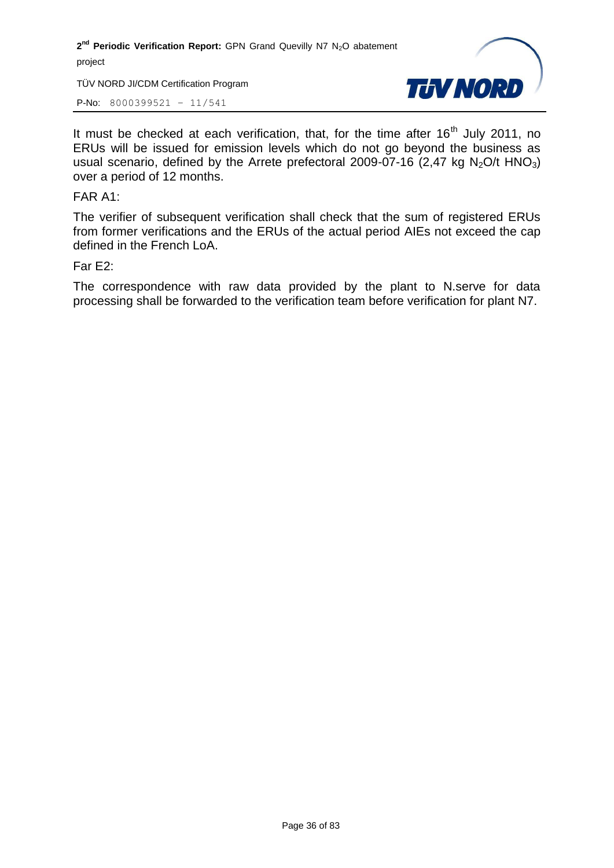TÜV NORD JI/CDM Certification Program

P-No: 8000399521 – 11/541



It must be checked at each verification, that, for the time after  $16<sup>th</sup>$  July 2011, no ERUs will be issued for emission levels which do not go beyond the business as usual scenario, defined by the Arrete prefectoral 2009-07-16 (2,47 kg  $N<sub>2</sub>O/t HNO<sub>3</sub>$ ) over a period of 12 months.

FAR A1:

The verifier of subsequent verification shall check that the sum of registered ERUs from former verifications and the ERUs of the actual period AIEs not exceed the cap defined in the French LoA.

#### Far E2:

The correspondence with raw data provided by the plant to N.serve for data processing shall be forwarded to the verification team before verification for plant N7.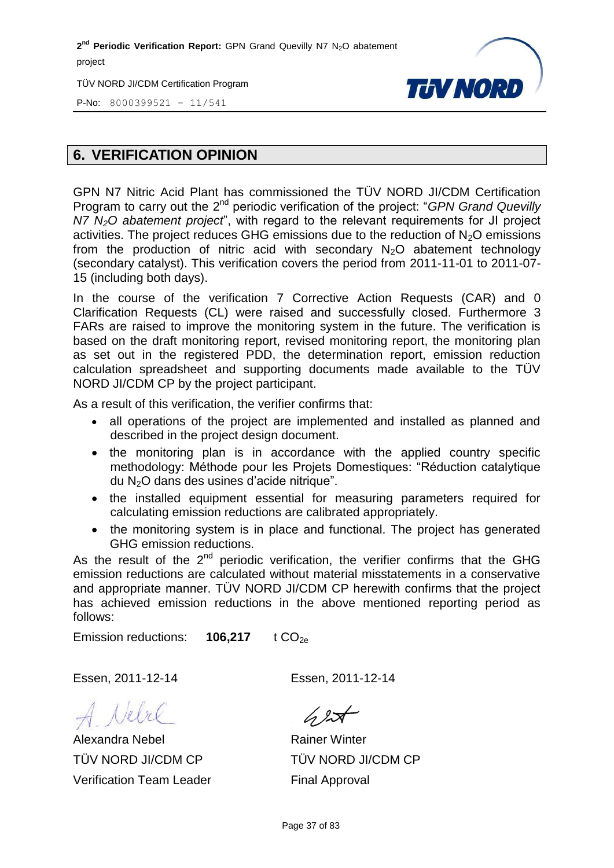2<sup>nd</sup> Periodic Verification Report: GPN Grand Quevilly N7 N<sub>2</sub>O abatement project

TÜV NORD JI/CDM Certification Program



P-No: 8000399521 – 11/541

# **6. VERIFICATION OPINION**

GPN N7 Nitric Acid Plant has commissioned the TÜV NORD JI/CDM Certification Program to carry out the 2<sup>nd</sup> periodic verification of the project: "*GPN Grand Quevilly N7 N2O abatement project*", with regard to the relevant requirements for JI project activities. The project reduces GHG emissions due to the reduction of  $N<sub>2</sub>O$  emissions from the production of nitric acid with secondary  $N_2O$  abatement technology (secondary catalyst). This verification covers the period from 2011-11-01 to 2011-07- 15 (including both days).

In the course of the verification 7 Corrective Action Requests (CAR) and 0 Clarification Requests (CL) were raised and successfully closed. Furthermore 3 FARs are raised to improve the monitoring system in the future. The verification is based on the draft monitoring report, revised monitoring report, the monitoring plan as set out in the registered PDD, the determination report, emission reduction calculation spreadsheet and supporting documents made available to the TÜV NORD JI/CDM CP by the project participant.

As a result of this verification, the verifier confirms that:

- all operations of the project are implemented and installed as planned and described in the project design document.
- the monitoring plan is in accordance with the applied country specific methodology: Méthode pour les Projets Domestiques: "Réduction catalytique du N2O dans des usines d'acide nitrique".
- the installed equipment essential for measuring parameters required for calculating emission reductions are calibrated appropriately.
- the monitoring system is in place and functional. The project has generated GHG emission reductions.

As the result of the  $2^{nd}$  periodic verification, the verifier confirms that the GHG emission reductions are calculated without material misstatements in a conservative and appropriate manner. TÜV NORD JI/CDM CP herewith confirms that the project has achieved emission reductions in the above mentioned reporting period as follows:

Emission reductions: **106,217** t CO<sub>2e</sub>

Essen, 2011-12-14 Essen, 2011-12-14

Alexandra Nebel TÜV NORD JI/CDM CP Verification Team Leader

 $\sqrt{2}$ 

Rainer Winter TÜV NORD JI/CDM CP Final Approval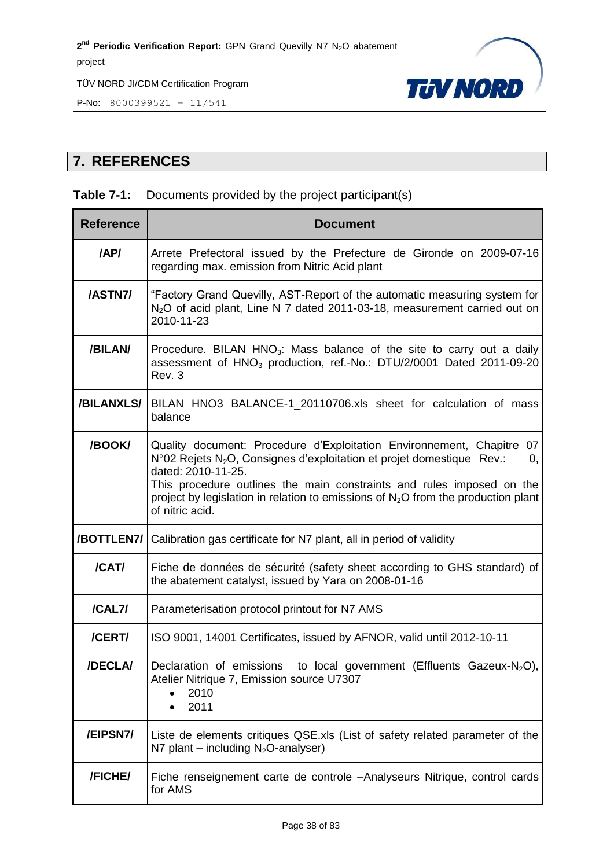

P-No: 8000399521 – 11/541

# **7. REFERENCES**

# **Table 7-1:** Documents provided by the project participant(s)

| <b>Reference</b> | <b>Document</b>                                                                                                                                                                                                                                                                                                                                                              |  |  |  |  |  |  |
|------------------|------------------------------------------------------------------------------------------------------------------------------------------------------------------------------------------------------------------------------------------------------------------------------------------------------------------------------------------------------------------------------|--|--|--|--|--|--|
| /AP/             | Arrete Prefectoral issued by the Prefecture de Gironde on 2009-07-16<br>regarding max. emission from Nitric Acid plant                                                                                                                                                                                                                                                       |  |  |  |  |  |  |
| /ASTN7/          | "Factory Grand Quevilly, AST-Report of the automatic measuring system for<br>N <sub>2</sub> O of acid plant, Line N 7 dated 2011-03-18, measurement carried out on<br>2010-11-23                                                                                                                                                                                             |  |  |  |  |  |  |
| /BILAN/          | Procedure. BILAN HNO <sub>3</sub> : Mass balance of the site to carry out a daily<br>assessment of HNO <sub>3</sub> production, ref.-No.: DTU/2/0001 Dated 2011-09-20<br>Rev. 3                                                                                                                                                                                              |  |  |  |  |  |  |
| /BILANXLS/       | BILAN HNO3 BALANCE-1_20110706.xls sheet for calculation of mass<br>balance                                                                                                                                                                                                                                                                                                   |  |  |  |  |  |  |
| /BOOK/           | Quality document: Procedure d'Exploitation Environnement, Chapitre<br>07<br>N°02 Rejets N <sub>2</sub> O, Consignes d'exploitation et projet domestique Rev.:<br>0,<br>dated: 2010-11-25.<br>This procedure outlines the main constraints and rules imposed on the<br>project by legislation in relation to emissions of $N_2O$ from the production plant<br>of nitric acid. |  |  |  |  |  |  |
| /BOTTLEN7/       | Calibration gas certificate for N7 plant, all in period of validity                                                                                                                                                                                                                                                                                                          |  |  |  |  |  |  |
| /CAT/            | Fiche de données de sécurité (safety sheet according to GHS standard) of<br>the abatement catalyst, issued by Yara on 2008-01-16                                                                                                                                                                                                                                             |  |  |  |  |  |  |
| /CAL7/           | Parameterisation protocol printout for N7 AMS                                                                                                                                                                                                                                                                                                                                |  |  |  |  |  |  |
| /CERT/           | ISO 9001, 14001 Certificates, issued by AFNOR, valid until 2012-10-11                                                                                                                                                                                                                                                                                                        |  |  |  |  |  |  |
| /DECLA/          | to local government (Effluents Gazeux-N <sub>2</sub> O),<br>Declaration of emissions<br>Atelier Nitrique 7, Emission source U7307<br>2010<br>2011                                                                                                                                                                                                                            |  |  |  |  |  |  |
| /EIPSN7/         | Liste de elements critiques QSE.xls (List of safety related parameter of the<br>N7 plant – including $N_2O$ -analyser)                                                                                                                                                                                                                                                       |  |  |  |  |  |  |
| /FICHE/          | Fiche renseignement carte de controle -Analyseurs Nitrique, control cards<br>for AMS                                                                                                                                                                                                                                                                                         |  |  |  |  |  |  |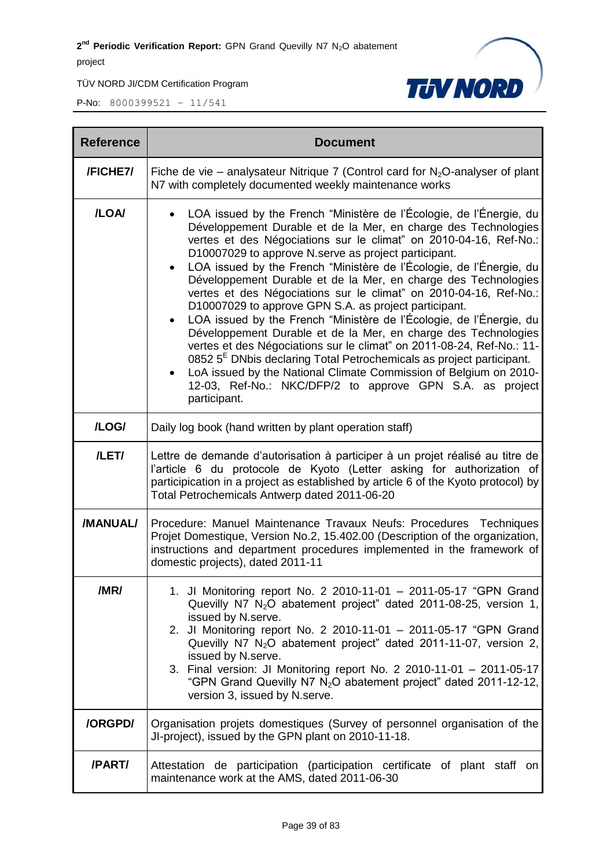

| <b>Reference</b> | <b>Document</b>                                                                                                                                                                                                                                                                                                                                                                                                                                                                                                                                                                                                                                                                                                                                                                                                                                                                                                                                                                                     |  |  |  |  |  |
|------------------|-----------------------------------------------------------------------------------------------------------------------------------------------------------------------------------------------------------------------------------------------------------------------------------------------------------------------------------------------------------------------------------------------------------------------------------------------------------------------------------------------------------------------------------------------------------------------------------------------------------------------------------------------------------------------------------------------------------------------------------------------------------------------------------------------------------------------------------------------------------------------------------------------------------------------------------------------------------------------------------------------------|--|--|--|--|--|
| /FICHE7/         | Fiche de vie – analysateur Nitrique 7 (Control card for $N_2O$ -analyser of plant<br>N7 with completely documented weekly maintenance works                                                                                                                                                                                                                                                                                                                                                                                                                                                                                                                                                                                                                                                                                                                                                                                                                                                         |  |  |  |  |  |
| /LOA/            | LOA issued by the French "Ministère de l'Écologie, de l'Énergie, du<br>Développement Durable et de la Mer, en charge des Technologies<br>vertes et des Négociations sur le climat" on 2010-04-16, Ref-No.:<br>D10007029 to approve N.serve as project participant.<br>LOA issued by the French "Ministère de l'Écologie, de l'Énergie, du<br>Développement Durable et de la Mer, en charge des Technologies<br>vertes et des Négociations sur le climat" on 2010-04-16, Ref-No.:<br>D10007029 to approve GPN S.A. as project participant.<br>LOA issued by the French "Ministère de l'Écologie, de l'Énergie, du<br>$\bullet$<br>Développement Durable et de la Mer, en charge des Technologies<br>vertes et des Négociations sur le climat" on 2011-08-24, Ref-No.: 11-<br>0852 $5E$ DNbis declaring Total Petrochemicals as project participant.<br>LoA issued by the National Climate Commission of Belgium on 2010-<br>12-03, Ref-No.: NKC/DFP/2 to approve GPN S.A. as project<br>participant. |  |  |  |  |  |
| /LOG/            | Daily log book (hand written by plant operation staff)                                                                                                                                                                                                                                                                                                                                                                                                                                                                                                                                                                                                                                                                                                                                                                                                                                                                                                                                              |  |  |  |  |  |
| /LET/            | Lettre de demande d'autorisation à participer à un projet réalisé au titre de<br>l'article 6 du protocole de Kyoto (Letter asking for authorization of<br>participication in a project as established by article 6 of the Kyoto protocol) by<br>Total Petrochemicals Antwerp dated 2011-06-20                                                                                                                                                                                                                                                                                                                                                                                                                                                                                                                                                                                                                                                                                                       |  |  |  |  |  |
| /MANUAL/         | Procedure: Manuel Maintenance Travaux Neufs: Procedures Techniques<br>Projet Domestique, Version No.2, 15.402.00 (Description of the organization,<br>instructions and department procedures implemented in the framework of<br>domestic projects), dated 2011-11                                                                                                                                                                                                                                                                                                                                                                                                                                                                                                                                                                                                                                                                                                                                   |  |  |  |  |  |
| /MR/             | 1. Jl Monitoring report No. 2 2010-11-01 - 2011-05-17 "GPN Grand<br>Quevilly N7 $N_2O$ abatement project" dated 2011-08-25, version 1,<br>issued by N.serve.<br>2. Jl Monitoring report No. 2 2010-11-01 - 2011-05-17 "GPN Grand<br>Quevilly N7 $N_2O$ abatement project" dated 2011-11-07, version 2,<br>issued by N.serve.<br>3. Final version: JI Monitoring report No. 2 2010-11-01 - 2011-05-17<br>"GPN Grand Quevilly N7 N <sub>2</sub> O abatement project" dated 2011-12-12,<br>version 3, issued by N.serve.                                                                                                                                                                                                                                                                                                                                                                                                                                                                               |  |  |  |  |  |
| /ORGPD/          | Organisation projets domestiques (Survey of personnel organisation of the<br>JI-project), issued by the GPN plant on 2010-11-18.                                                                                                                                                                                                                                                                                                                                                                                                                                                                                                                                                                                                                                                                                                                                                                                                                                                                    |  |  |  |  |  |
| /PART/           | Attestation de participation (participation certificate of plant staff on<br>maintenance work at the AMS, dated 2011-06-30                                                                                                                                                                                                                                                                                                                                                                                                                                                                                                                                                                                                                                                                                                                                                                                                                                                                          |  |  |  |  |  |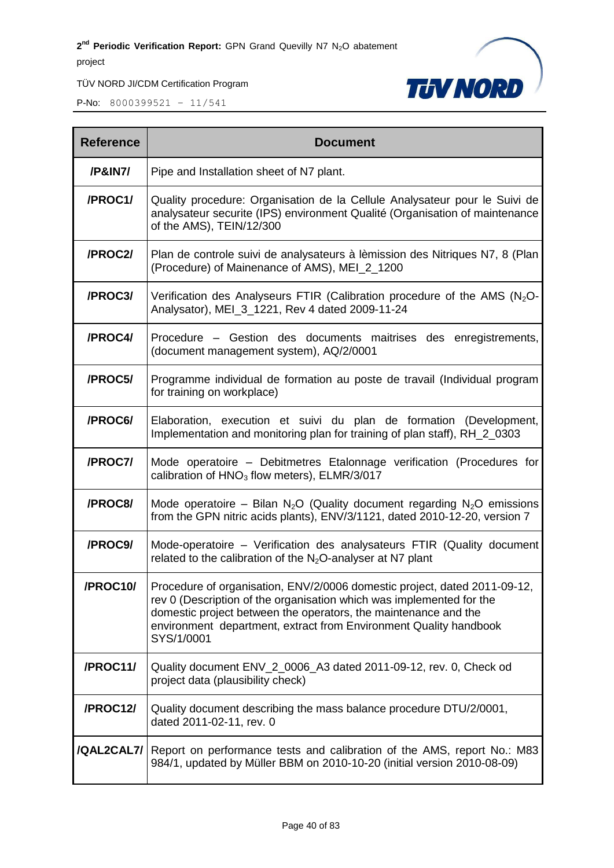

| <b>Reference</b> | <b>Document</b>                                                                                                                                                                                                                                                                                         |  |  |  |  |
|------------------|---------------------------------------------------------------------------------------------------------------------------------------------------------------------------------------------------------------------------------------------------------------------------------------------------------|--|--|--|--|
| /P&IN7/          | Pipe and Installation sheet of N7 plant.                                                                                                                                                                                                                                                                |  |  |  |  |
| /PROC1/          | Quality procedure: Organisation de la Cellule Analysateur pour le Suivi de<br>analysateur securite (IPS) environment Qualité (Organisation of maintenance<br>of the AMS), TEIN/12/300                                                                                                                   |  |  |  |  |
| /PROC2/          | Plan de controle suivi de analysateurs à lèmission des Nitriques N7, 8 (Plan<br>(Procedure) of Mainenance of AMS), MEI_2_1200                                                                                                                                                                           |  |  |  |  |
| /PROC3/          | Verification des Analyseurs FTIR (Calibration procedure of the AMS $(N_2O - N_1)$<br>Analysator), MEI_3_1221, Rev 4 dated 2009-11-24                                                                                                                                                                    |  |  |  |  |
| /PROC4/          | Procedure - Gestion des documents maitrises des enregistrements,<br>(document management system), AQ/2/0001                                                                                                                                                                                             |  |  |  |  |
| /PROC5/          | Programme individual de formation au poste de travail (Individual program<br>for training on workplace)                                                                                                                                                                                                 |  |  |  |  |
| /PROC6/          | Elaboration, execution et suivi du plan de formation (Development,<br>Implementation and monitoring plan for training of plan staff), RH_2_0303                                                                                                                                                         |  |  |  |  |
| /PROC7/          | Mode operatoire - Debitmetres Etalonnage verification (Procedures for<br>calibration of HNO <sub>3</sub> flow meters), ELMR/3/017                                                                                                                                                                       |  |  |  |  |
| /PROC8/          | Mode operatoire – Bilan N <sub>2</sub> O (Quality document regarding N <sub>2</sub> O emissions<br>from the GPN nitric acids plants), ENV/3/1121, dated 2010-12-20, version 7                                                                                                                           |  |  |  |  |
| /PROC9/          | Mode-operatoire - Verification des analysateurs FTIR (Quality document<br>related to the calibration of the $N_2O$ -analyser at N7 plant                                                                                                                                                                |  |  |  |  |
| /PROC10/         | Procedure of organisation, ENV/2/0006 domestic project, dated 2011-09-12.<br>rev 0 (Description of the organisation which was implemented for the<br>domestic project between the operators, the maintenance and the<br>environment department, extract from Environment Quality handbook<br>SYS/1/0001 |  |  |  |  |
| /PROC11/         | Quality document ENV_2_0006_A3 dated 2011-09-12, rev. 0, Check od<br>project data (plausibility check)                                                                                                                                                                                                  |  |  |  |  |
| /PROC12/         | Quality document describing the mass balance procedure DTU/2/0001,<br>dated 2011-02-11, rev. 0                                                                                                                                                                                                          |  |  |  |  |
| /QAL2CAL7/       | Report on performance tests and calibration of the AMS, report No.: M83<br>984/1, updated by Müller BBM on 2010-10-20 (initial version 2010-08-09)                                                                                                                                                      |  |  |  |  |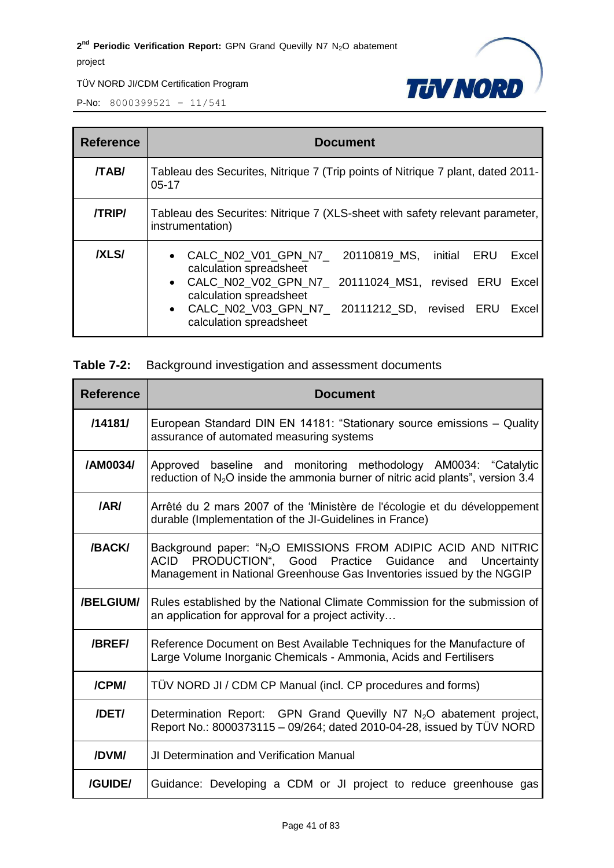

P-No: 8000399521 – 11/541

| <b>Reference</b> | <b>Document</b>                                                                                                                                                                                                                                                                                  |  |  |  |  |  |  |
|------------------|--------------------------------------------------------------------------------------------------------------------------------------------------------------------------------------------------------------------------------------------------------------------------------------------------|--|--|--|--|--|--|
| <b>/TAB/</b>     | Tableau des Securites, Nitrique 7 (Trip points of Nitrique 7 plant, dated 2011-<br>$05-17$                                                                                                                                                                                                       |  |  |  |  |  |  |
| <b>/TRIP/</b>    | Tableau des Securites: Nitrique 7 (XLS-sheet with safety relevant parameter,<br>instrumentation)                                                                                                                                                                                                 |  |  |  |  |  |  |
| <b>IXLSI</b>     | CALC N02 V01 GPN N7 20110819 MS, initial ERU<br>Excel<br>$\bullet$<br>calculation spreadsheet<br>CALC N02 V02 GPN N7 20111024 MS1, revised ERU<br>Excel<br>$\bullet$<br>calculation spreadsheet<br>CALC N02 V03 GPN N7 20111212 SD, revised ERU<br>Excel<br>$\bullet$<br>calculation spreadsheet |  |  |  |  |  |  |

### **Table 7-2:** Background investigation and assessment documents

| <b>Reference</b> | <b>Document</b>                                                                                                                                                                                                         |  |  |  |  |  |
|------------------|-------------------------------------------------------------------------------------------------------------------------------------------------------------------------------------------------------------------------|--|--|--|--|--|
| /14181/          | European Standard DIN EN 14181: "Stationary source emissions - Quality<br>assurance of automated measuring systems                                                                                                      |  |  |  |  |  |
| /AM0034/         | Approved baseline and monitoring methodology AM0034: "Catalytic<br>reduction of $N_2O$ inside the ammonia burner of nitric acid plants", version 3.4                                                                    |  |  |  |  |  |
| /AR/             | Arrêté du 2 mars 2007 of the 'Ministère de l'écologie et du développement<br>durable (Implementation of the JI-Guidelines in France)                                                                                    |  |  |  |  |  |
| /BACK/           | Background paper: "N <sub>2</sub> O EMISSIONS FROM ADIPIC ACID AND NITRIC<br>ACID PRODUCTION", Good Practice<br>Guidance<br>Uncertainty<br>and<br>Management in National Greenhouse Gas Inventories issued by the NGGIP |  |  |  |  |  |
| /BELGIUM/        | Rules established by the National Climate Commission for the submission of<br>an application for approval for a project activity                                                                                        |  |  |  |  |  |
| /BREF/           | Reference Document on Best Available Techniques for the Manufacture of<br>Large Volume Inorganic Chemicals - Ammonia, Acids and Fertilisers                                                                             |  |  |  |  |  |
| /CPM/            | TÜV NORD JI / CDM CP Manual (incl. CP procedures and forms)                                                                                                                                                             |  |  |  |  |  |
| /DET/            | Determination Report: GPN Grand Quevilly N7 N <sub>2</sub> O abatement project,<br>Report No.: 8000373115 - 09/264; dated 2010-04-28, issued by TÜV NORD                                                                |  |  |  |  |  |
| /DVM/            | <b>JI Determination and Verification Manual</b>                                                                                                                                                                         |  |  |  |  |  |
| <b>/GUIDE/</b>   | Guidance: Developing a CDM or JI project to reduce greenhouse gas                                                                                                                                                       |  |  |  |  |  |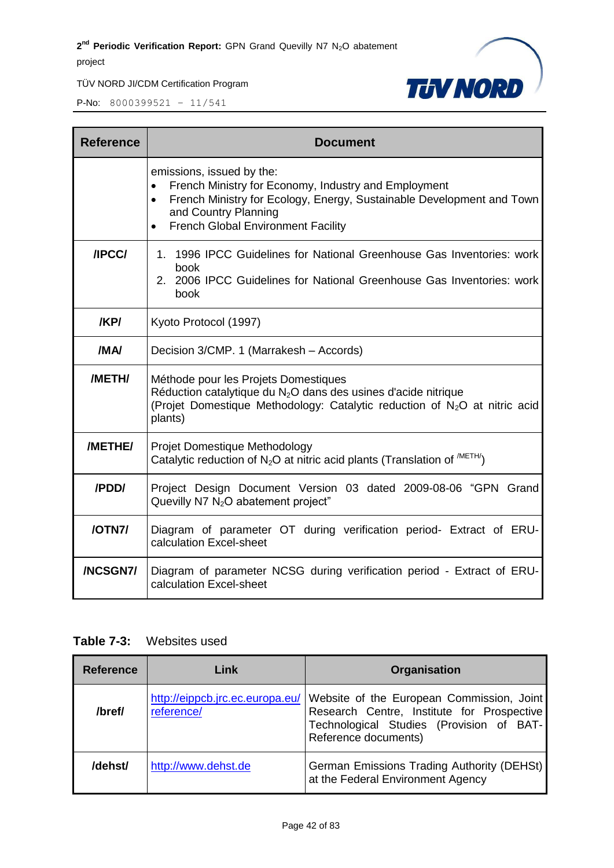

P-No: 8000399521 – 11/541

| <b>Reference</b> | <b>Document</b>                                                                                                                                                                                                                                           |  |  |  |  |  |
|------------------|-----------------------------------------------------------------------------------------------------------------------------------------------------------------------------------------------------------------------------------------------------------|--|--|--|--|--|
|                  | emissions, issued by the:<br>French Ministry for Economy, Industry and Employment<br>French Ministry for Ecology, Energy, Sustainable Development and Town<br>$\bullet$<br>and Country Planning<br><b>French Global Environment Facility</b><br>$\bullet$ |  |  |  |  |  |
| /IPCC/           | 1. 1996 IPCC Guidelines for National Greenhouse Gas Inventories: work<br>book<br>2. 2006 IPCC Guidelines for National Greenhouse Gas Inventories: work<br>book                                                                                            |  |  |  |  |  |
| /KP/             | Kyoto Protocol (1997)                                                                                                                                                                                                                                     |  |  |  |  |  |
| /MA/             | Decision 3/CMP. 1 (Marrakesh - Accords)                                                                                                                                                                                                                   |  |  |  |  |  |
| /METH/           | Méthode pour les Projets Domestiques<br>Réduction catalytique du $N_2O$ dans des usines d'acide nitrique<br>(Projet Domestique Methodology: Catalytic reduction of N <sub>2</sub> O at nitric acid<br>plants)                                             |  |  |  |  |  |
| /METHE/          | Projet Domestique Methodology<br>Catalytic reduction of N <sub>2</sub> O at nitric acid plants (Translation of $^{METH/}$ )                                                                                                                               |  |  |  |  |  |
| /PDD/            | Project Design Document Version 03 dated 2009-08-06 "GPN Grand<br>Quevilly N7 $N_2O$ abatement project"                                                                                                                                                   |  |  |  |  |  |
| /OTN7/           | Diagram of parameter OT during verification period- Extract of ERU-<br>calculation Excel-sheet                                                                                                                                                            |  |  |  |  |  |
| /NCSGN7/         | Diagram of parameter NCSG during verification period - Extract of ERU-<br>calculation Excel-sheet                                                                                                                                                         |  |  |  |  |  |

# **Table 7-3:** Websites used

| <b>Reference</b> | Link                                                                                                                                                                                                         | <b>Organisation</b>                                                             |
|------------------|--------------------------------------------------------------------------------------------------------------------------------------------------------------------------------------------------------------|---------------------------------------------------------------------------------|
| /bref/           | http://eippcb.jrc.ec.europa.eu/<br>Website of the European Commission, Joint<br>Research Centre, Institute for Prospective<br>reference/<br>Technological Studies (Provision of BAT-<br>Reference documents) |                                                                                 |
| /dehst/          | http://www.dehst.de                                                                                                                                                                                          | German Emissions Trading Authority (DEHSt)<br>at the Federal Environment Agency |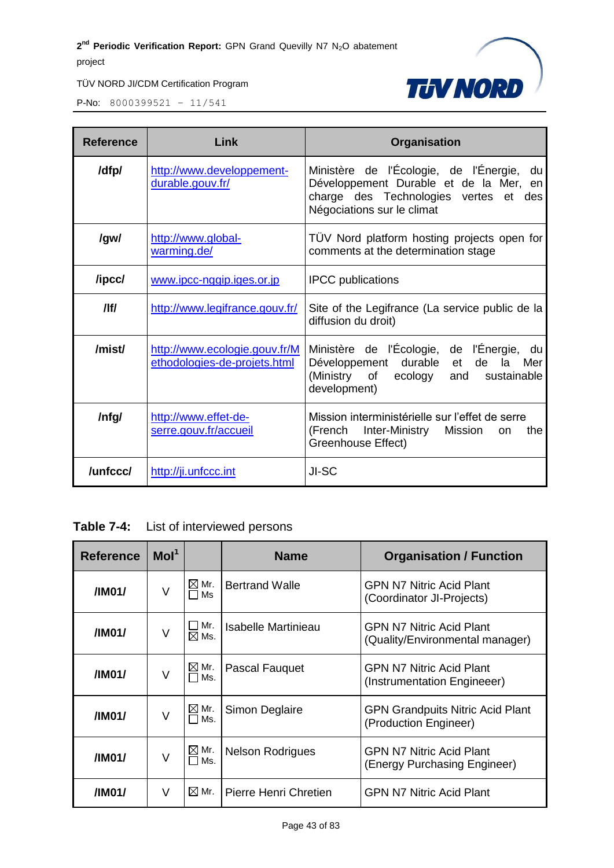

| <b>Reference</b> | Link                                                          | Organisation                                                                                                                                                        |  |  |  |
|------------------|---------------------------------------------------------------|---------------------------------------------------------------------------------------------------------------------------------------------------------------------|--|--|--|
| /dfp/            | http://www.developpement-<br>durable.gouv.fr/                 | Ministère de l'Écologie, de l'Énergie,<br>du<br>Développement Durable et de la Mer, en<br>charge des Technologies vertes<br>des<br>et<br>Négociations sur le climat |  |  |  |
| /gw/             | http://www.global-<br>warming.de/                             | TÜV Nord platform hosting projects open for<br>comments at the determination stage                                                                                  |  |  |  |
| /ipcc/           | www.ipcc-nggip.iges.or.jp                                     | <b>IPCC</b> publications                                                                                                                                            |  |  |  |
| /lf/             | http://www.legifrance.gouv.fr/                                | Site of the Legifrance (La service public de la<br>diffusion du droit)                                                                                              |  |  |  |
| /mist/           | http://www.ecologie.gouv.fr/M<br>ethodologies-de-projets.html | Ministère de l'Écologie, de l'Énergie,<br>du<br>durable<br>de<br>Mer<br>Développement<br>la<br>et<br>(Ministry of<br>ecology<br>and<br>sustainable<br>development)  |  |  |  |
| /nfg/            | http://www.effet-de-<br>serre.gouv.fr/accueil                 | Mission interministérielle sur l'effet de serre<br>Inter-Ministry<br>(French<br>Mission<br>the<br>on<br>Greenhouse Effect)                                          |  |  |  |
| /unfccc/         | http://ji.unfccc.int                                          | JI-SC                                                                                                                                                               |  |  |  |

**Table 7-4:** List of interviewed persons

| <b>Reference</b>                                        | Mol <sup>1</sup> |                               | <b>Name</b>                     | <b>Organisation / Function</b>                                     |  |
|---------------------------------------------------------|------------------|-------------------------------|---------------------------------|--------------------------------------------------------------------|--|
| $\boxtimes$ Mr.<br>/IM01/<br>V<br>$\Box$ Ms             |                  |                               | <b>Bertrand Walle</b>           | <b>GPN N7 Nitric Acid Plant</b><br>(Coordinator JI-Projects)       |  |
| $\mathsf{\sqcup Mr.}$<br>V<br>/IM01/<br>$\boxtimes$ Ms. |                  |                               | Isabelle Martinieau             | <b>GPN N7 Nitric Acid Plant</b><br>(Quality/Environmental manager) |  |
| V<br>/IM01/                                             |                  | $\boxtimes$ Mr.<br>$\Box$ Ms. | Pascal Fauquet                  | <b>GPN N7 Nitric Acid Plant</b><br>(Instrumentation Engineeer)     |  |
| V<br>/IM01/                                             |                  | $\boxtimes$ Mr.<br>$\Box$ Ms. | Simon Deglaire                  | <b>GPN Grandpuits Nitric Acid Plant</b><br>(Production Engineer)   |  |
| /IM01/                                                  | $\vee$           | $\boxtimes$ Mr.<br>$\Box$ Ms. | <b>Nelson Rodrigues</b>         | <b>GPN N7 Nitric Acid Plant</b><br>(Energy Purchasing Engineer)    |  |
| ⊠ Mr.<br>/IM01/<br>$\vee$                               |                  | Pierre Henri Chretien         | <b>GPN N7 Nitric Acid Plant</b> |                                                                    |  |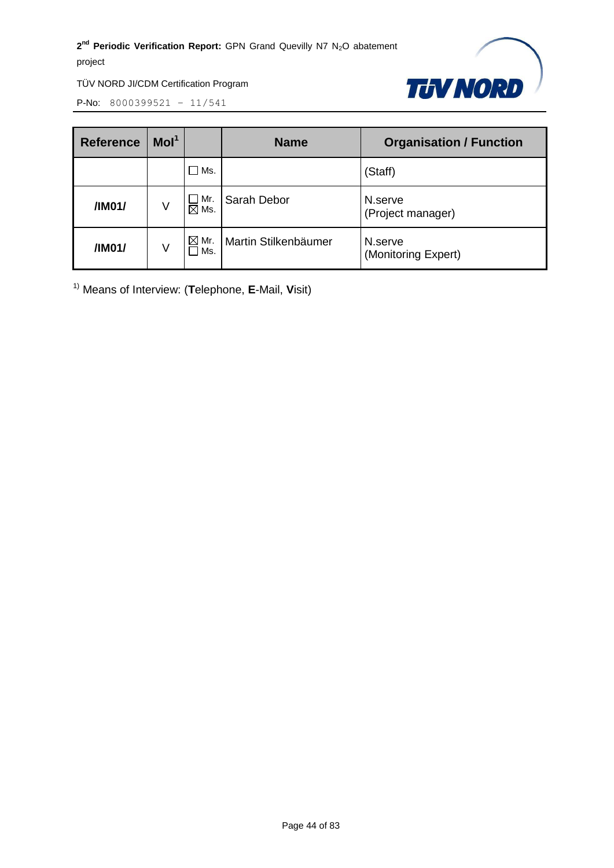

P-No: 8000399521 – 11/541

| <b>Reference</b> | Mol <sup>1</sup> |                         | <b>Name</b>          | <b>Organisation / Function</b> |
|------------------|------------------|-------------------------|----------------------|--------------------------------|
|                  |                  | Ms.                     |                      | (Staff)                        |
| /IM01/           | V                | Mr.<br>$\boxtimes$ Ms.  | Sarah Debor          | N.serve<br>(Project manager)   |
| /IM01/           | V                | $\boxtimes$ Mr.<br>ヿMs. | Martin Stilkenbäumer | N.serve<br>(Monitoring Expert) |

1) Means of Interview: (**T**elephone, **E**-Mail, **V**isit)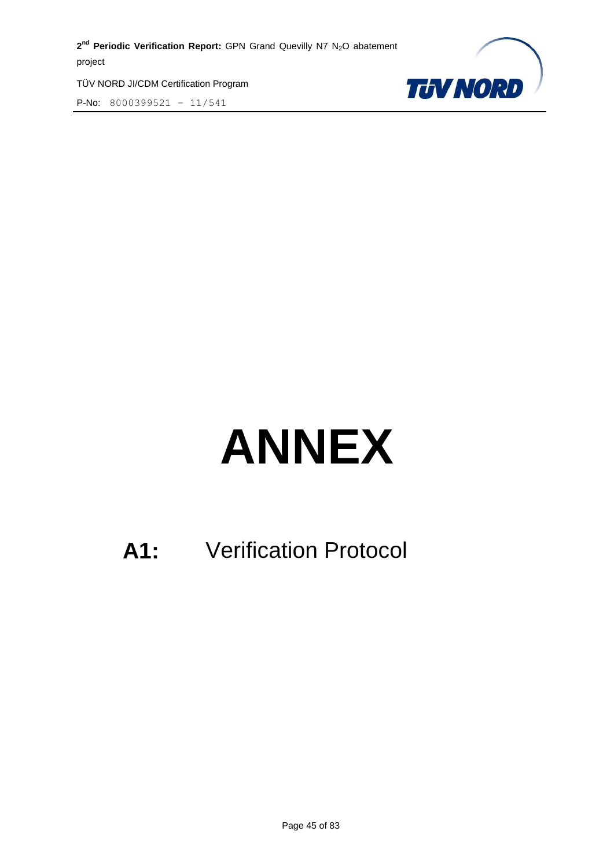TÜV NORD JI/CDM Certification Program P-No: 8000399521 – 11/541



# **ANNEX**

# **A1:** Verification Protocol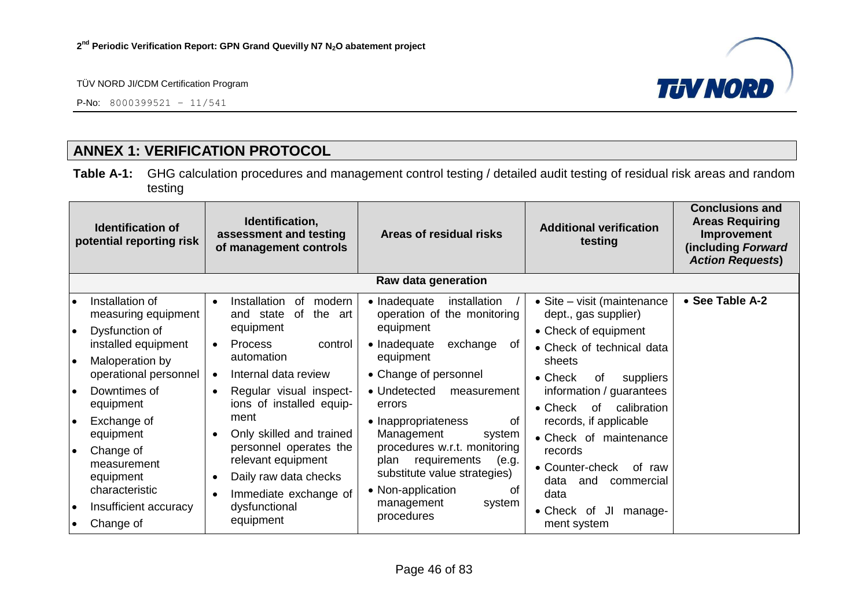P-No: 8000399521 – 11/541



# **ANNEX 1: VERIFICATION PROTOCOL**

**Table A-1:** GHG calculation procedures and management control testing / detailed audit testing of residual risk areas and random testing

| Identification,<br><b>Identification of</b><br>assessment and testing<br>potential reporting risk<br>of management controls |                                                                 | Areas of residual risks | <b>Additional verification</b><br>testing                                                                                          | <b>Conclusions and</b><br><b>Areas Requiring</b><br>Improvement<br>(including Forward<br><b>Action Requests)</b>         |                                                                             |                 |
|-----------------------------------------------------------------------------------------------------------------------------|-----------------------------------------------------------------|-------------------------|------------------------------------------------------------------------------------------------------------------------------------|--------------------------------------------------------------------------------------------------------------------------|-----------------------------------------------------------------------------|-----------------|
|                                                                                                                             |                                                                 |                         |                                                                                                                                    | Raw data generation                                                                                                      |                                                                             |                 |
| I۰<br>I۰                                                                                                                    | Installation of<br>measuring equipment<br>Dysfunction of        | $\bullet$               | Installation<br>modern<br>0f<br>of<br>the<br>and state<br>art<br>equipment                                                         | • Inadequate<br>installation<br>operation of the monitoring<br>equipment                                                 | • Site – visit (maintenance<br>dept., gas supplier)<br>• Check of equipment | • See Table A-2 |
| ه ا                                                                                                                         | installed equipment<br>Maloperation by<br>operational personnel | $\bullet$<br>$\bullet$  | <b>Process</b><br>control<br>automation<br>Internal data review                                                                    | • Inadequate<br>exchange<br>0f<br>equipment<br>• Change of personnel                                                     | • Check of technical data<br>sheets<br>$\bullet$ Check<br>0f<br>suppliers   |                 |
| I۰                                                                                                                          | Downtimes of<br>equipment                                       | $\bullet$               | Regular visual inspect-<br>ions of installed equip-                                                                                | • Undetected<br>measurement<br>errors                                                                                    | information / guarantees<br>calibration<br>$\bullet$ Check<br>of            |                 |
| I۰                                                                                                                          | Exchange of<br>equipment                                        |                         | ment<br>Only skilled and trained<br>personnel operates the<br>relevant equipment<br>Daily raw data checks<br>Immediate exchange of | • Inappropriateness<br>0f<br>Management<br>system                                                                        | records, if applicable<br>• Check of maintenance                            |                 |
| ∣∙                                                                                                                          | Change of<br>measurement<br>equipment<br>characteristic         |                         |                                                                                                                                    | procedures w.r.t. monitoring<br>requirements<br>plan<br>(e.g.<br>substitute value strategies)<br>• Non-application<br>Ωt | records<br>• Counter-check<br>of raw<br>data<br>and<br>commercial<br>data   |                 |
| ه ا<br>$\bullet$                                                                                                            | Insufficient accuracy<br>Change of                              |                         | dysfunctional<br>equipment                                                                                                         | management<br>system<br>procedures                                                                                       | • Check of<br>IJI<br>manage-<br>ment system                                 |                 |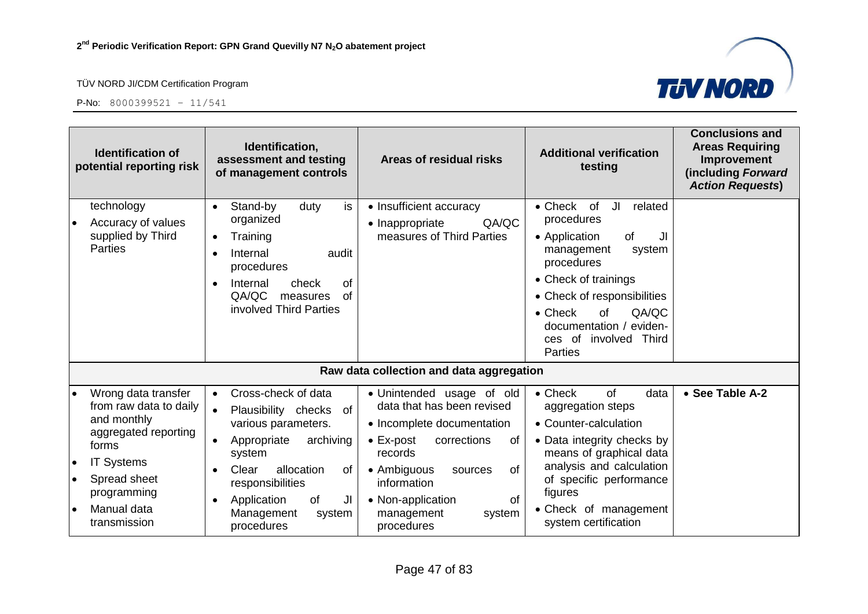



| <b>Identification of</b><br>potential reporting risk                                                                                                                                      | Identification,<br>assessment and testing<br>of management controls                                                                                                                                                                          | Areas of residual risks                                                                                                                                                                                                                                           | <b>Additional verification</b><br>testing                                                                                                                                                                                                                                              | <b>Conclusions and</b><br><b>Areas Requiring</b><br>Improvement<br>(including Forward<br><b>Action Requests)</b> |
|-------------------------------------------------------------------------------------------------------------------------------------------------------------------------------------------|----------------------------------------------------------------------------------------------------------------------------------------------------------------------------------------------------------------------------------------------|-------------------------------------------------------------------------------------------------------------------------------------------------------------------------------------------------------------------------------------------------------------------|----------------------------------------------------------------------------------------------------------------------------------------------------------------------------------------------------------------------------------------------------------------------------------------|------------------------------------------------------------------------------------------------------------------|
| technology<br>Accuracy of values<br>$\bullet$<br>supplied by Third<br><b>Parties</b>                                                                                                      | Stand-by<br>is<br>duty<br>$\bullet$<br>organized<br>Training<br>$\bullet$<br>Internal<br>audit<br>$\bullet$<br>procedures<br>check<br><b>of</b><br>Internal<br>QA/QC<br>of<br>measures<br>involved Third Parties                             | • Insufficient accuracy<br>QA/QC<br>• Inappropriate<br>measures of Third Parties                                                                                                                                                                                  | JI<br>$\bullet$ Check<br>of<br>related<br>procedures<br>• Application<br>of<br>JI<br>management<br>system<br>procedures<br>• Check of trainings<br>• Check of responsibilities<br>QA/QC<br>$\bullet$ Check<br>of<br>documentation / eviden-<br>ces of involved Third<br><b>Parties</b> |                                                                                                                  |
|                                                                                                                                                                                           |                                                                                                                                                                                                                                              | Raw data collection and data aggregation                                                                                                                                                                                                                          |                                                                                                                                                                                                                                                                                        |                                                                                                                  |
| Wrong data transfer<br>from raw data to daily<br>and monthly<br>aggregated reporting<br>forms<br>Systems<br>IT<br>Spread sheet<br>programming<br>Manual data<br>$\bullet$<br>transmission | Cross-check of data<br>$\bullet$<br>Plausibility checks<br>of<br>various parameters.<br>archiving<br>Appropriate<br>system<br>allocation<br>Clear<br>0f<br>responsibilities<br>Application<br>of<br>JI<br>Management<br>system<br>procedures | • Unintended usage of old<br>data that has been revised<br>• Incomplete documentation<br>$\bullet$ Ex-post<br>corrections<br>οf<br>records<br>• Ambiguous<br><b>of</b><br>sources<br>information<br>of<br>• Non-application<br>management<br>system<br>procedures | $\bullet$ Check<br>of<br>data<br>aggregation steps<br>• Counter-calculation<br>• Data integrity checks by<br>means of graphical data<br>analysis and calculation<br>of specific performance<br>figures<br>• Check of management<br>system certification                                | • See Table A-2                                                                                                  |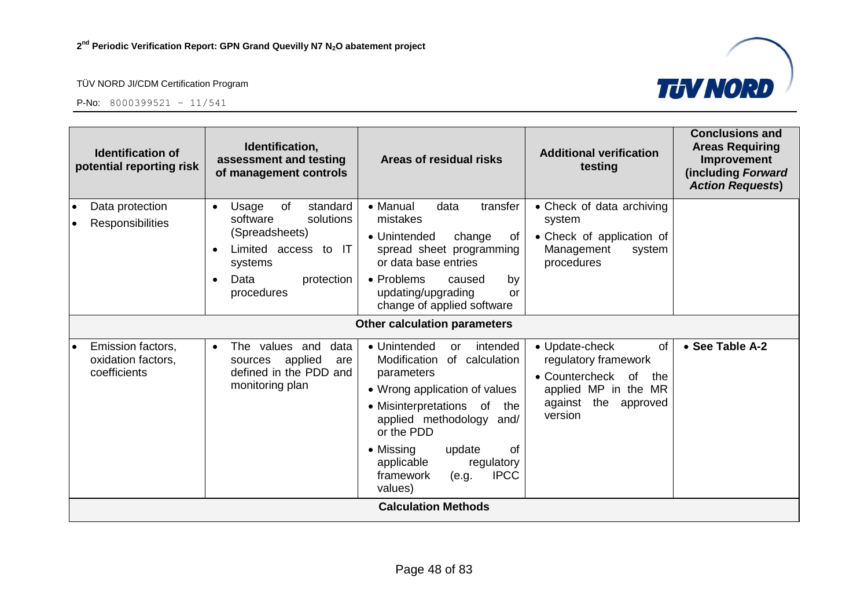



|           | <b>Identification of</b><br>potential reporting risk    | Identification,<br>assessment and testing<br>of management controls                                                                                    | Areas of residual risks                                                                                                                                                                                                                                                                              | <b>Additional verification</b><br>testing                                                                                                 | <b>Conclusions and</b><br><b>Areas Requiring</b><br>Improvement<br>(including Forward<br><b>Action Requests)</b> |
|-----------|---------------------------------------------------------|--------------------------------------------------------------------------------------------------------------------------------------------------------|------------------------------------------------------------------------------------------------------------------------------------------------------------------------------------------------------------------------------------------------------------------------------------------------------|-------------------------------------------------------------------------------------------------------------------------------------------|------------------------------------------------------------------------------------------------------------------|
| $\bullet$ | Data protection<br><b>Responsibilities</b>              | standard<br>of<br>Usage<br>$\bullet$<br>solutions<br>software<br>(Spreadsheets)<br>Limited access to IT<br>systems<br>Data<br>protection<br>procedures | • Manual<br>data<br>transfer<br>mistakes<br>• Unintended<br>change<br>0f<br>spread sheet programming<br>or data base entries<br>• Problems<br>caused<br>by<br>updating/upgrading<br>or<br>change of applied software                                                                                 | • Check of data archiving<br>system<br>• Check of application of<br>Management<br>system<br>procedures                                    |                                                                                                                  |
|           |                                                         |                                                                                                                                                        | <b>Other calculation parameters</b>                                                                                                                                                                                                                                                                  |                                                                                                                                           |                                                                                                                  |
| l e       | Emission factors,<br>oxidation factors,<br>coefficients | The values and<br>data<br>$\bullet$<br>applied<br>sources<br>are<br>defined in the PDD and<br>monitoring plan                                          | • Unintended<br>intended<br>or<br>Modification<br>of calculation<br>parameters<br>• Wrong application of values<br>• Misinterpretations of<br>the<br>applied methodology and/<br>or the PDD<br>• Missing<br>0f<br>update<br>applicable<br>regulatory<br><b>IPCC</b><br>framework<br>(e.g.<br>values) | • Update-check<br>0f<br>regulatory framework<br>• Countercheck<br>of<br>the<br>applied MP in the MR<br>against the<br>approved<br>version | • See Table A-2                                                                                                  |
|           |                                                         |                                                                                                                                                        | <b>Calculation Methods</b>                                                                                                                                                                                                                                                                           |                                                                                                                                           |                                                                                                                  |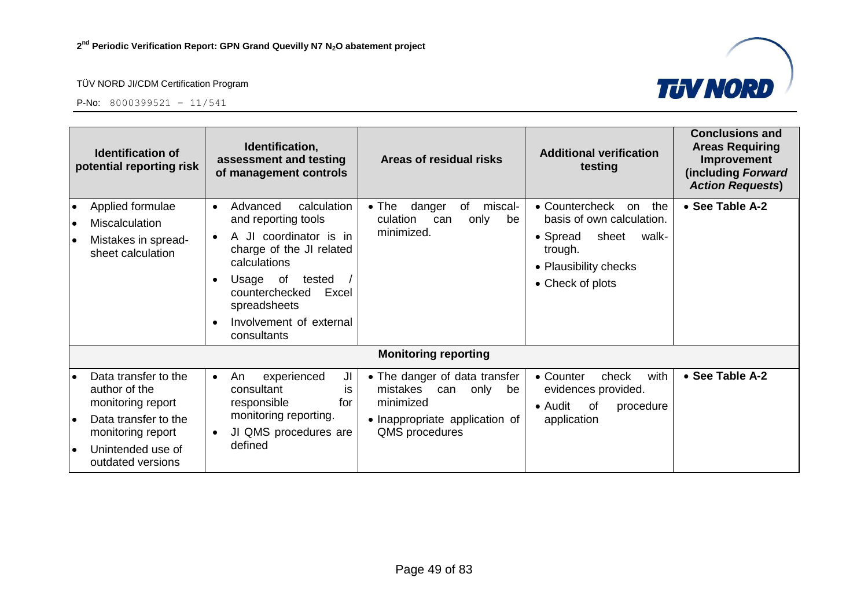

|                                     | <b>Identification of</b><br>potential reporting risk                                                                                              | Identification,<br><b>Additional verification</b><br>assessment and testing<br>Areas of residual risks<br>testing<br>of management controls                                                                                                                                                                                                                                                                                                                                               | <b>Conclusions and</b><br><b>Areas Requiring</b><br>Improvement<br>(including Forward<br><b>Action Requests)</b> |
|-------------------------------------|---------------------------------------------------------------------------------------------------------------------------------------------------|-------------------------------------------------------------------------------------------------------------------------------------------------------------------------------------------------------------------------------------------------------------------------------------------------------------------------------------------------------------------------------------------------------------------------------------------------------------------------------------------|------------------------------------------------------------------------------------------------------------------|
| $\bullet$<br>$\bullet$<br>$\bullet$ | Applied formulae<br>Miscalculation<br>Mistakes in spread-<br>sheet calculation                                                                    | calculation<br>miscal-<br>• Countercheck<br>Advanced<br>$\bullet$ The<br>danger<br>of<br>the<br>on<br>$\bullet$<br>basis of own calculation.<br>and reporting tools<br>culation<br>only<br>be<br>can<br>minimized.<br>A JI coordinator is in<br>• Spread<br>sheet<br>walk-<br>charge of the JI related<br>trough.<br>calculations<br>• Plausibility checks<br>Usage of<br>tested<br>• Check of plots<br>counterchecked<br>Excel<br>spreadsheets<br>Involvement of external<br>consultants | • See Table A-2                                                                                                  |
|                                     |                                                                                                                                                   | <b>Monitoring reporting</b>                                                                                                                                                                                                                                                                                                                                                                                                                                                               |                                                                                                                  |
| l e                                 | Data transfer to the<br>author of the<br>monitoring report<br>Data transfer to the<br>monitoring report<br>Unintended use of<br>outdated versions | • The danger of data transfer<br>• Counter<br>with<br>experienced<br>JI<br>check<br>An<br>$\bullet$<br>mistakes<br>consultant<br>only<br>evidences provided.<br>can<br>be<br>İS.<br>responsible<br>minimized<br>for<br>• Audit<br>0f<br>procedure<br>monitoring reporting.<br>• Inappropriate application of<br>application<br>JI QMS procedures are<br>QMS procedures<br>٠<br>defined                                                                                                    | • See Table A-2                                                                                                  |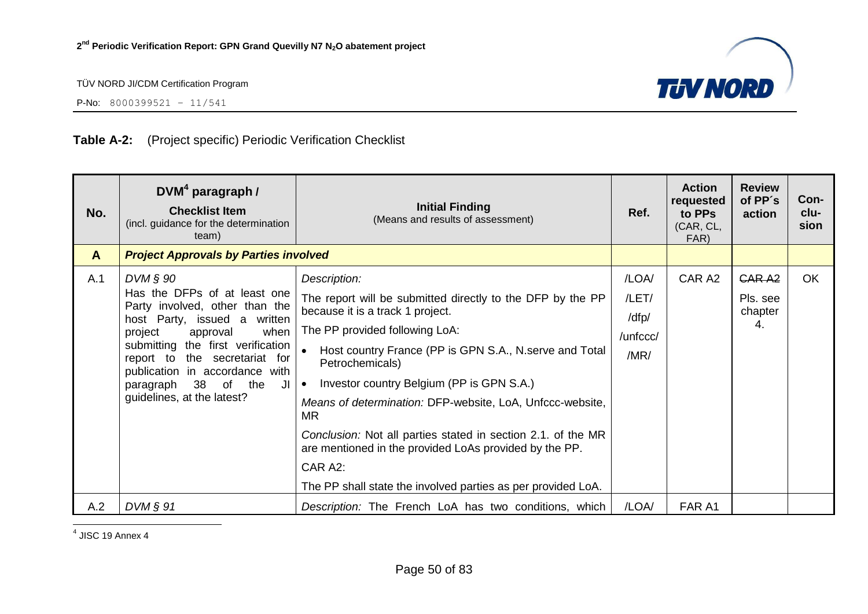

P-No: 8000399521 – 11/541

# **Table A-2:** (Project specific) Periodic Verification Checklist

| No.          | $DVM4$ paragraph /<br><b>Checklist Item</b><br>(incl. guidance for the determination<br>team)                                                                                                                                                                                                                      | <b>Initial Finding</b><br>(Means and results of assessment)                                                                                                                                                                                                                                                                                                                                                                                                                                                                                                                          | Ref.                                        | <b>Action</b><br>requested<br>to PPs<br>(CAR, CL,<br>FAR) | <b>Review</b><br>of PP's<br>action             | Con-<br>clu-<br>sion |
|--------------|--------------------------------------------------------------------------------------------------------------------------------------------------------------------------------------------------------------------------------------------------------------------------------------------------------------------|--------------------------------------------------------------------------------------------------------------------------------------------------------------------------------------------------------------------------------------------------------------------------------------------------------------------------------------------------------------------------------------------------------------------------------------------------------------------------------------------------------------------------------------------------------------------------------------|---------------------------------------------|-----------------------------------------------------------|------------------------------------------------|----------------------|
| $\mathbf{A}$ | <b>Project Approvals by Parties involved</b>                                                                                                                                                                                                                                                                       |                                                                                                                                                                                                                                                                                                                                                                                                                                                                                                                                                                                      |                                             |                                                           |                                                |                      |
| A.1          | $DVM \S 90$<br>Has the DFPs of at least one<br>Party involved, other than the<br>host Party, issued a written<br>project<br>approval<br>when<br>submitting the first verification<br>report to the secretariat for<br>publication in accordance with<br>38 of the<br>paragraph<br>JI<br>guidelines, at the latest? | Description:<br>The report will be submitted directly to the DFP by the PP<br>because it is a track 1 project.<br>The PP provided following LoA:<br>Host country France (PP is GPN S.A., N. serve and Total<br>$\bullet$<br>Petrochemicals)<br>Investor country Belgium (PP is GPN S.A.)<br>$\bullet$<br>Means of determination: DFP-website, LoA, Unfccc-website,<br><b>MR</b><br>Conclusion: Not all parties stated in section 2.1. of the MR<br>are mentioned in the provided LoAs provided by the PP.<br>CAR A2:<br>The PP shall state the involved parties as per provided LoA. | /LOA/<br>/LET/<br>/dfp/<br>/unfccc/<br>/MR/ | CAR A2                                                    | GAR <sub>A2</sub><br>Pls. see<br>chapter<br>4. | OK                   |
| A.2          | $DVM$ $\S$ 91                                                                                                                                                                                                                                                                                                      | Description: The French LoA has two conditions, which                                                                                                                                                                                                                                                                                                                                                                                                                                                                                                                                | /LOA/                                       | FAR A1                                                    |                                                |                      |

4 JISC 19 Annex 4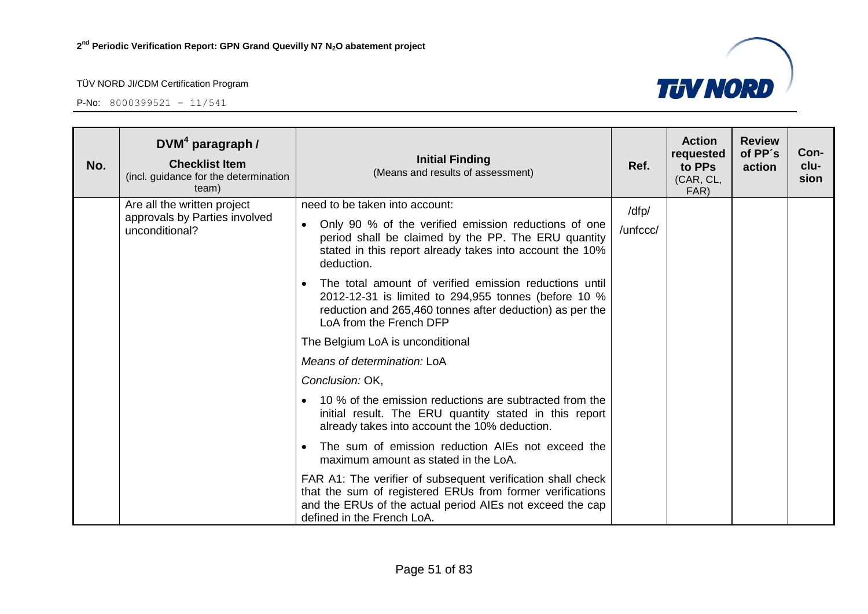

| No. | $DVM4$ paragraph /<br><b>Checklist Item</b><br>(incl. guidance for the determination<br>team) | <b>Initial Finding</b><br>(Means and results of assessment)                                                                                                                                                         | Ref.     | <b>Action</b><br>requested<br>to PPs<br>(CAR, CL,<br>FAR) | <b>Review</b><br>of PP's<br>action | Con-<br>clu-<br>sion |
|-----|-----------------------------------------------------------------------------------------------|---------------------------------------------------------------------------------------------------------------------------------------------------------------------------------------------------------------------|----------|-----------------------------------------------------------|------------------------------------|----------------------|
|     | Are all the written project<br>approvals by Parties involved                                  | need to be taken into account:<br>Only 90 % of the verified emission reductions of one<br>$\bullet$                                                                                                                 | /dfp/    |                                                           |                                    |                      |
|     | unconditional?                                                                                | period shall be claimed by the PP. The ERU quantity<br>stated in this report already takes into account the 10%<br>deduction.                                                                                       | /unfccc/ |                                                           |                                    |                      |
|     |                                                                                               | The total amount of verified emission reductions until<br>$\bullet$<br>2012-12-31 is limited to 294,955 tonnes (before 10 %<br>reduction and 265,460 tonnes after deduction) as per the<br>LoA from the French DFP  |          |                                                           |                                    |                      |
|     |                                                                                               | The Belgium LoA is unconditional                                                                                                                                                                                    |          |                                                           |                                    |                      |
|     |                                                                                               | Means of determination: LoA                                                                                                                                                                                         |          |                                                           |                                    |                      |
|     |                                                                                               | Conclusion: OK,                                                                                                                                                                                                     |          |                                                           |                                    |                      |
|     |                                                                                               | 10 % of the emission reductions are subtracted from the<br>initial result. The ERU quantity stated in this report<br>already takes into account the 10% deduction.                                                  |          |                                                           |                                    |                      |
|     |                                                                                               | The sum of emission reduction AIEs not exceed the<br>maximum amount as stated in the LoA.                                                                                                                           |          |                                                           |                                    |                      |
|     |                                                                                               | FAR A1: The verifier of subsequent verification shall check<br>that the sum of registered ERUs from former verifications<br>and the ERUs of the actual period AIEs not exceed the cap<br>defined in the French LoA. |          |                                                           |                                    |                      |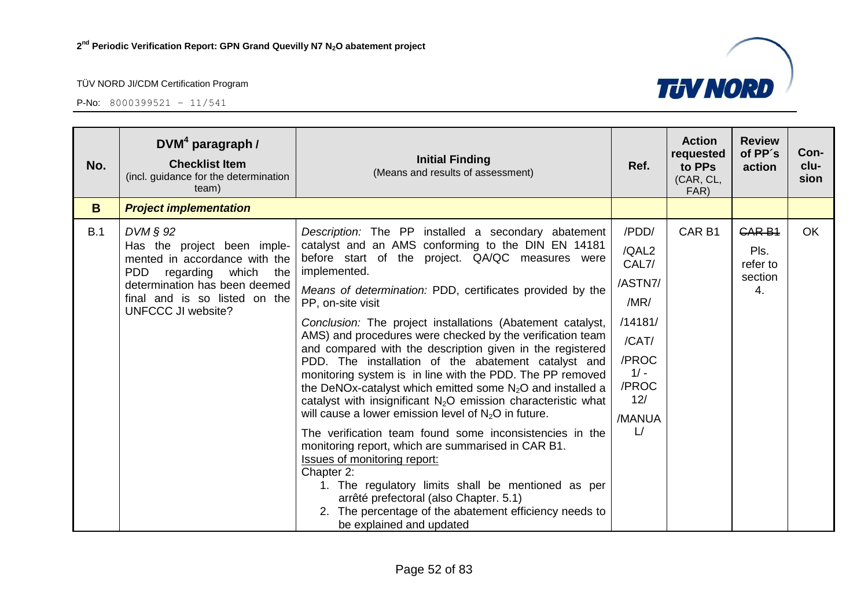

| No. | $DVM4$ paragraph /<br><b>Checklist Item</b><br>(incl. guidance for the determination<br>team)                                                                                                                   | <b>Initial Finding</b><br>(Means and results of assessment)                                                                                                                                                                                                                                                                                                                                                                                                                                                                                                                                                                                                                                                                                                                                                                                                                                                                                                                                                                                                                                                                          | Ref.                                                                                                                         | <b>Action</b><br>requested<br>to PPs<br>(CAR, CL,<br>FAR) | <b>Review</b><br>of PP's<br>action                 | Con-<br>clu-<br>sion |
|-----|-----------------------------------------------------------------------------------------------------------------------------------------------------------------------------------------------------------------|--------------------------------------------------------------------------------------------------------------------------------------------------------------------------------------------------------------------------------------------------------------------------------------------------------------------------------------------------------------------------------------------------------------------------------------------------------------------------------------------------------------------------------------------------------------------------------------------------------------------------------------------------------------------------------------------------------------------------------------------------------------------------------------------------------------------------------------------------------------------------------------------------------------------------------------------------------------------------------------------------------------------------------------------------------------------------------------------------------------------------------------|------------------------------------------------------------------------------------------------------------------------------|-----------------------------------------------------------|----------------------------------------------------|----------------------|
| B   | <b>Project implementation</b>                                                                                                                                                                                   |                                                                                                                                                                                                                                                                                                                                                                                                                                                                                                                                                                                                                                                                                                                                                                                                                                                                                                                                                                                                                                                                                                                                      |                                                                                                                              |                                                           |                                                    |                      |
| B.1 | $DVM \S 92$<br>Has the project been imple-<br>mented in accordance with the<br><b>PDD</b><br>regarding which the<br>determination has been deemed<br>final and is so listed on the<br><b>UNFCCC JI website?</b> | Description: The PP installed a secondary abatement<br>catalyst and an AMS conforming to the DIN EN 14181<br>before start of the project. QA/QC measures were<br>implemented.<br>Means of determination: PDD, certificates provided by the<br>PP, on-site visit<br>Conclusion: The project installations (Abatement catalyst,<br>AMS) and procedures were checked by the verification team<br>and compared with the description given in the registered<br>PDD. The installation of the abatement catalyst and<br>monitoring system is in line with the PDD. The PP removed<br>the DeNOx-catalyst which emitted some $N_2O$ and installed a<br>catalyst with insignificant $N_2O$ emission characteristic what<br>will cause a lower emission level of $N_2O$ in future.<br>The verification team found some inconsistencies in the<br>monitoring report, which are summarised in CAR B1.<br><b>Issues of monitoring report:</b><br>Chapter 2:<br>1. The regulatory limits shall be mentioned as per<br>arrêté prefectoral (also Chapter. 5.1)<br>2. The percentage of the abatement efficiency needs to<br>be explained and updated | /PDD/<br>/QAL2<br>CAL7/<br>/ASTN7/<br>/MR/<br>/14181/<br>/CAT/<br>/PROC<br>$1/ -$<br>/PROC<br>12/<br>/MANUA<br>$\mathsf{L}/$ | CAR <sub>B1</sub>                                         | <b>CAR B1</b><br>Pls.<br>refer to<br>section<br>4. | OK                   |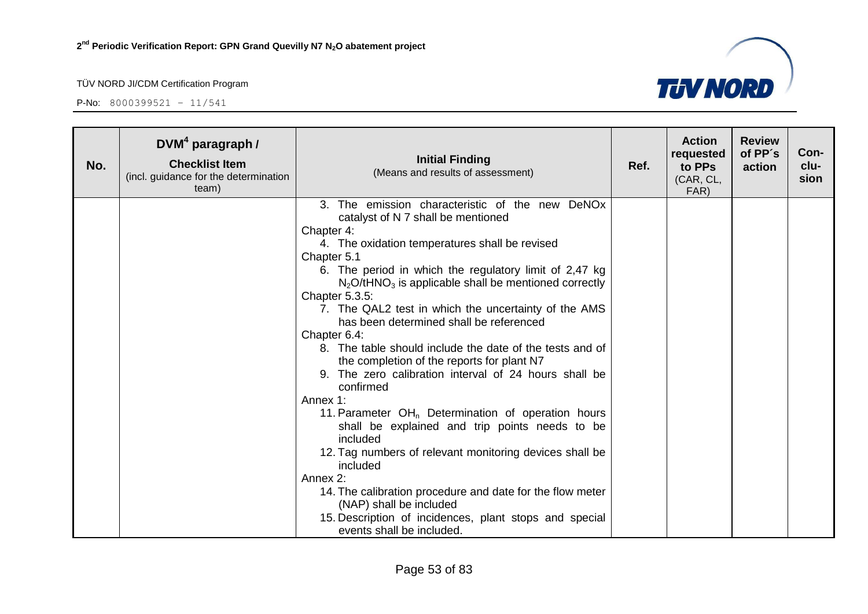

| No. | $DVM4$ paragraph /<br><b>Checklist Item</b><br>(incl. guidance for the determination<br>team) | <b>Initial Finding</b><br>(Means and results of assessment)                                     | Ref. | <b>Action</b><br>requested<br>to PPs<br>(CAR, CL,<br>FAR) | <b>Review</b><br>of PP's<br>action | Con-<br>clu-<br>sion |
|-----|-----------------------------------------------------------------------------------------------|-------------------------------------------------------------------------------------------------|------|-----------------------------------------------------------|------------------------------------|----------------------|
|     |                                                                                               | 3. The emission characteristic of the new DeNOx                                                 |      |                                                           |                                    |                      |
|     |                                                                                               | catalyst of N 7 shall be mentioned                                                              |      |                                                           |                                    |                      |
|     |                                                                                               | Chapter 4:                                                                                      |      |                                                           |                                    |                      |
|     |                                                                                               | 4. The oxidation temperatures shall be revised                                                  |      |                                                           |                                    |                      |
|     |                                                                                               | Chapter 5.1                                                                                     |      |                                                           |                                    |                      |
|     |                                                                                               | 6. The period in which the regulatory limit of 2,47 kg                                          |      |                                                           |                                    |                      |
|     |                                                                                               | $N_2O$ /tHNO <sub>3</sub> is applicable shall be mentioned correctly                            |      |                                                           |                                    |                      |
|     |                                                                                               | Chapter 5.3.5:                                                                                  |      |                                                           |                                    |                      |
|     |                                                                                               | 7. The QAL2 test in which the uncertainty of the AMS<br>has been determined shall be referenced |      |                                                           |                                    |                      |
|     |                                                                                               | Chapter 6.4:                                                                                    |      |                                                           |                                    |                      |
|     |                                                                                               | 8. The table should include the date of the tests and of                                        |      |                                                           |                                    |                      |
|     |                                                                                               | the completion of the reports for plant N7                                                      |      |                                                           |                                    |                      |
|     |                                                                                               | 9. The zero calibration interval of 24 hours shall be                                           |      |                                                           |                                    |                      |
|     |                                                                                               | confirmed                                                                                       |      |                                                           |                                    |                      |
|     |                                                                                               | Annex 1:                                                                                        |      |                                                           |                                    |                      |
|     |                                                                                               | 11. Parameter $OHn$ Determination of operation hours                                            |      |                                                           |                                    |                      |
|     |                                                                                               | shall be explained and trip points needs to be                                                  |      |                                                           |                                    |                      |
|     |                                                                                               | included                                                                                        |      |                                                           |                                    |                      |
|     |                                                                                               | 12. Tag numbers of relevant monitoring devices shall be                                         |      |                                                           |                                    |                      |
|     |                                                                                               | included                                                                                        |      |                                                           |                                    |                      |
|     |                                                                                               | Annex 2:                                                                                        |      |                                                           |                                    |                      |
|     |                                                                                               | 14. The calibration procedure and date for the flow meter                                       |      |                                                           |                                    |                      |
|     |                                                                                               | (NAP) shall be included                                                                         |      |                                                           |                                    |                      |
|     |                                                                                               | 15. Description of incidences, plant stops and special                                          |      |                                                           |                                    |                      |
|     |                                                                                               | events shall be included.                                                                       |      |                                                           |                                    |                      |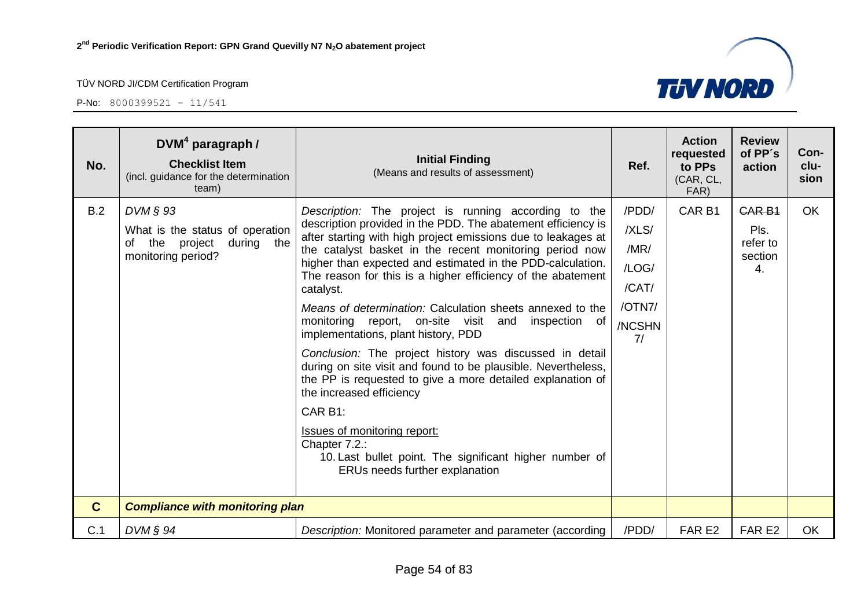| No.          | $DVM4$ paragraph /<br><b>Checklist Item</b><br>(incl. guidance for the determination<br>team)                 | <b>Initial Finding</b><br>(Means and results of assessment)                                                                                                                                                                                                                                                                                                                                                                                                                                                                                                                                                                                                                                                                                                                                                                                                                                                                                   | Ref.                                                               | <b>Action</b><br>requested<br>to PPs<br>(CAR, CL,<br>FAR) | <b>Review</b><br>of PP's<br>action                 | Con-<br>clu-<br>sion |
|--------------|---------------------------------------------------------------------------------------------------------------|-----------------------------------------------------------------------------------------------------------------------------------------------------------------------------------------------------------------------------------------------------------------------------------------------------------------------------------------------------------------------------------------------------------------------------------------------------------------------------------------------------------------------------------------------------------------------------------------------------------------------------------------------------------------------------------------------------------------------------------------------------------------------------------------------------------------------------------------------------------------------------------------------------------------------------------------------|--------------------------------------------------------------------|-----------------------------------------------------------|----------------------------------------------------|----------------------|
| B.2          | $DVM \S 93$<br>What is the status of operation<br>the<br>project<br>during<br>the<br>of<br>monitoring period? | Description: The project is running according to the<br>description provided in the PDD. The abatement efficiency is<br>after starting with high project emissions due to leakages at<br>the catalyst basket in the recent monitoring period now<br>higher than expected and estimated in the PDD-calculation.<br>The reason for this is a higher efficiency of the abatement<br>catalyst.<br>Means of determination: Calculation sheets annexed to the<br>monitoring report, on-site visit and<br>inspection of<br>implementations, plant history, PDD<br>Conclusion: The project history was discussed in detail<br>during on site visit and found to be plausible. Nevertheless,<br>the PP is requested to give a more detailed explanation of<br>the increased efficiency<br>CAR B1:<br><b>Issues of monitoring report:</b><br>Chapter 7.2.:<br>10. Last bullet point. The significant higher number of<br>ERUs needs further explanation | /PDD/<br>/XLS/<br>/MR/<br>/LOG/<br>/CAT/<br>/OTN7/<br>/NCSHN<br>7/ | CAR <sub>B1</sub>                                         | <b>CAR B1</b><br>Pls.<br>refer to<br>section<br>4. | <b>OK</b>            |
| $\mathbf{C}$ | <b>Compliance with monitoring plan</b>                                                                        |                                                                                                                                                                                                                                                                                                                                                                                                                                                                                                                                                                                                                                                                                                                                                                                                                                                                                                                                               |                                                                    |                                                           |                                                    |                      |
| C.1          | $DVM \S 94$                                                                                                   | Description: Monitored parameter and parameter (according                                                                                                                                                                                                                                                                                                                                                                                                                                                                                                                                                                                                                                                                                                                                                                                                                                                                                     | /PDD/                                                              | FAR <sub>E2</sub>                                         | FAR <sub>E2</sub>                                  | <b>OK</b>            |

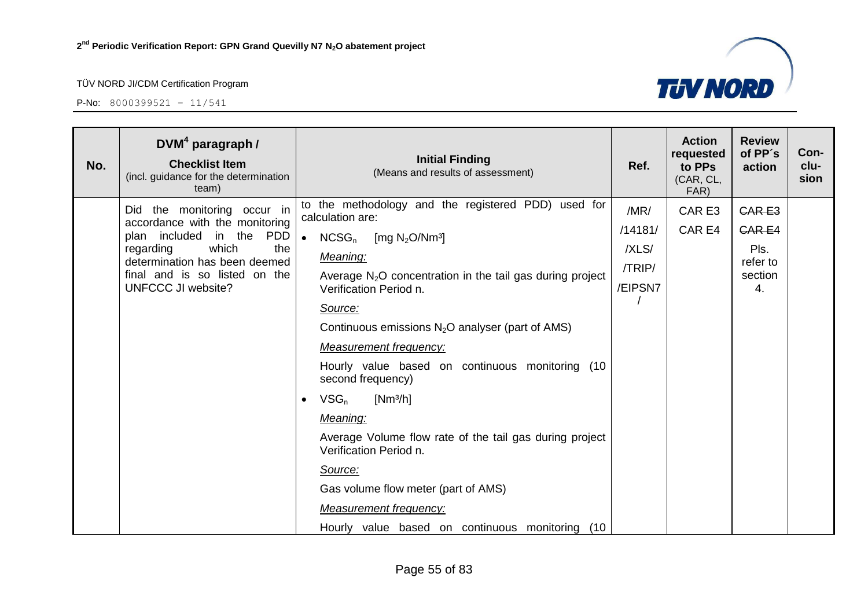

| No. | $DVM4$ paragraph /<br><b>Checklist Item</b><br>(incl. guidance for the determination<br>team)                                                                                                                                      | <b>Initial Finding</b><br>(Means and results of assessment)                                                                                                                                                                                                                                                                                                                                                                                                                                                                                                                                                                                                              | Ref.                                          | <b>Action</b><br>requested<br>to PPs<br>(CAR, CL,<br>FAR) | <b>Review</b><br>of PP's<br>action                                | Con-<br>clu-<br>sion |
|-----|------------------------------------------------------------------------------------------------------------------------------------------------------------------------------------------------------------------------------------|--------------------------------------------------------------------------------------------------------------------------------------------------------------------------------------------------------------------------------------------------------------------------------------------------------------------------------------------------------------------------------------------------------------------------------------------------------------------------------------------------------------------------------------------------------------------------------------------------------------------------------------------------------------------------|-----------------------------------------------|-----------------------------------------------------------|-------------------------------------------------------------------|----------------------|
|     | the monitoring occur in<br><b>Did</b><br>accordance with the monitoring<br><b>PDD</b><br>plan included in the<br>which<br>the<br>regarding<br>determination has been deemed<br>final and is so listed on the<br>UNFCCC JI website? | to the methodology and the registered PDD) used for<br>calculation are:<br>$\bullet$<br>$NCSG_n$<br>[mg $N_2O/Nm^3$ ]<br>Meaning:<br>Average $N_2O$ concentration in the tail gas during project<br>Verification Period n.<br>Source:<br>Continuous emissions $N_2O$ analyser (part of AMS)<br><b>Measurement frequency:</b><br>Hourly value based on continuous monitoring (10<br>second frequency)<br>$VSG_n$<br>$[Nm^3/h]$<br>Meaning:<br>Average Volume flow rate of the tail gas during project<br>Verification Period n.<br>Source:<br>Gas volume flow meter (part of AMS)<br><b>Measurement frequency:</b><br>Hourly value based on continuous monitoring<br>(10) | /MR/<br>/14181/<br>/XLS/<br>/TRIP/<br>/EIPSN7 | CAR E3<br>CAR E4                                          | <b>CARE3</b><br><b>CARE4</b><br>Pls.<br>refer to<br>section<br>4. |                      |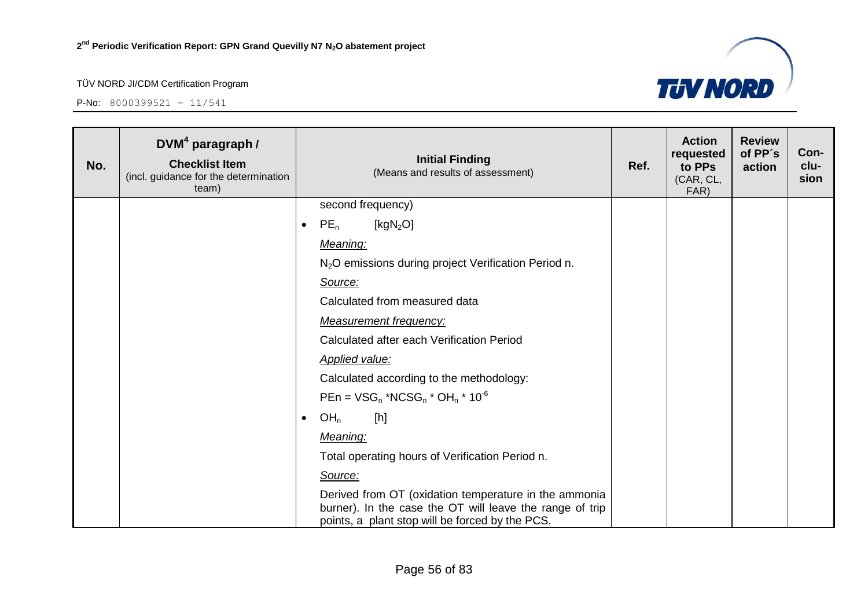

| No. | $DVM4$ paragraph /<br><b>Checklist Item</b><br>(incl. guidance for the determination<br>team) | <b>Initial Finding</b><br>(Means and results of assessment)                                                                                                          | Ref. | <b>Action</b><br>requested<br>to PPs<br>(CAR, CL,<br>FAR) | <b>Review</b><br>of PP's<br>action | Con-<br>clu-<br>sion |
|-----|-----------------------------------------------------------------------------------------------|----------------------------------------------------------------------------------------------------------------------------------------------------------------------|------|-----------------------------------------------------------|------------------------------------|----------------------|
|     |                                                                                               | second frequency)                                                                                                                                                    |      |                                                           |                                    |                      |
|     |                                                                                               | $PE_n$<br>[ $kgN2O$ ]<br>$\bullet$                                                                                                                                   |      |                                                           |                                    |                      |
|     |                                                                                               | Meaning:                                                                                                                                                             |      |                                                           |                                    |                      |
|     |                                                                                               | N <sub>2</sub> O emissions during project Verification Period n.                                                                                                     |      |                                                           |                                    |                      |
|     |                                                                                               | Source:                                                                                                                                                              |      |                                                           |                                    |                      |
|     |                                                                                               | Calculated from measured data                                                                                                                                        |      |                                                           |                                    |                      |
|     |                                                                                               | <b>Measurement frequency:</b>                                                                                                                                        |      |                                                           |                                    |                      |
|     |                                                                                               | Calculated after each Verification Period                                                                                                                            |      |                                                           |                                    |                      |
|     |                                                                                               | <b>Applied value:</b>                                                                                                                                                |      |                                                           |                                    |                      |
|     |                                                                                               | Calculated according to the methodology:                                                                                                                             |      |                                                           |                                    |                      |
|     |                                                                                               | $PEn = VSG_n * NCSG_n * OH_n * 10^{-6}$                                                                                                                              |      |                                                           |                                    |                      |
|     |                                                                                               | OH <sub>n</sub><br>[h]<br>$\bullet$                                                                                                                                  |      |                                                           |                                    |                      |
|     |                                                                                               | Meaning:                                                                                                                                                             |      |                                                           |                                    |                      |
|     |                                                                                               | Total operating hours of Verification Period n.                                                                                                                      |      |                                                           |                                    |                      |
|     |                                                                                               | Source:                                                                                                                                                              |      |                                                           |                                    |                      |
|     |                                                                                               | Derived from OT (oxidation temperature in the ammonia<br>burner). In the case the OT will leave the range of trip<br>points, a plant stop will be forced by the PCS. |      |                                                           |                                    |                      |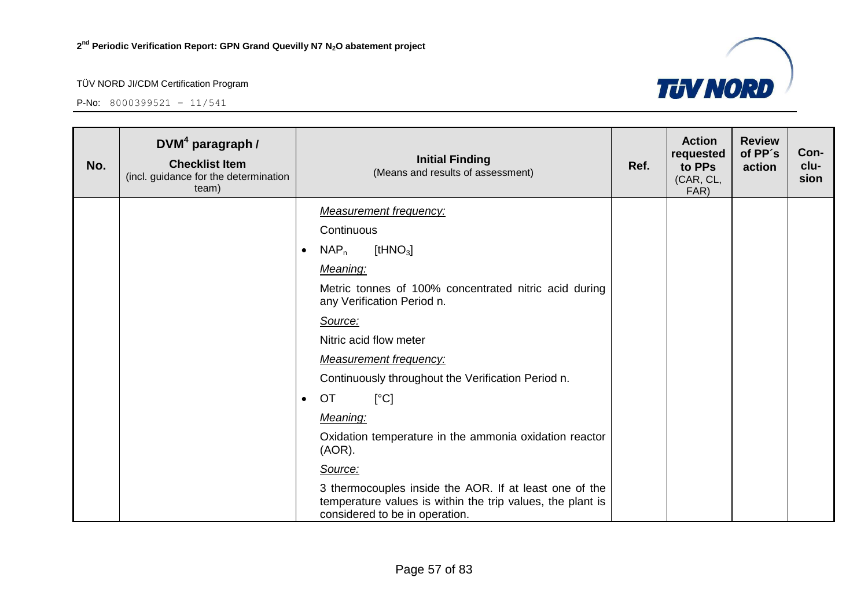

| No. | DVM <sup>4</sup> paragraph /<br><b>Checklist Item</b><br>(incl. guidance for the determination<br>team) | <b>Initial Finding</b><br>(Means and results of assessment)                                                                                            | Ref. | <b>Action</b><br>requested<br>to PPs<br>(CAR, CL,<br>FAR) | <b>Review</b><br>of PP's<br>action | Con-<br>clu-<br>sion |
|-----|---------------------------------------------------------------------------------------------------------|--------------------------------------------------------------------------------------------------------------------------------------------------------|------|-----------------------------------------------------------|------------------------------------|----------------------|
|     |                                                                                                         | <b>Measurement frequency:</b>                                                                                                                          |      |                                                           |                                    |                      |
|     |                                                                                                         | Continuous                                                                                                                                             |      |                                                           |                                    |                      |
|     |                                                                                                         | [tHN $O_3$ ]<br>$NAP_n$<br>$\bullet$                                                                                                                   |      |                                                           |                                    |                      |
|     |                                                                                                         | Meaning:                                                                                                                                               |      |                                                           |                                    |                      |
|     |                                                                                                         | Metric tonnes of 100% concentrated nitric acid during<br>any Verification Period n.                                                                    |      |                                                           |                                    |                      |
|     |                                                                                                         | Source:                                                                                                                                                |      |                                                           |                                    |                      |
|     |                                                                                                         | Nitric acid flow meter                                                                                                                                 |      |                                                           |                                    |                      |
|     |                                                                                                         | <b>Measurement frequency:</b>                                                                                                                          |      |                                                           |                                    |                      |
|     |                                                                                                         | Continuously throughout the Verification Period n.                                                                                                     |      |                                                           |                                    |                      |
|     |                                                                                                         | <b>OT</b><br>[°C]<br>$\bullet$                                                                                                                         |      |                                                           |                                    |                      |
|     |                                                                                                         | Meaning:                                                                                                                                               |      |                                                           |                                    |                      |
|     |                                                                                                         | Oxidation temperature in the ammonia oxidation reactor<br>$(AOR)$ .                                                                                    |      |                                                           |                                    |                      |
|     |                                                                                                         | Source:                                                                                                                                                |      |                                                           |                                    |                      |
|     |                                                                                                         | 3 thermocouples inside the AOR. If at least one of the<br>temperature values is within the trip values, the plant is<br>considered to be in operation. |      |                                                           |                                    |                      |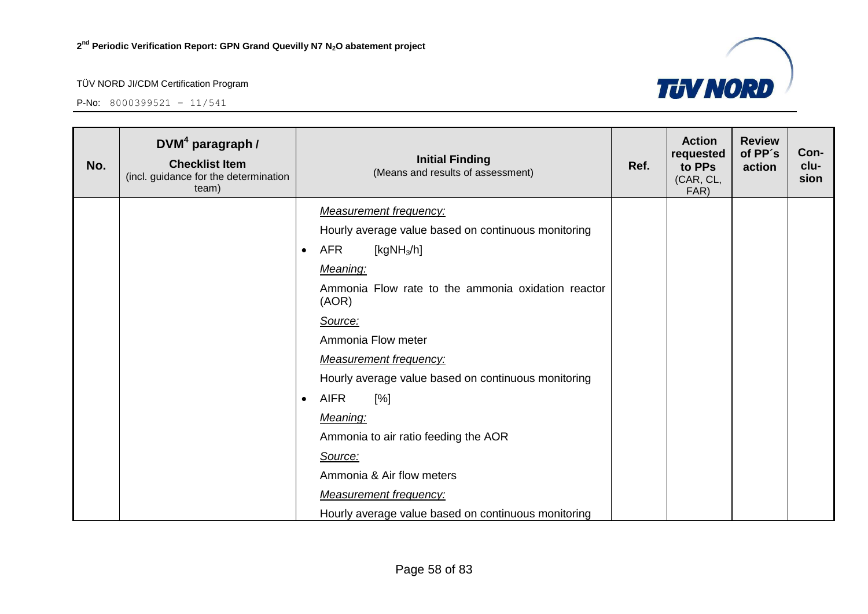

| No. | DVM <sup>4</sup> paragraph /<br><b>Checklist Item</b><br>(incl. guidance for the determination<br>team) |           | <b>Initial Finding</b><br>(Means and results of assessment) |  | <b>Action</b><br>requested<br>to PPs<br>(CAR, CL,<br>FAR) | <b>Review</b><br>of PP's<br>action | Con-<br>clu-<br>sion |
|-----|---------------------------------------------------------------------------------------------------------|-----------|-------------------------------------------------------------|--|-----------------------------------------------------------|------------------------------------|----------------------|
|     |                                                                                                         |           | <b>Measurement frequency:</b>                               |  |                                                           |                                    |                      |
|     |                                                                                                         |           | Hourly average value based on continuous monitoring         |  |                                                           |                                    |                      |
|     |                                                                                                         | $\bullet$ | AFR<br>[ $kgNH3/h$ ]                                        |  |                                                           |                                    |                      |
|     |                                                                                                         |           | Meaning:                                                    |  |                                                           |                                    |                      |
|     |                                                                                                         |           | Ammonia Flow rate to the ammonia oxidation reactor<br>(AOR) |  |                                                           |                                    |                      |
|     |                                                                                                         |           | Source:                                                     |  |                                                           |                                    |                      |
|     |                                                                                                         |           | Ammonia Flow meter                                          |  |                                                           |                                    |                      |
|     |                                                                                                         |           | <b>Measurement frequency:</b>                               |  |                                                           |                                    |                      |
|     |                                                                                                         |           | Hourly average value based on continuous monitoring         |  |                                                           |                                    |                      |
|     |                                                                                                         | $\bullet$ | <b>AIFR</b><br>[%]                                          |  |                                                           |                                    |                      |
|     |                                                                                                         |           | Meaning:                                                    |  |                                                           |                                    |                      |
|     |                                                                                                         |           | Ammonia to air ratio feeding the AOR                        |  |                                                           |                                    |                      |
|     |                                                                                                         |           | Source:                                                     |  |                                                           |                                    |                      |
|     |                                                                                                         |           | Ammonia & Air flow meters                                   |  |                                                           |                                    |                      |
|     |                                                                                                         |           | <b>Measurement frequency:</b>                               |  |                                                           |                                    |                      |
|     |                                                                                                         |           | Hourly average value based on continuous monitoring         |  |                                                           |                                    |                      |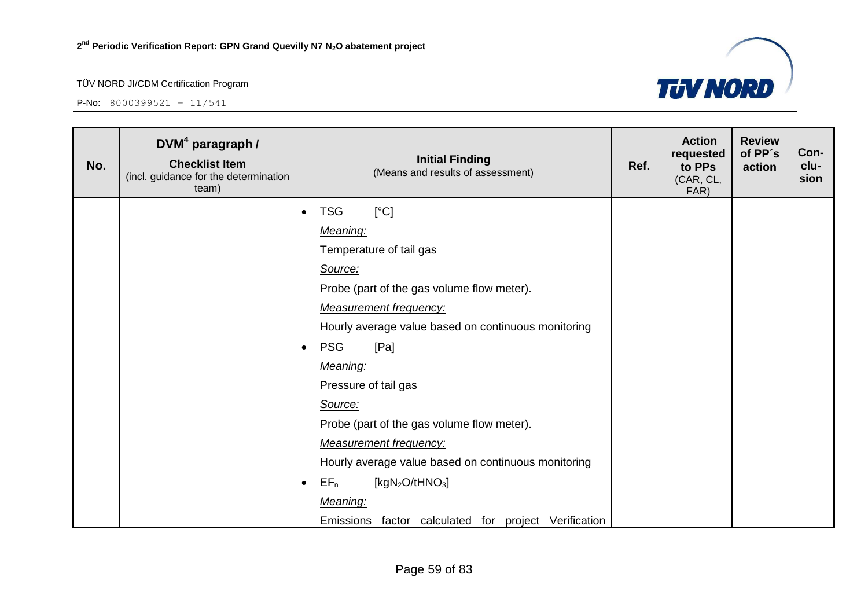

| No. | DVM <sup>4</sup> paragraph /<br><b>Checklist Item</b><br>(incl. guidance for the determination<br>team) | <b>Initial Finding</b><br>(Means and results of assessment) |  | <b>Action</b><br>requested<br>to PPs<br>(CAR, CL,<br>FAR) | <b>Review</b><br>of PP's<br>action | Con-<br>clu-<br>sion |
|-----|---------------------------------------------------------------------------------------------------------|-------------------------------------------------------------|--|-----------------------------------------------------------|------------------------------------|----------------------|
|     |                                                                                                         | [°C]<br><b>TSG</b>                                          |  |                                                           |                                    |                      |
|     |                                                                                                         | Meaning:                                                    |  |                                                           |                                    |                      |
|     |                                                                                                         | Temperature of tail gas                                     |  |                                                           |                                    |                      |
|     |                                                                                                         | Source:                                                     |  |                                                           |                                    |                      |
|     |                                                                                                         | Probe (part of the gas volume flow meter).                  |  |                                                           |                                    |                      |
|     |                                                                                                         | <b>Measurement frequency:</b>                               |  |                                                           |                                    |                      |
|     |                                                                                                         | Hourly average value based on continuous monitoring         |  |                                                           |                                    |                      |
|     |                                                                                                         | <b>PSG</b><br>[Pa]                                          |  |                                                           |                                    |                      |
|     |                                                                                                         | Meaning:                                                    |  |                                                           |                                    |                      |
|     |                                                                                                         | Pressure of tail gas                                        |  |                                                           |                                    |                      |
|     |                                                                                                         | Source:                                                     |  |                                                           |                                    |                      |
|     |                                                                                                         | Probe (part of the gas volume flow meter).                  |  |                                                           |                                    |                      |
|     |                                                                                                         | <b>Measurement frequency:</b>                               |  |                                                           |                                    |                      |
|     |                                                                                                         | Hourly average value based on continuous monitoring         |  |                                                           |                                    |                      |
|     |                                                                                                         | $EF_n$<br>[ $kgN2O/tHNO3$ ]                                 |  |                                                           |                                    |                      |
|     |                                                                                                         | Meaning:                                                    |  |                                                           |                                    |                      |
|     |                                                                                                         | Emissions factor calculated for project Verification        |  |                                                           |                                    |                      |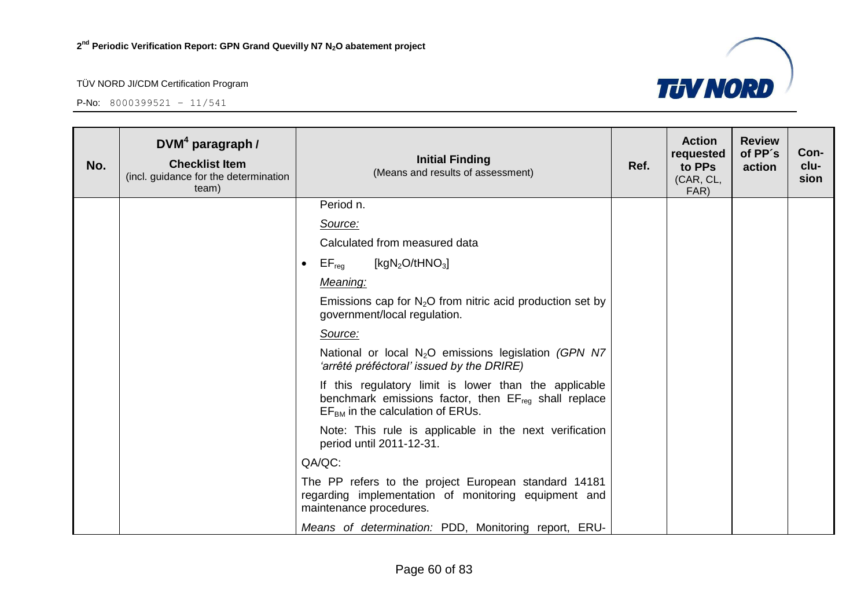

| No. | $DVM4$ paragraph /<br><b>Checklist Item</b><br>(incl. guidance for the determination<br>team) |           | <b>Initial Finding</b><br>(Means and results of assessment)                                                                                              | Ref. | <b>Action</b><br>requested<br>to PPs<br>(CAR, CL,<br>FAR) | <b>Review</b><br>of PP's<br>action | Con-<br>clu-<br>sion |
|-----|-----------------------------------------------------------------------------------------------|-----------|----------------------------------------------------------------------------------------------------------------------------------------------------------|------|-----------------------------------------------------------|------------------------------------|----------------------|
|     |                                                                                               |           | Period n.                                                                                                                                                |      |                                                           |                                    |                      |
|     |                                                                                               |           | Source:                                                                                                                                                  |      |                                                           |                                    |                      |
|     |                                                                                               |           | Calculated from measured data                                                                                                                            |      |                                                           |                                    |                      |
|     |                                                                                               | $\bullet$ | $\mathsf{EF}_\mathsf{reg}$<br>[kgN <sub>2</sub> O/tHNO <sub>3</sub> ]                                                                                    |      |                                                           |                                    |                      |
|     |                                                                                               |           | Meaning:                                                                                                                                                 |      |                                                           |                                    |                      |
|     |                                                                                               |           | Emissions cap for $N_2O$ from nitric acid production set by<br>government/local regulation.                                                              |      |                                                           |                                    |                      |
|     |                                                                                               |           | Source:                                                                                                                                                  |      |                                                           |                                    |                      |
|     |                                                                                               |           | National or local N <sub>2</sub> O emissions legislation (GPN N7<br>'arrêté préféctoral' issued by the DRIRE)                                            |      |                                                           |                                    |                      |
|     |                                                                                               |           | If this regulatory limit is lower than the applicable<br>benchmark emissions factor, then $EF_{reg}$ shall replace<br>$EFBM$ in the calculation of ERUs. |      |                                                           |                                    |                      |
|     |                                                                                               |           | Note: This rule is applicable in the next verification<br>period until 2011-12-31.                                                                       |      |                                                           |                                    |                      |
|     |                                                                                               |           | QA/QC:                                                                                                                                                   |      |                                                           |                                    |                      |
|     |                                                                                               |           | The PP refers to the project European standard 14181<br>regarding implementation of monitoring equipment and<br>maintenance procedures.                  |      |                                                           |                                    |                      |
|     |                                                                                               |           | Means of determination: PDD, Monitoring report, ERU-                                                                                                     |      |                                                           |                                    |                      |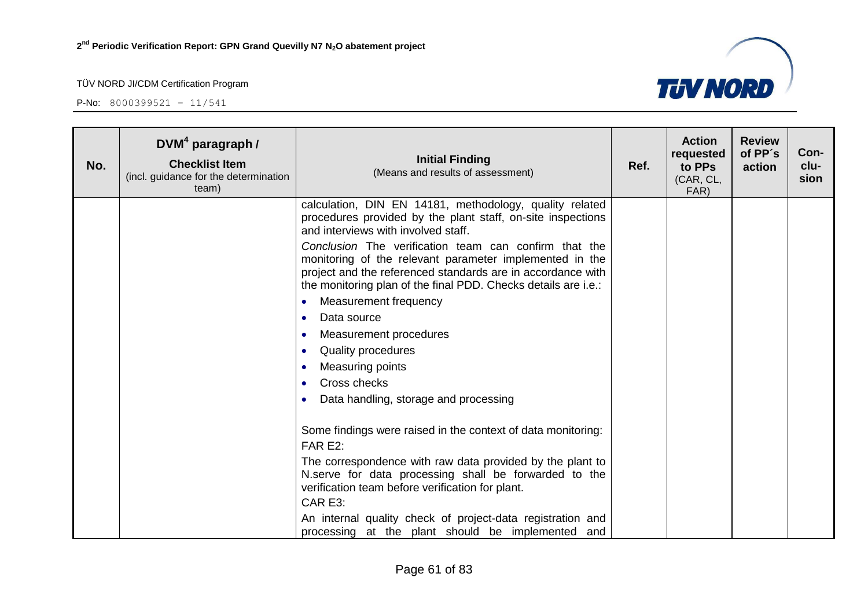

| No. | $DVM4$ paragraph /<br><b>Checklist Item</b><br>(incl. guidance for the determination<br>team) | <b>Initial Finding</b><br>(Means and results of assessment)                                                                                                                                                                                       | Ref. | <b>Action</b><br>requested<br>to PPs<br>(CAR, CL,<br>FAR) | <b>Review</b><br>of PP's<br>action | Con-<br>clu-<br>sion |
|-----|-----------------------------------------------------------------------------------------------|---------------------------------------------------------------------------------------------------------------------------------------------------------------------------------------------------------------------------------------------------|------|-----------------------------------------------------------|------------------------------------|----------------------|
|     |                                                                                               | calculation, DIN EN 14181, methodology, quality related<br>procedures provided by the plant staff, on-site inspections<br>and interviews with involved staff.                                                                                     |      |                                                           |                                    |                      |
|     |                                                                                               | Conclusion The verification team can confirm that the<br>monitoring of the relevant parameter implemented in the<br>project and the referenced standards are in accordance with<br>the monitoring plan of the final PDD. Checks details are i.e.: |      |                                                           |                                    |                      |
|     |                                                                                               | Measurement frequency<br>$\bullet$                                                                                                                                                                                                                |      |                                                           |                                    |                      |
|     |                                                                                               | Data source<br>$\bullet$                                                                                                                                                                                                                          |      |                                                           |                                    |                      |
|     |                                                                                               | Measurement procedures<br>$\bullet$                                                                                                                                                                                                               |      |                                                           |                                    |                      |
|     |                                                                                               | Quality procedures<br>$\bullet$                                                                                                                                                                                                                   |      |                                                           |                                    |                      |
|     |                                                                                               | Measuring points<br>$\bullet$                                                                                                                                                                                                                     |      |                                                           |                                    |                      |
|     |                                                                                               | Cross checks                                                                                                                                                                                                                                      |      |                                                           |                                    |                      |
|     |                                                                                               | Data handling, storage and processing                                                                                                                                                                                                             |      |                                                           |                                    |                      |
|     |                                                                                               | Some findings were raised in the context of data monitoring:<br>FAR E2:<br>The correspondence with raw data provided by the plant to                                                                                                              |      |                                                           |                                    |                      |
|     |                                                                                               | N.serve for data processing shall be forwarded to the<br>verification team before verification for plant.<br>CAR E3:                                                                                                                              |      |                                                           |                                    |                      |
|     |                                                                                               | An internal quality check of project-data registration and<br>processing at the plant should be implemented and                                                                                                                                   |      |                                                           |                                    |                      |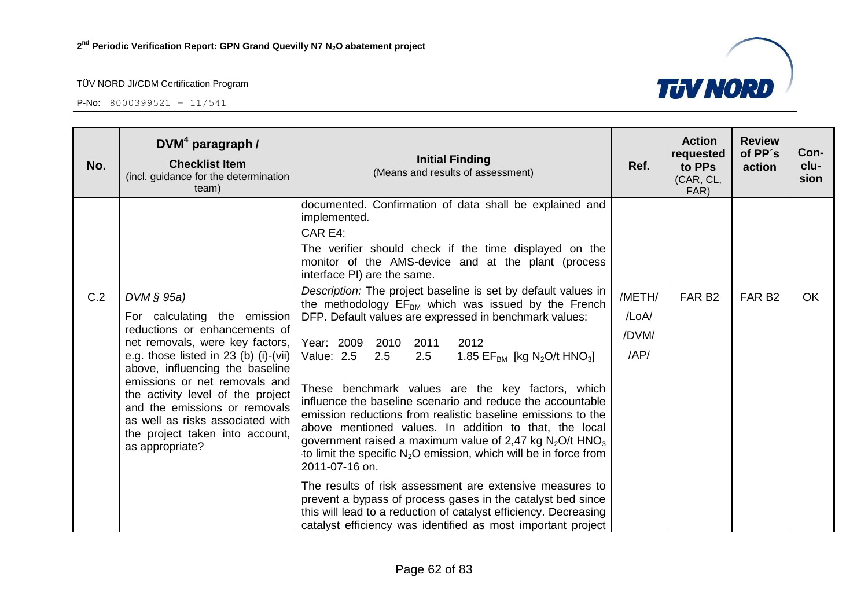

| No. | $DVM4$ paragraph /<br><b>Checklist Item</b><br>(incl. guidance for the determination<br>team)                                                                                                                                                                                                                                                                                                 | <b>Initial Finding</b><br>(Means and results of assessment)                                                                                                                                                                                                                                                                                                                                                                                                                                                                                                                                                                                                                                                                                                                                                                                                                                                                                                                                                   | Ref.                             | <b>Action</b><br>requested<br>to PPs<br>(CAR, CL,<br>FAR) | <b>Review</b><br>of PP's<br>action | Con-<br>clu-<br>sion |
|-----|-----------------------------------------------------------------------------------------------------------------------------------------------------------------------------------------------------------------------------------------------------------------------------------------------------------------------------------------------------------------------------------------------|---------------------------------------------------------------------------------------------------------------------------------------------------------------------------------------------------------------------------------------------------------------------------------------------------------------------------------------------------------------------------------------------------------------------------------------------------------------------------------------------------------------------------------------------------------------------------------------------------------------------------------------------------------------------------------------------------------------------------------------------------------------------------------------------------------------------------------------------------------------------------------------------------------------------------------------------------------------------------------------------------------------|----------------------------------|-----------------------------------------------------------|------------------------------------|----------------------|
|     |                                                                                                                                                                                                                                                                                                                                                                                               | documented. Confirmation of data shall be explained and<br>implemented.<br>CAR E4:<br>The verifier should check if the time displayed on the<br>monitor of the AMS-device and at the plant (process<br>interface PI) are the same.                                                                                                                                                                                                                                                                                                                                                                                                                                                                                                                                                                                                                                                                                                                                                                            |                                  |                                                           |                                    |                      |
| C.2 | $DVM \S 95a$<br>For calculating the emission<br>reductions or enhancements of<br>net removals, were key factors,<br>e.g. those listed in 23 (b) (i)-(vii)<br>above, influencing the baseline<br>emissions or net removals and<br>the activity level of the project<br>and the emissions or removals<br>as well as risks associated with<br>the project taken into account,<br>as appropriate? | Description: The project baseline is set by default values in<br>the methodology EF <sub>BM</sub> which was issued by the French<br>DFP. Default values are expressed in benchmark values:<br>Year: 2009<br>2010<br>2011<br>2012<br>Value: 2.5<br>2.5<br>1.85 EF <sub>BM</sub> [kg N <sub>2</sub> O/t HNO <sub>3</sub> ]<br>2.5<br>These benchmark values are the key factors, which<br>influence the baseline scenario and reduce the accountable<br>emission reductions from realistic baseline emissions to the<br>above mentioned values. In addition to that, the local<br>government raised a maximum value of 2,47 kg $N_2O/t$ HNO <sub>3</sub><br>to limit the specific $N_2O$ emission, which will be in force from<br>2011-07-16 on.<br>The results of risk assessment are extensive measures to<br>prevent a bypass of process gases in the catalyst bed since<br>this will lead to a reduction of catalyst efficiency. Decreasing<br>catalyst efficiency was identified as most important project | /METH/<br>/LoA/<br>/DVM/<br>/AP/ | FAR <sub>B2</sub>                                         | FAR <sub>B2</sub>                  | <b>OK</b>            |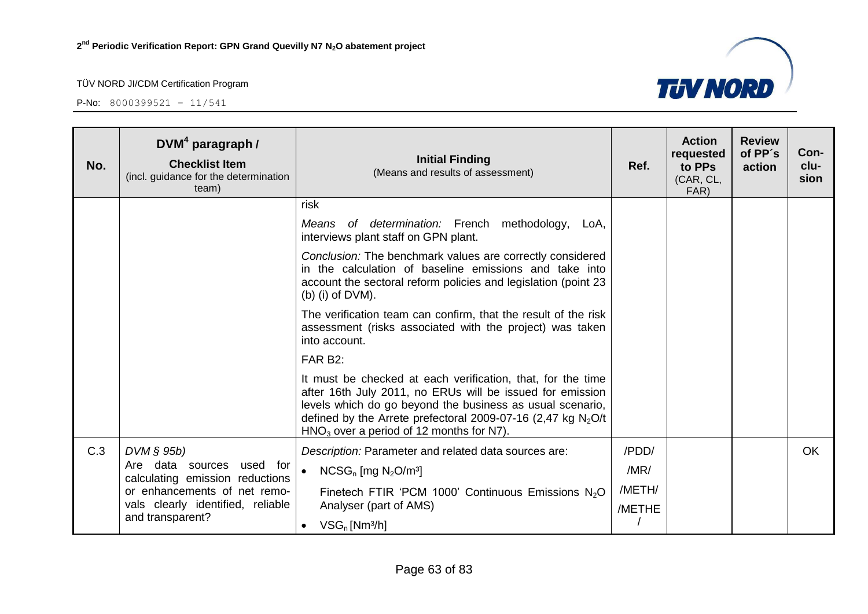

| No. | $DVM4$ paragraph /<br><b>Checklist Item</b><br>(incl. guidance for the determination<br>team) | <b>Initial Finding</b><br>(Means and results of assessment)                                                                                                                                                                                                                                           | Ref.             | <b>Action</b><br>requested<br>to PPs<br>(CAR, CL,<br>FAR) | <b>Review</b><br>of PP's<br>action | Con-<br>clu-<br>sion |
|-----|-----------------------------------------------------------------------------------------------|-------------------------------------------------------------------------------------------------------------------------------------------------------------------------------------------------------------------------------------------------------------------------------------------------------|------------------|-----------------------------------------------------------|------------------------------------|----------------------|
|     |                                                                                               | risk                                                                                                                                                                                                                                                                                                  |                  |                                                           |                                    |                      |
|     |                                                                                               | of determination: French methodology, LoA,<br>Means<br>interviews plant staff on GPN plant.                                                                                                                                                                                                           |                  |                                                           |                                    |                      |
|     |                                                                                               | Conclusion: The benchmark values are correctly considered<br>in the calculation of baseline emissions and take into<br>account the sectoral reform policies and legislation (point 23<br>$(b)$ (i) of DVM).                                                                                           |                  |                                                           |                                    |                      |
|     |                                                                                               | The verification team can confirm, that the result of the risk<br>assessment (risks associated with the project) was taken<br>into account.                                                                                                                                                           |                  |                                                           |                                    |                      |
|     |                                                                                               | FAR B2:                                                                                                                                                                                                                                                                                               |                  |                                                           |                                    |                      |
|     |                                                                                               | It must be checked at each verification, that, for the time<br>after 16th July 2011, no ERUs will be issued for emission<br>levels which do go beyond the business as usual scenario,<br>defined by the Arrete prefectoral 2009-07-16 (2,47 kg $N_2O/t$<br>$HNO3$ over a period of 12 months for N7). |                  |                                                           |                                    |                      |
| C.3 | $DVM$ § 95b)                                                                                  | Description: Parameter and related data sources are:                                                                                                                                                                                                                                                  | /PDD/            |                                                           |                                    | <b>OK</b>            |
|     | Are data sources<br>used for<br>calculating emission reductions                               | $\bullet$<br>$NCSG_n$ [mg $N_2O/m^3$ ]                                                                                                                                                                                                                                                                | /MR/             |                                                           |                                    |                      |
|     | or enhancements of net remo-<br>vals clearly identified, reliable                             | Finetech FTIR 'PCM 1000' Continuous Emissions N <sub>2</sub> O<br>Analyser (part of AMS)                                                                                                                                                                                                              | /METH/<br>/METHE |                                                           |                                    |                      |
|     | and transparent?                                                                              | $VSG_n$ [Nm <sup>3</sup> /h]<br>$\bullet$                                                                                                                                                                                                                                                             |                  |                                                           |                                    |                      |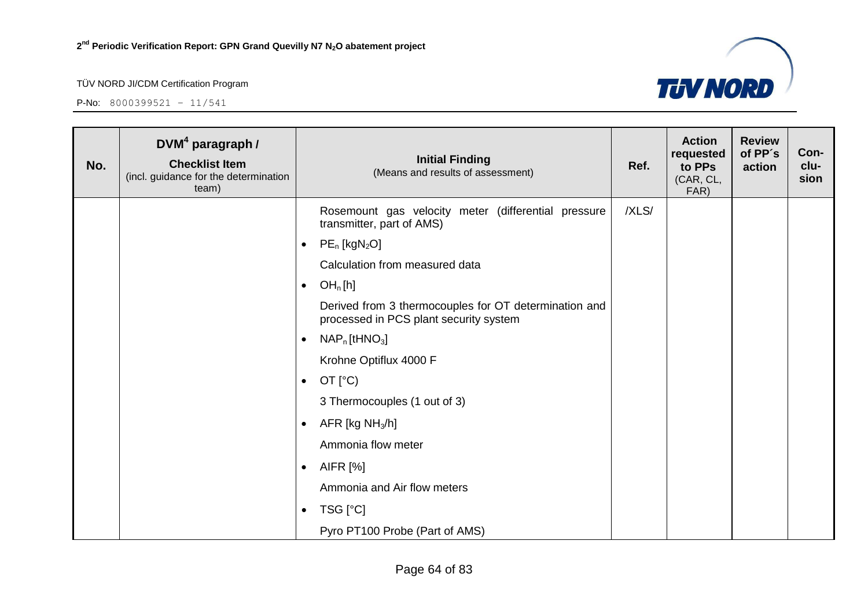

| No. | $DVM4$ paragraph /<br><b>Checklist Item</b><br>(incl. guidance for the determination<br>team) | <b>Initial Finding</b><br>(Means and results of assessment)                                     | Ref.  | <b>Action</b><br>requested<br>to PPs<br>(CAR, CL,<br>FAR) | <b>Review</b><br>of PP's<br>action | Con-<br>clu-<br>sion |
|-----|-----------------------------------------------------------------------------------------------|-------------------------------------------------------------------------------------------------|-------|-----------------------------------------------------------|------------------------------------|----------------------|
|     |                                                                                               | Rosemount gas velocity meter (differential pressure<br>transmitter, part of AMS)                | /XLS/ |                                                           |                                    |                      |
|     |                                                                                               | $PE_n$ [kgN <sub>2</sub> O]<br>$\bullet$                                                        |       |                                                           |                                    |                      |
|     |                                                                                               | Calculation from measured data                                                                  |       |                                                           |                                    |                      |
|     |                                                                                               | OH <sub>n</sub> [h]<br>$\bullet$                                                                |       |                                                           |                                    |                      |
|     |                                                                                               | Derived from 3 thermocouples for OT determination and<br>processed in PCS plant security system |       |                                                           |                                    |                      |
|     |                                                                                               | $NAP_n$ [tHNO <sub>3</sub> ]<br>$\bullet$                                                       |       |                                                           |                                    |                      |
|     |                                                                                               | Krohne Optiflux 4000 F                                                                          |       |                                                           |                                    |                      |
|     |                                                                                               | OT $[°C)$<br>$\bullet$                                                                          |       |                                                           |                                    |                      |
|     |                                                                                               | 3 Thermocouples (1 out of 3)                                                                    |       |                                                           |                                    |                      |
|     |                                                                                               | AFR [kg $NH3/h$ ]<br>$\bullet$                                                                  |       |                                                           |                                    |                      |
|     |                                                                                               | Ammonia flow meter                                                                              |       |                                                           |                                    |                      |
|     |                                                                                               | AIFR [%]<br>$\bullet$                                                                           |       |                                                           |                                    |                      |
|     |                                                                                               | Ammonia and Air flow meters                                                                     |       |                                                           |                                    |                      |
|     |                                                                                               | TSG [°C]<br>$\bullet$                                                                           |       |                                                           |                                    |                      |
|     |                                                                                               | Pyro PT100 Probe (Part of AMS)                                                                  |       |                                                           |                                    |                      |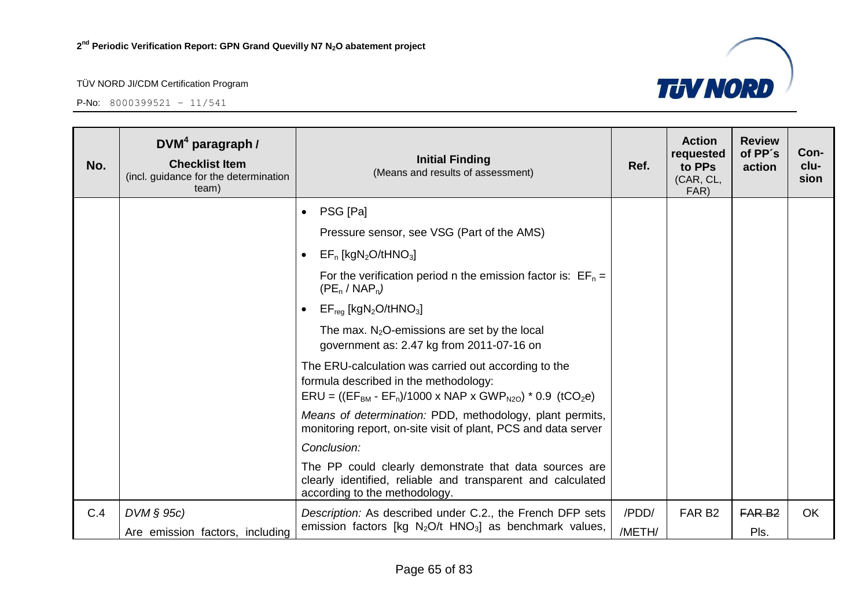

| No. | $DVM4$ paragraph /<br><b>Checklist Item</b><br>(incl. guidance for the determination<br>team) | <b>Initial Finding</b><br>(Means and results of assessment)                                                                                               | Ref.   | <b>Action</b><br>requested<br>to PPs<br>(CAR, CL,<br>FAR) | <b>Review</b><br>of PP's<br>action | Con-<br>clu-<br>sion |
|-----|-----------------------------------------------------------------------------------------------|-----------------------------------------------------------------------------------------------------------------------------------------------------------|--------|-----------------------------------------------------------|------------------------------------|----------------------|
|     |                                                                                               | PSG [Pa]<br>$\bullet$                                                                                                                                     |        |                                                           |                                    |                      |
|     |                                                                                               | Pressure sensor, see VSG (Part of the AMS)                                                                                                                |        |                                                           |                                    |                      |
|     |                                                                                               | $EF_n$ [kgN <sub>2</sub> O/tHNO <sub>3</sub> ]<br>$\bullet$                                                                                               |        |                                                           |                                    |                      |
|     |                                                                                               | For the verification period n the emission factor is: $EF_n =$<br>$(PE_n / NAP_n)$                                                                        |        |                                                           |                                    |                      |
|     |                                                                                               | $EF_{req}$ [kgN <sub>2</sub> O/tHNO <sub>3</sub> ]<br>$\bullet$                                                                                           |        |                                                           |                                    |                      |
|     |                                                                                               | The max. $N_2O$ -emissions are set by the local<br>government as: 2.47 kg from 2011-07-16 on                                                              |        |                                                           |                                    |                      |
|     |                                                                                               | The ERU-calculation was carried out according to the<br>formula described in the methodology:<br>$ERU = ((EFBM - EFn)/1000 x NAP x GWPN2O) * 0.9 (tCO2e)$ |        |                                                           |                                    |                      |
|     |                                                                                               | Means of determination: PDD, methodology, plant permits,<br>monitoring report, on-site visit of plant, PCS and data server                                |        |                                                           |                                    |                      |
|     |                                                                                               | Conclusion:                                                                                                                                               |        |                                                           |                                    |                      |
|     |                                                                                               | The PP could clearly demonstrate that data sources are<br>clearly identified, reliable and transparent and calculated<br>according to the methodology.    |        |                                                           |                                    |                      |
| C.4 | $DVM \S 95c$                                                                                  | Description: As described under C.2., the French DFP sets                                                                                                 | /PDD/  | FAR <sub>B2</sub>                                         | FAR <sub>B2</sub>                  | <b>OK</b>            |
|     | Are emission factors, including                                                               | emission factors [kg N <sub>2</sub> O/t HNO <sub>3</sub> ] as benchmark values,                                                                           | /METH/ |                                                           | Pls.                               |                      |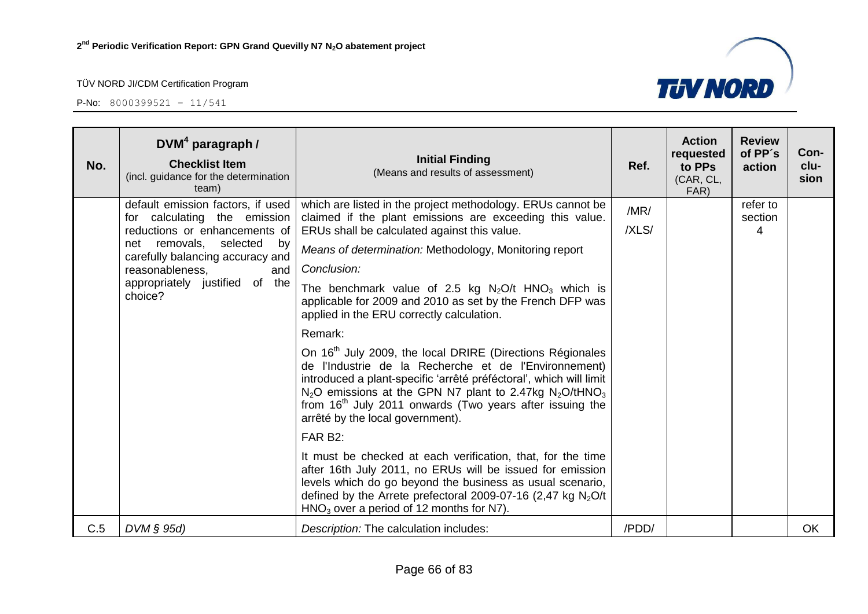

| No. | $DVM4$ paragraph /<br><b>Checklist Item</b><br>(incl. guidance for the determination<br>team)                                                                                                                                                 | <b>Initial Finding</b><br>(Means and results of assessment)                                                                                                                                                                                                                                                                                                                                                                                                                                                                                                                                                                                                                                                                                                                                                                                                                                                                                                                                                                                                                                                                                                    | Ref.          | <b>Action</b><br>requested<br>to PPs<br>(CAR, CL,<br>FAR) | <b>Review</b><br>of PP's<br>action | Con-<br>clu-<br>sion |
|-----|-----------------------------------------------------------------------------------------------------------------------------------------------------------------------------------------------------------------------------------------------|----------------------------------------------------------------------------------------------------------------------------------------------------------------------------------------------------------------------------------------------------------------------------------------------------------------------------------------------------------------------------------------------------------------------------------------------------------------------------------------------------------------------------------------------------------------------------------------------------------------------------------------------------------------------------------------------------------------------------------------------------------------------------------------------------------------------------------------------------------------------------------------------------------------------------------------------------------------------------------------------------------------------------------------------------------------------------------------------------------------------------------------------------------------|---------------|-----------------------------------------------------------|------------------------------------|----------------------|
|     | default emission factors, if used<br>for calculating the emission<br>reductions or enhancements of<br>net removals, selected<br>by<br>carefully balancing accuracy and<br>reasonableness,<br>and<br>appropriately justified of the<br>choice? | which are listed in the project methodology. ERUs cannot be<br>claimed if the plant emissions are exceeding this value.<br>ERUs shall be calculated against this value.<br>Means of determination: Methodology, Monitoring report<br>Conclusion:<br>The benchmark value of 2.5 kg $N_2O/t$ HNO <sub>3</sub> which is<br>applicable for 2009 and 2010 as set by the French DFP was<br>applied in the ERU correctly calculation.<br>Remark:<br>On 16 <sup>th</sup> July 2009, the local DRIRE (Directions Régionales<br>de l'Industrie de la Recherche et de l'Environnement)<br>introduced a plant-specific 'arrêté préféctoral', which will limit<br>$N_2O$ emissions at the GPN N7 plant to 2.47kg $N_2O/tHNO_3$<br>from 16 <sup>th</sup> July 2011 onwards (Two years after issuing the<br>arrêté by the local government).<br>FAR B <sub>2</sub> :<br>It must be checked at each verification, that, for the time<br>after 16th July 2011, no ERUs will be issued for emission<br>levels which do go beyond the business as usual scenario,<br>defined by the Arrete prefectoral 2009-07-16 (2,47 kg $N_2O/t$<br>$HNO3$ over a period of 12 months for N7). | /MR/<br>/XLS/ |                                                           | refer to<br>section<br>4           |                      |
| C.5 | DVM § 95d)                                                                                                                                                                                                                                    | Description: The calculation includes:                                                                                                                                                                                                                                                                                                                                                                                                                                                                                                                                                                                                                                                                                                                                                                                                                                                                                                                                                                                                                                                                                                                         | /PDD/         |                                                           |                                    | OK                   |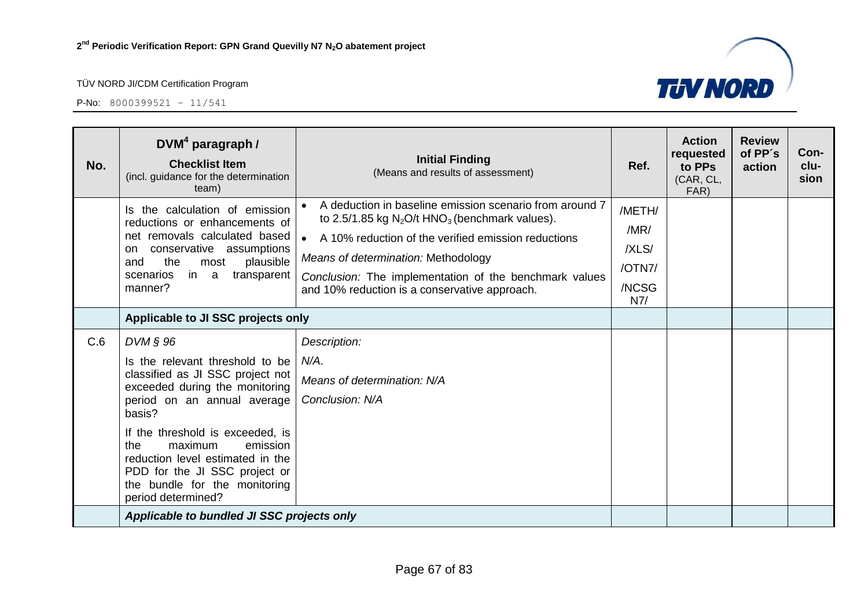

| No. | $DVM4$ paragraph /<br><b>Checklist Item</b><br>(incl. guidance for the determination<br>team)                                                                                                                                                                                                                                                            | <b>Initial Finding</b><br>(Means and results of assessment)                                                                                                                                                                                                                                                                      | Ref.                                              | <b>Action</b><br>requested<br>to PPs<br>(CAR, CL,<br>FAR) | <b>Review</b><br>of PP's<br>action | Con-<br>clu-<br>sion |
|-----|----------------------------------------------------------------------------------------------------------------------------------------------------------------------------------------------------------------------------------------------------------------------------------------------------------------------------------------------------------|----------------------------------------------------------------------------------------------------------------------------------------------------------------------------------------------------------------------------------------------------------------------------------------------------------------------------------|---------------------------------------------------|-----------------------------------------------------------|------------------------------------|----------------------|
|     | Is the calculation of emission<br>reductions or enhancements of<br>net removals calculated based<br>conservative assumptions<br>on.<br>the<br>plausible<br>and<br>most<br>in a<br>scenarios<br>transparent<br>manner?                                                                                                                                    | A deduction in baseline emission scenario from around 7<br>to 2.5/1.85 kg $N_2O/t$ HNO <sub>3</sub> (benchmark values).<br>A 10% reduction of the verified emission reductions<br>Means of determination: Methodology<br>Conclusion: The implementation of the benchmark values<br>and 10% reduction is a conservative approach. | /METH/<br>/MR/<br>/XLS/<br>/OTN7/<br>/NCSG<br>N7/ |                                                           |                                    |                      |
|     | Applicable to JI SSC projects only                                                                                                                                                                                                                                                                                                                       |                                                                                                                                                                                                                                                                                                                                  |                                                   |                                                           |                                    |                      |
| C.6 | DVM § 96<br>Is the relevant threshold to be<br>classified as JI SSC project not<br>exceeded during the monitoring<br>period on an annual average<br>basis?<br>If the threshold is exceeded, is<br>the<br>maximum<br>emission<br>reduction level estimated in the<br>PDD for the JI SSC project or<br>the bundle for the monitoring<br>period determined? | Description:<br>$N/A$ .<br>Means of determination: N/A<br>Conclusion: N/A                                                                                                                                                                                                                                                        |                                                   |                                                           |                                    |                      |
|     | Applicable to bundled JI SSC projects only                                                                                                                                                                                                                                                                                                               |                                                                                                                                                                                                                                                                                                                                  |                                                   |                                                           |                                    |                      |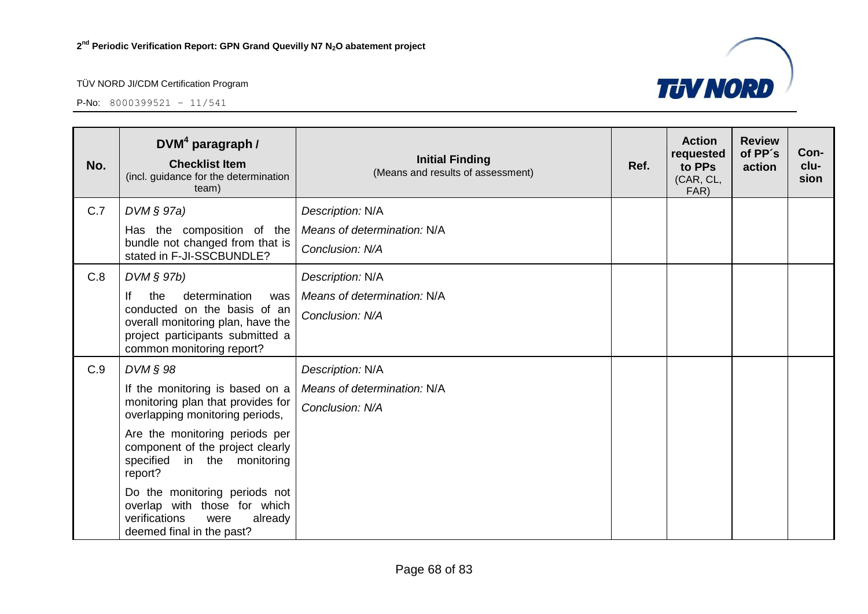

| No. | $DVM4$ paragraph /<br><b>Checklist Item</b><br>(incl. guidance for the determination<br>team)                                                                           | <b>Initial Finding</b><br>(Means and results of assessment) | Ref. | <b>Action</b><br>requested<br>to PPs<br>(CAR, CL,<br>FAR) | <b>Review</b><br>of PP's<br>action | Con-<br>clu-<br>sion |
|-----|-------------------------------------------------------------------------------------------------------------------------------------------------------------------------|-------------------------------------------------------------|------|-----------------------------------------------------------|------------------------------------|----------------------|
| C.7 | $DVM \S 97a)$                                                                                                                                                           | Description: N/A                                            |      |                                                           |                                    |                      |
|     | Has the composition of the<br>bundle not changed from that is<br>stated in F-JI-SSCBUNDLE?                                                                              | Means of determination: N/A<br>Conclusion: N/A              |      |                                                           |                                    |                      |
| C.8 | DVM § 97b)                                                                                                                                                              | Description: N/A                                            |      |                                                           |                                    |                      |
|     | lf<br>the<br>determination<br>was<br>conducted on the basis of an<br>overall monitoring plan, have the<br>project participants submitted a<br>common monitoring report? | Means of determination: N/A<br>Conclusion: N/A              |      |                                                           |                                    |                      |
| C.9 | $DVM \S 98$                                                                                                                                                             | Description: N/A                                            |      |                                                           |                                    |                      |
|     | If the monitoring is based on a<br>monitoring plan that provides for<br>overlapping monitoring periods,                                                                 | Means of determination: N/A<br>Conclusion: N/A              |      |                                                           |                                    |                      |
|     | Are the monitoring periods per<br>component of the project clearly<br>specified<br>in the monitoring<br>report?                                                         |                                                             |      |                                                           |                                    |                      |
|     | Do the monitoring periods not<br>overlap with those for which<br>verifications<br>already<br>were<br>deemed final in the past?                                          |                                                             |      |                                                           |                                    |                      |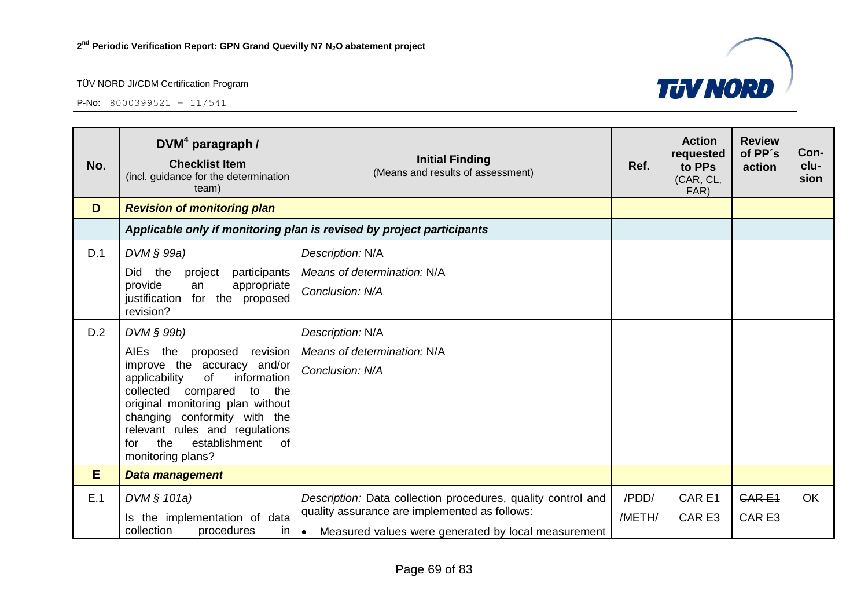

| No. | $DVM4$ paragraph /<br><b>Checklist Item</b><br>(incl. guidance for the determination<br>team)                                                                                                                                                                                                            | <b>Initial Finding</b><br>(Means and results of assessment)                                          | Ref.   | <b>Action</b><br>requested<br>to PPs<br>(CAR, CL,<br>FAR) | <b>Review</b><br>of PP's<br>action | Con-<br>clu-<br>sion |
|-----|----------------------------------------------------------------------------------------------------------------------------------------------------------------------------------------------------------------------------------------------------------------------------------------------------------|------------------------------------------------------------------------------------------------------|--------|-----------------------------------------------------------|------------------------------------|----------------------|
| D   | <b>Revision of monitoring plan</b>                                                                                                                                                                                                                                                                       |                                                                                                      |        |                                                           |                                    |                      |
|     |                                                                                                                                                                                                                                                                                                          | Applicable only if monitoring plan is revised by project participants                                |        |                                                           |                                    |                      |
| D.1 | DVM § 99a)                                                                                                                                                                                                                                                                                               | Description: N/A                                                                                     |        |                                                           |                                    |                      |
|     | Did the<br>participants<br>project                                                                                                                                                                                                                                                                       | Means of determination: N/A                                                                          |        |                                                           |                                    |                      |
|     | provide<br>appropriate<br>an<br>for the proposed<br>justification<br>revision?                                                                                                                                                                                                                           | Conclusion: N/A                                                                                      |        |                                                           |                                    |                      |
| D.2 | DVM § 99b)                                                                                                                                                                                                                                                                                               | Description: N/A                                                                                     |        |                                                           |                                    |                      |
|     | AIEs the<br>revision<br>proposed<br>improve the accuracy and/or<br>applicability<br>of<br>information<br>collected compared<br>to<br>the<br>original monitoring plan without<br>changing conformity with the<br>relevant rules and regulations<br>establishment<br>the<br>0f<br>for<br>monitoring plans? | Means of determination: N/A<br>Conclusion: N/A                                                       |        |                                                           |                                    |                      |
| E   | Data management                                                                                                                                                                                                                                                                                          |                                                                                                      |        |                                                           |                                    |                      |
| E.1 | DVM $§ 101a)$                                                                                                                                                                                                                                                                                            | Description: Data collection procedures, quality control and                                         | /PDD/  | CAR <sub>E1</sub>                                         | <b>CARE1</b>                       | <b>OK</b>            |
|     | Is the implementation of data<br>collection<br>procedures<br>in                                                                                                                                                                                                                                          | quality assurance are implemented as follows:<br>Measured values were generated by local measurement | /METH/ | CAR <sub>E3</sub>                                         | <b>CARE3</b>                       |                      |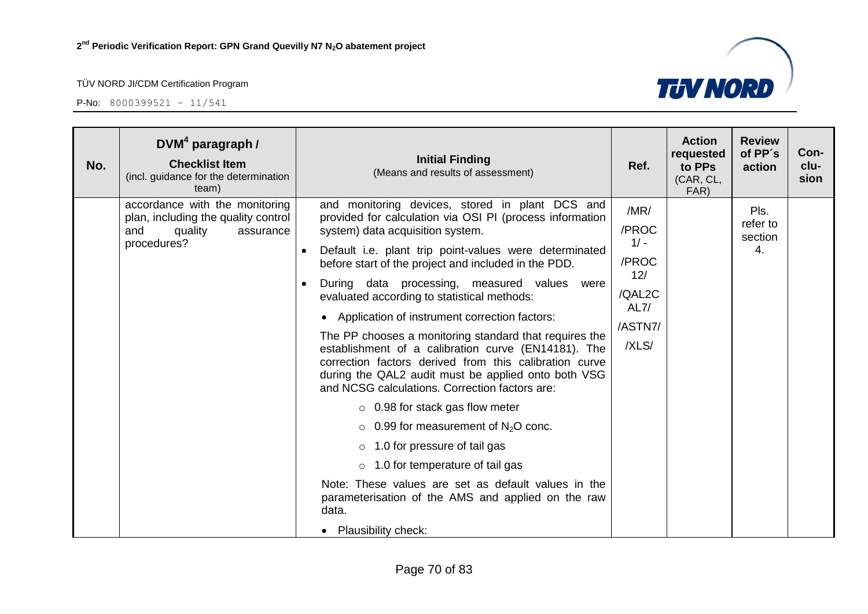

| No. | DVM <sup>4</sup> paragraph /<br><b>Checklist Item</b><br>(incl. guidance for the determination<br>team)             | <b>Initial Finding</b><br>(Means and results of assessment)                                                                                                                                                                                                                                                                                                                                                                                                                                                                                                                                                                                                                                                                                                                                                                                                                                                                                                                                                                                                          | Ref.                                                                          | <b>Action</b><br>requested<br>to PPs<br>(CAR, CL,<br>FAR) | <b>Review</b><br>of PP's<br>action | Con-<br>clu-<br>sion |
|-----|---------------------------------------------------------------------------------------------------------------------|----------------------------------------------------------------------------------------------------------------------------------------------------------------------------------------------------------------------------------------------------------------------------------------------------------------------------------------------------------------------------------------------------------------------------------------------------------------------------------------------------------------------------------------------------------------------------------------------------------------------------------------------------------------------------------------------------------------------------------------------------------------------------------------------------------------------------------------------------------------------------------------------------------------------------------------------------------------------------------------------------------------------------------------------------------------------|-------------------------------------------------------------------------------|-----------------------------------------------------------|------------------------------------|----------------------|
|     | accordance with the monitoring<br>plan, including the quality control<br>and<br>quality<br>assurance<br>procedures? | and monitoring devices, stored in plant DCS and<br>provided for calculation via OSI PI (process information<br>system) data acquisition system.<br>Default i.e. plant trip point-values were determinated<br>$\bullet$<br>before start of the project and included in the PDD.<br>During data processing, measured values were<br>evaluated according to statistical methods:<br>Application of instrument correction factors:<br>$\bullet$<br>The PP chooses a monitoring standard that requires the<br>establishment of a calibration curve (EN14181). The<br>correction factors derived from this calibration curve<br>during the QAL2 audit must be applied onto both VSG<br>and NCSG calculations. Correction factors are:<br>$\circ$ 0.98 for stack gas flow meter<br>$\circ$ 0.99 for measurement of N <sub>2</sub> O conc.<br>$\circ$ 1.0 for pressure of tail gas<br>$\circ$ 1.0 for temperature of tail gas<br>Note: These values are set as default values in the<br>parameterisation of the AMS and applied on the raw<br>data.<br>• Plausibility check: | /MR/<br>/PROC<br>$1/ -$<br>/PROC<br>12/<br>/QAL2C<br>AL7/<br>/ASTN7/<br>/XLS/ |                                                           | Pls.<br>refer to<br>section<br>4.  |                      |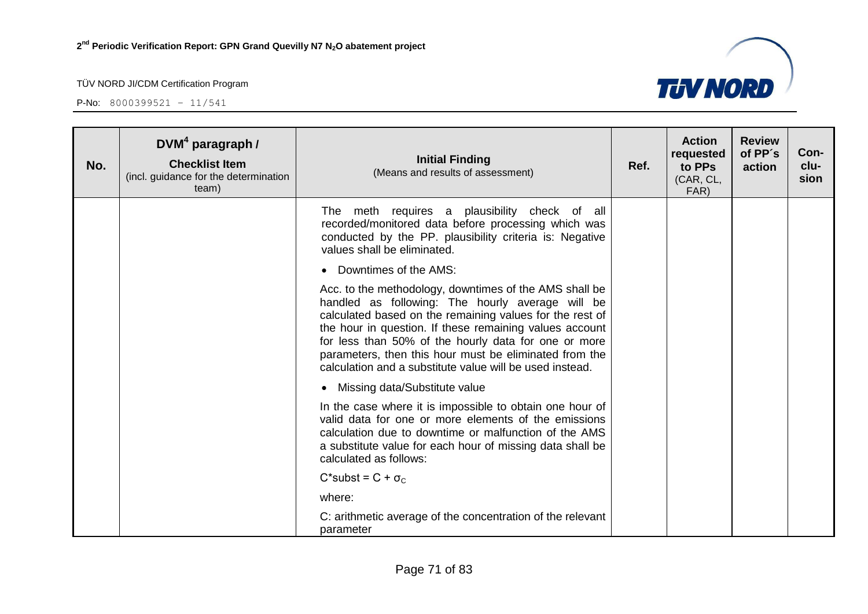

| No. | DVM <sup>4</sup> paragraph /<br><b>Checklist Item</b><br>(incl. guidance for the determination<br>team) | <b>Initial Finding</b><br>(Means and results of assessment)                                                                                                                                                                                                                                                                                                                                                     | Ref. | <b>Action</b><br>requested<br>to PPs<br>(CAR, CL,<br>FAR) | <b>Review</b><br>of PP's<br>action | Con-<br>clu-<br>sion |
|-----|---------------------------------------------------------------------------------------------------------|-----------------------------------------------------------------------------------------------------------------------------------------------------------------------------------------------------------------------------------------------------------------------------------------------------------------------------------------------------------------------------------------------------------------|------|-----------------------------------------------------------|------------------------------------|----------------------|
|     |                                                                                                         | The meth requires a plausibility check of all<br>recorded/monitored data before processing which was<br>conducted by the PP. plausibility criteria is: Negative<br>values shall be eliminated.                                                                                                                                                                                                                  |      |                                                           |                                    |                      |
|     |                                                                                                         | Downtimes of the AMS:                                                                                                                                                                                                                                                                                                                                                                                           |      |                                                           |                                    |                      |
|     |                                                                                                         | Acc. to the methodology, downtimes of the AMS shall be<br>handled as following: The hourly average will be<br>calculated based on the remaining values for the rest of<br>the hour in question. If these remaining values account<br>for less than 50% of the hourly data for one or more<br>parameters, then this hour must be eliminated from the<br>calculation and a substitute value will be used instead. |      |                                                           |                                    |                      |
|     |                                                                                                         | Missing data/Substitute value<br>$\bullet$                                                                                                                                                                                                                                                                                                                                                                      |      |                                                           |                                    |                      |
|     |                                                                                                         | In the case where it is impossible to obtain one hour of<br>valid data for one or more elements of the emissions<br>calculation due to downtime or malfunction of the AMS<br>a substitute value for each hour of missing data shall be<br>calculated as follows:                                                                                                                                                |      |                                                           |                                    |                      |
|     |                                                                                                         | $C^*$ subst = $C + \sigma_C$                                                                                                                                                                                                                                                                                                                                                                                    |      |                                                           |                                    |                      |
|     |                                                                                                         | where:                                                                                                                                                                                                                                                                                                                                                                                                          |      |                                                           |                                    |                      |
|     |                                                                                                         | C: arithmetic average of the concentration of the relevant<br>parameter                                                                                                                                                                                                                                                                                                                                         |      |                                                           |                                    |                      |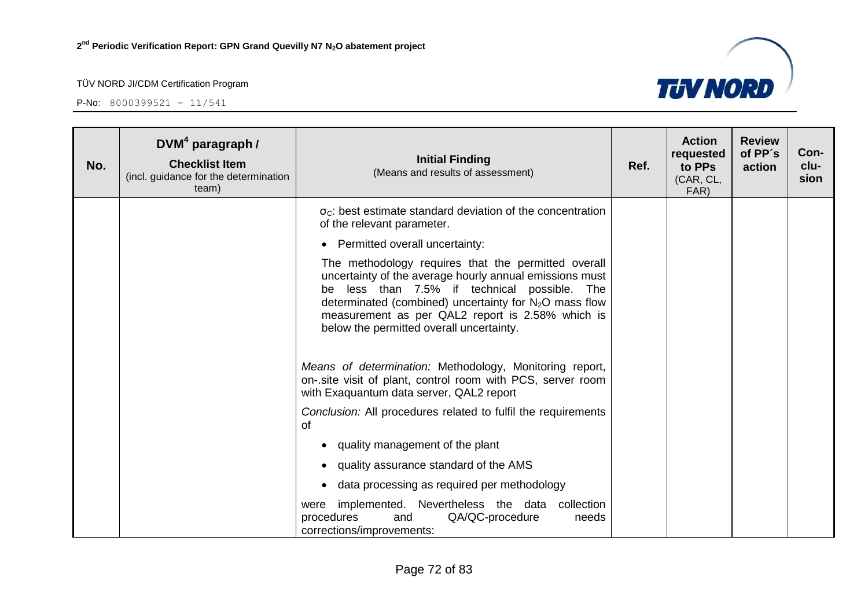

| No. | DVM <sup>4</sup> paragraph /<br><b>Checklist Item</b><br>(incl. guidance for the determination<br>team) | <b>Initial Finding</b><br>(Means and results of assessment)                                                                                                                                                                                                                                                                | Ref. | <b>Action</b><br>requested<br>to PPs<br>(CAR, CL,<br>FAR) | <b>Review</b><br>of PP's<br>action | Con-<br>clu-<br>sion |
|-----|---------------------------------------------------------------------------------------------------------|----------------------------------------------------------------------------------------------------------------------------------------------------------------------------------------------------------------------------------------------------------------------------------------------------------------------------|------|-----------------------------------------------------------|------------------------------------|----------------------|
|     |                                                                                                         | $\sigma_{\rm C}$ : best estimate standard deviation of the concentration<br>of the relevant parameter.                                                                                                                                                                                                                     |      |                                                           |                                    |                      |
|     |                                                                                                         | • Permitted overall uncertainty:                                                                                                                                                                                                                                                                                           |      |                                                           |                                    |                      |
|     |                                                                                                         | The methodology requires that the permitted overall<br>uncertainty of the average hourly annual emissions must<br>be less than 7.5% if technical possible. The<br>determinated (combined) uncertainty for $N_2O$ mass flow<br>measurement as per QAL2 report is 2.58% which is<br>below the permitted overall uncertainty. |      |                                                           |                                    |                      |
|     |                                                                                                         | Means of determination: Methodology, Monitoring report,<br>on-.site visit of plant, control room with PCS, server room<br>with Exaguantum data server, QAL2 report                                                                                                                                                         |      |                                                           |                                    |                      |
|     |                                                                                                         | Conclusion: All procedures related to fulfil the requirements<br>of                                                                                                                                                                                                                                                        |      |                                                           |                                    |                      |
|     |                                                                                                         | quality management of the plant                                                                                                                                                                                                                                                                                            |      |                                                           |                                    |                      |
|     |                                                                                                         | quality assurance standard of the AMS<br>$\bullet$                                                                                                                                                                                                                                                                         |      |                                                           |                                    |                      |
|     |                                                                                                         | data processing as required per methodology<br>$\bullet$                                                                                                                                                                                                                                                                   |      |                                                           |                                    |                      |
|     |                                                                                                         | implemented. Nevertheless the data collection<br>were<br>QA/QC-procedure<br>procedures<br>needs<br>and<br>corrections/improvements:                                                                                                                                                                                        |      |                                                           |                                    |                      |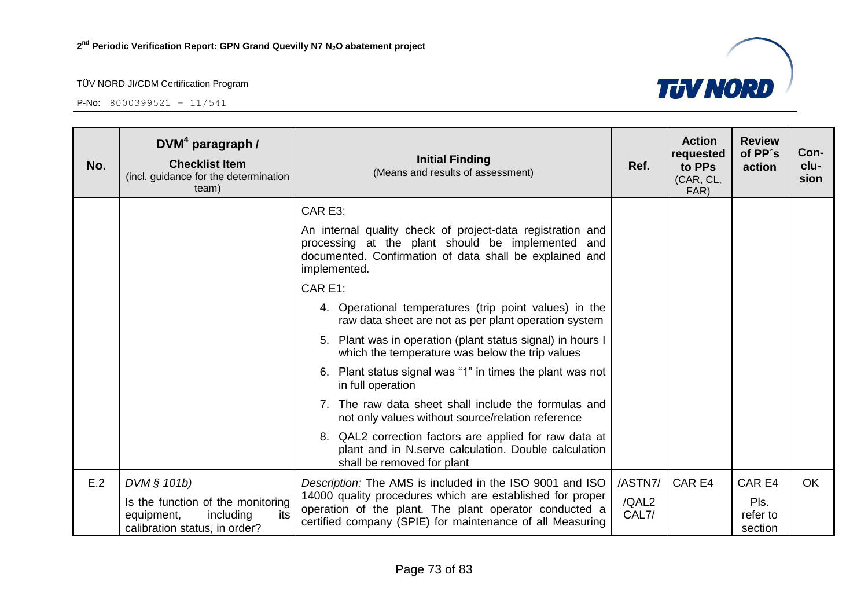

| No. | $DVM4$ paragraph /<br><b>Checklist Item</b><br>(incl. guidance for the determination<br>team)        | <b>Initial Finding</b><br>(Means and results of assessment)                                                                                                                                | Ref.           | <b>Action</b><br>requested<br>to PPs<br>(CAR, CL,<br>FAR) | <b>Review</b><br>of PP's<br>action | Con-<br>clu-<br>sion |
|-----|------------------------------------------------------------------------------------------------------|--------------------------------------------------------------------------------------------------------------------------------------------------------------------------------------------|----------------|-----------------------------------------------------------|------------------------------------|----------------------|
|     |                                                                                                      | CAR E3:                                                                                                                                                                                    |                |                                                           |                                    |                      |
|     |                                                                                                      | An internal quality check of project-data registration and<br>processing at the plant should be implemented and<br>documented. Confirmation of data shall be explained and<br>implemented. |                |                                                           |                                    |                      |
|     |                                                                                                      | CAR E1:                                                                                                                                                                                    |                |                                                           |                                    |                      |
|     |                                                                                                      | 4. Operational temperatures (trip point values) in the<br>raw data sheet are not as per plant operation system                                                                             |                |                                                           |                                    |                      |
|     |                                                                                                      | 5. Plant was in operation (plant status signal) in hours I<br>which the temperature was below the trip values                                                                              |                |                                                           |                                    |                      |
|     |                                                                                                      | 6. Plant status signal was "1" in times the plant was not<br>in full operation                                                                                                             |                |                                                           |                                    |                      |
|     |                                                                                                      | 7. The raw data sheet shall include the formulas and<br>not only values without source/relation reference                                                                                  |                |                                                           |                                    |                      |
|     |                                                                                                      | 8. QAL2 correction factors are applied for raw data at<br>plant and in N.serve calculation. Double calculation<br>shall be removed for plant                                               |                |                                                           |                                    |                      |
| E.2 | DVM § 101b)                                                                                          | Description: The AMS is included in the ISO 9001 and ISO                                                                                                                                   | /ASTN7/        | CAR E4                                                    | <b>CARE4</b>                       | <b>OK</b>            |
|     | Is the function of the monitoring<br>equipment,<br>including<br>its<br>calibration status, in order? | 14000 quality procedures which are established for proper<br>operation of the plant. The plant operator conducted a<br>certified company (SPIE) for maintenance of all Measuring           | /QAL2<br>CAL7/ |                                                           | Pls.<br>refer to<br>section        |                      |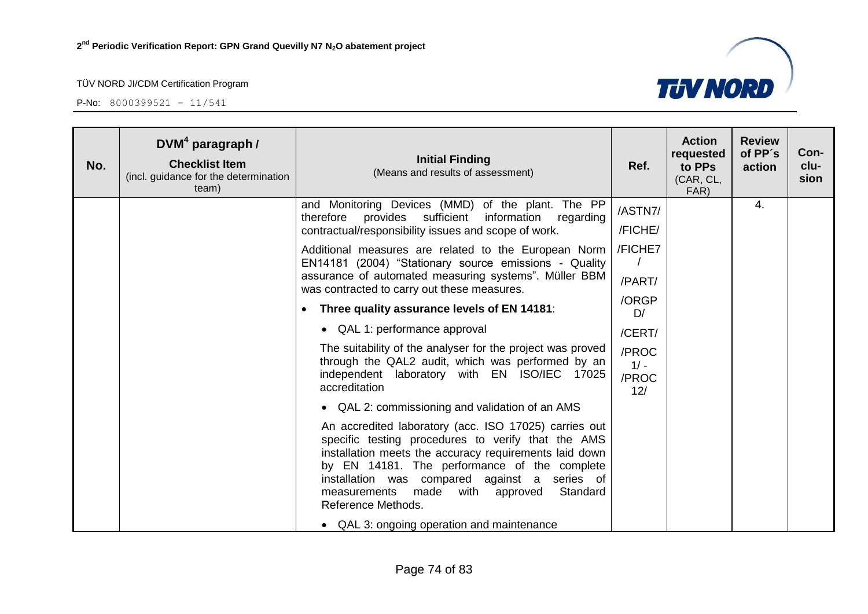

| No. | $DVM4$ paragraph /<br><b>Checklist Item</b><br>(incl. guidance for the determination<br>team) | <b>Initial Finding</b><br>(Means and results of assessment)                                                                                                                                                                                                                                                                                       | Ref.                            | <b>Action</b><br>requested<br>to PPs<br>(CAR, CL,<br>FAR) | <b>Review</b><br>of PP's<br>action | Con-<br>clu-<br>sion |
|-----|-----------------------------------------------------------------------------------------------|---------------------------------------------------------------------------------------------------------------------------------------------------------------------------------------------------------------------------------------------------------------------------------------------------------------------------------------------------|---------------------------------|-----------------------------------------------------------|------------------------------------|----------------------|
|     |                                                                                               | and Monitoring Devices (MMD) of the plant. The PP<br>therefore provides sufficient<br>information<br>regarding<br>contractual/responsibility issues and scope of work.                                                                                                                                                                            | /ASTN7/<br>/FICHE/              |                                                           | 4.                                 |                      |
|     |                                                                                               | Additional measures are related to the European Norm<br>EN14181 (2004) "Stationary source emissions - Quality<br>assurance of automated measuring systems". Müller BBM<br>was contracted to carry out these measures.                                                                                                                             | /FICHE7<br>/PART/               |                                                           |                                    |                      |
|     |                                                                                               | Three quality assurance levels of EN 14181:                                                                                                                                                                                                                                                                                                       | /ORGP<br>D/                     |                                                           |                                    |                      |
|     |                                                                                               | • QAL 1: performance approval                                                                                                                                                                                                                                                                                                                     | /CERT/                          |                                                           |                                    |                      |
|     |                                                                                               | The suitability of the analyser for the project was proved<br>through the QAL2 audit, which was performed by an<br>independent laboratory with EN ISO/IEC 17025<br>accreditation                                                                                                                                                                  | /PROC<br>$1/ -$<br>/PROC<br>12/ |                                                           |                                    |                      |
|     |                                                                                               | • QAL 2: commissioning and validation of an AMS                                                                                                                                                                                                                                                                                                   |                                 |                                                           |                                    |                      |
|     |                                                                                               | An accredited laboratory (acc. ISO 17025) carries out<br>specific testing procedures to verify that the AMS<br>installation meets the accuracy requirements laid down<br>by EN 14181. The performance of the complete<br>installation was compared against a series of<br>Standard<br>made<br>with approved<br>measurements<br>Reference Methods. |                                 |                                                           |                                    |                      |
|     |                                                                                               | • QAL 3: ongoing operation and maintenance                                                                                                                                                                                                                                                                                                        |                                 |                                                           |                                    |                      |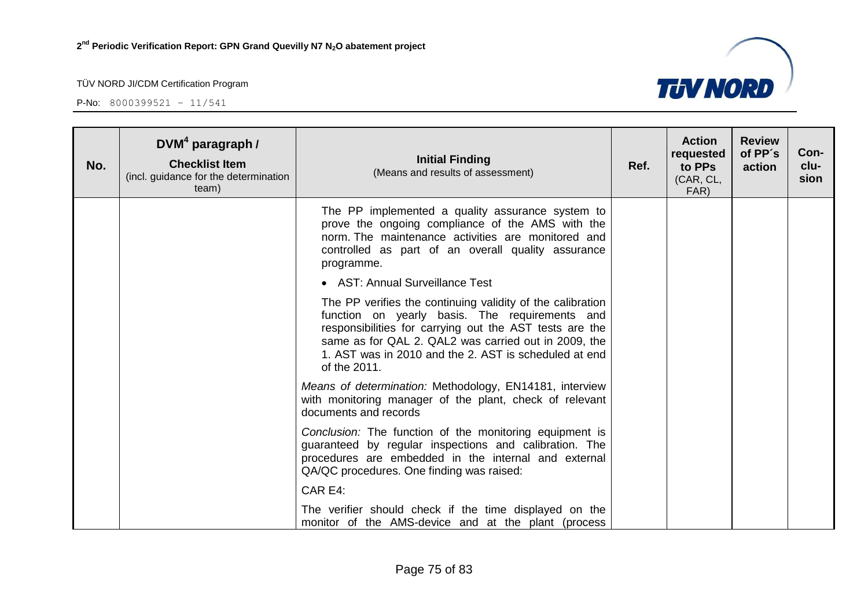

| No. | $DVM4$ paragraph /<br><b>Checklist Item</b><br>(incl. guidance for the determination<br>team) | <b>Initial Finding</b><br>(Means and results of assessment)                                                                                                                                                                                                                                              | Ref. | <b>Action</b><br>requested<br>to PPs<br>(CAR, CL,<br>FAR) | <b>Review</b><br>of PP's<br>action | Con-<br>clu-<br>sion |
|-----|-----------------------------------------------------------------------------------------------|----------------------------------------------------------------------------------------------------------------------------------------------------------------------------------------------------------------------------------------------------------------------------------------------------------|------|-----------------------------------------------------------|------------------------------------|----------------------|
|     |                                                                                               | The PP implemented a quality assurance system to<br>prove the ongoing compliance of the AMS with the<br>norm. The maintenance activities are monitored and<br>controlled as part of an overall quality assurance<br>programme.                                                                           |      |                                                           |                                    |                      |
|     |                                                                                               | • AST: Annual Surveillance Test                                                                                                                                                                                                                                                                          |      |                                                           |                                    |                      |
|     |                                                                                               | The PP verifies the continuing validity of the calibration<br>function on yearly basis. The requirements and<br>responsibilities for carrying out the AST tests are the<br>same as for QAL 2. QAL2 was carried out in 2009, the<br>1. AST was in 2010 and the 2. AST is scheduled at end<br>of the 2011. |      |                                                           |                                    |                      |
|     |                                                                                               | Means of determination: Methodology, EN14181, interview<br>with monitoring manager of the plant, check of relevant<br>documents and records                                                                                                                                                              |      |                                                           |                                    |                      |
|     |                                                                                               | Conclusion: The function of the monitoring equipment is<br>guaranteed by regular inspections and calibration. The<br>procedures are embedded in the internal and external<br>QA/QC procedures. One finding was raised:                                                                                   |      |                                                           |                                    |                      |
|     |                                                                                               | CAR E4:                                                                                                                                                                                                                                                                                                  |      |                                                           |                                    |                      |
|     |                                                                                               | The verifier should check if the time displayed on the<br>monitor of the AMS-device and at the plant (process                                                                                                                                                                                            |      |                                                           |                                    |                      |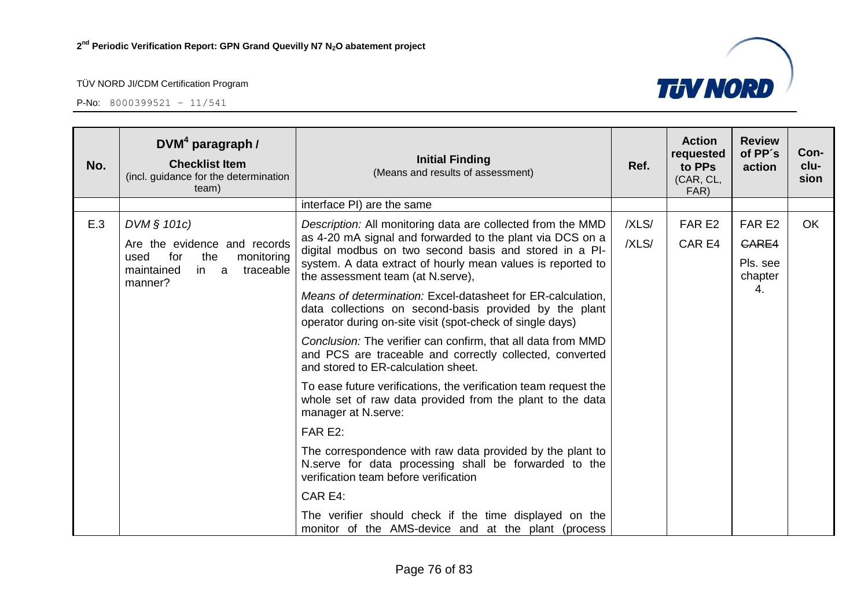

| No. | DVM <sup>4</sup> paragraph /<br><b>Checklist Item</b><br>(incl. guidance for the determination<br>team) | <b>Initial Finding</b><br>(Means and results of assessment)                                                                                                                        | Ref.  | <b>Action</b><br>requested<br>to PPs<br>(CAR, CL,<br>FAR) | <b>Review</b><br>of PP's<br>action | Con-<br>clu-<br>sion |
|-----|---------------------------------------------------------------------------------------------------------|------------------------------------------------------------------------------------------------------------------------------------------------------------------------------------|-------|-----------------------------------------------------------|------------------------------------|----------------------|
|     |                                                                                                         | interface PI) are the same                                                                                                                                                         |       |                                                           |                                    |                      |
| E.3 | DVM § 101c)                                                                                             | Description: All monitoring data are collected from the MMD<br>as 4-20 mA signal and forwarded to the plant via DCS on a                                                           | /XLS/ | FAR E2                                                    | FAR E2                             | <b>OK</b>            |
|     | Are the evidence and records<br>for<br>the<br>used<br>monitoring                                        | digital modbus on two second basis and stored in a PI-                                                                                                                             | /XLS/ | CAR E4                                                    | <b>CARE4</b>                       |                      |
|     | maintained<br>in<br>traceable<br>a<br>manner?                                                           | system. A data extract of hourly mean values is reported to<br>the assessment team (at N.serve),                                                                                   |       |                                                           | Pls. see<br>chapter                |                      |
|     |                                                                                                         | Means of determination: Excel-datasheet for ER-calculation,<br>data collections on second-basis provided by the plant<br>operator during on-site visit (spot-check of single days) |       |                                                           | 4.                                 |                      |
|     |                                                                                                         | Conclusion: The verifier can confirm, that all data from MMD<br>and PCS are traceable and correctly collected, converted<br>and stored to ER-calculation sheet.                    |       |                                                           |                                    |                      |
|     |                                                                                                         | To ease future verifications, the verification team request the<br>whole set of raw data provided from the plant to the data<br>manager at N.serve:                                |       |                                                           |                                    |                      |
|     |                                                                                                         | FAR E2:                                                                                                                                                                            |       |                                                           |                                    |                      |
|     |                                                                                                         | The correspondence with raw data provided by the plant to<br>N.serve for data processing shall be forwarded to the<br>verification team before verification                        |       |                                                           |                                    |                      |
|     |                                                                                                         | CAR E4:                                                                                                                                                                            |       |                                                           |                                    |                      |
|     |                                                                                                         | The verifier should check if the time displayed on the<br>monitor of the AMS-device and at the plant (process                                                                      |       |                                                           |                                    |                      |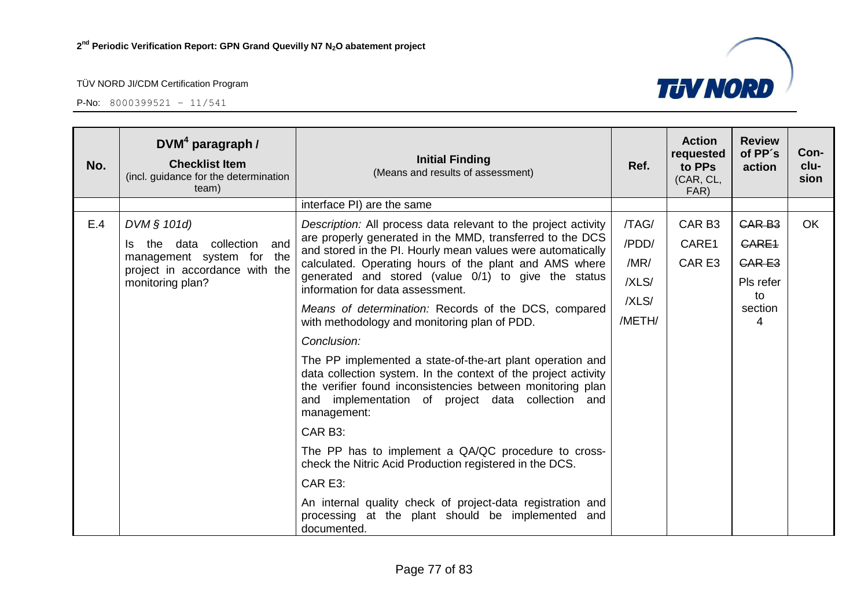

| No. | $DVM4$ paragraph /<br><b>Checklist Item</b><br>(incl. guidance for the determination<br>team)               | <b>Initial Finding</b><br>(Means and results of assessment)                                                                                                                                                                                                   | Ref.                   | <b>Action</b><br>requested<br>to PPs<br>(CAR, CL,<br>FAR) | <b>Review</b><br>of PP's<br>action     | Con-<br>clu-<br>sion |
|-----|-------------------------------------------------------------------------------------------------------------|---------------------------------------------------------------------------------------------------------------------------------------------------------------------------------------------------------------------------------------------------------------|------------------------|-----------------------------------------------------------|----------------------------------------|----------------------|
|     |                                                                                                             | interface PI) are the same                                                                                                                                                                                                                                    |                        |                                                           |                                        |                      |
| E.4 | DVM § 101d)<br>collection<br>and<br>the data<br>management system for the<br>project in accordance with the | Description: All process data relevant to the project activity<br>are properly generated in the MMD, transferred to the DCS<br>and stored in the PI. Hourly mean values were automatically<br>calculated. Operating hours of the plant and AMS where          | /TAG/<br>/PDD/<br>/MR/ | CAR <sub>B3</sub><br>CARE1<br>CAR E3                      | <b>CAR B3</b><br>CARE1<br><b>CARE3</b> | <b>OK</b>            |
|     | monitoring plan?                                                                                            | generated and stored (value 0/1) to give the status<br>information for data assessment.                                                                                                                                                                       | /XLS/                  |                                                           | Pls refer                              |                      |
|     |                                                                                                             | Means of determination: Records of the DCS, compared<br>with methodology and monitoring plan of PDD.                                                                                                                                                          | /XLS/<br>/METH/        |                                                           | to<br>section<br>4                     |                      |
|     |                                                                                                             | Conclusion:                                                                                                                                                                                                                                                   |                        |                                                           |                                        |                      |
|     |                                                                                                             | The PP implemented a state-of-the-art plant operation and<br>data collection system. In the context of the project activity<br>the verifier found inconsistencies between monitoring plan<br>and implementation of project data collection and<br>management: |                        |                                                           |                                        |                      |
|     |                                                                                                             | CAR B3:                                                                                                                                                                                                                                                       |                        |                                                           |                                        |                      |
|     |                                                                                                             | The PP has to implement a QA/QC procedure to cross-<br>check the Nitric Acid Production registered in the DCS.                                                                                                                                                |                        |                                                           |                                        |                      |
|     |                                                                                                             | CAR E3:                                                                                                                                                                                                                                                       |                        |                                                           |                                        |                      |
|     |                                                                                                             | An internal quality check of project-data registration and<br>processing at the plant should be implemented and<br>documented.                                                                                                                                |                        |                                                           |                                        |                      |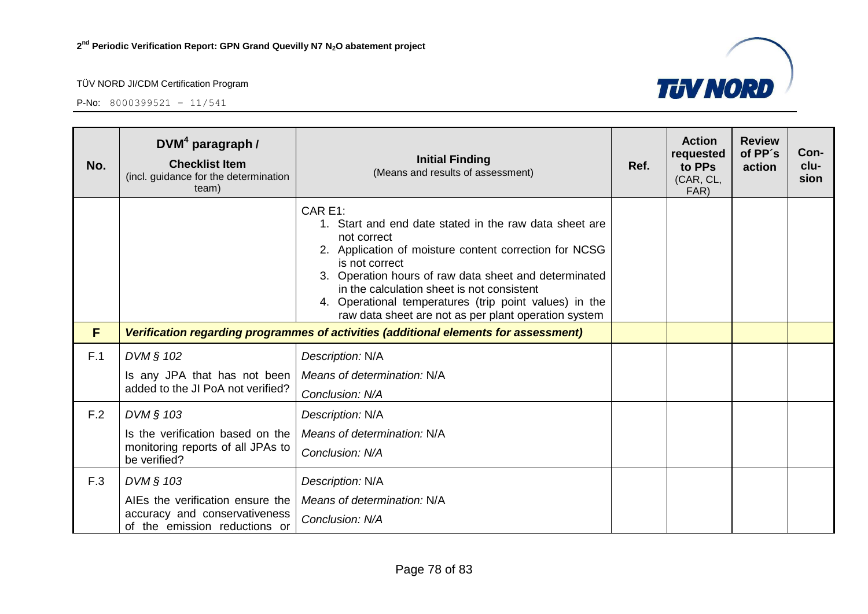P-No: 8000399521 – 11/541



| No. | $DVM4$ paragraph /<br><b>Checklist Item</b><br>(incl. guidance for the determination<br>team) | <b>Initial Finding</b><br>(Means and results of assessment)                                                                                                                                                                                                                                                                                                                           | Ref. | <b>Action</b><br>requested<br>to PPs<br>(CAR, CL,<br>FAR) | <b>Review</b><br>of PP's<br>action | Con-<br>clu-<br>sion |
|-----|-----------------------------------------------------------------------------------------------|---------------------------------------------------------------------------------------------------------------------------------------------------------------------------------------------------------------------------------------------------------------------------------------------------------------------------------------------------------------------------------------|------|-----------------------------------------------------------|------------------------------------|----------------------|
|     |                                                                                               | CAR E1:<br>1. Start and end date stated in the raw data sheet are<br>not correct<br>2. Application of moisture content correction for NCSG<br>is not correct<br>3. Operation hours of raw data sheet and determinated<br>in the calculation sheet is not consistent<br>4. Operational temperatures (trip point values) in the<br>raw data sheet are not as per plant operation system |      |                                                           |                                    |                      |
| F   |                                                                                               | Verification regarding programmes of activities (additional elements for assessment)                                                                                                                                                                                                                                                                                                  |      |                                                           |                                    |                      |
| F.1 | DVM § 102                                                                                     | Description: N/A                                                                                                                                                                                                                                                                                                                                                                      |      |                                                           |                                    |                      |
|     | Is any JPA that has not been<br>added to the JI PoA not verified?                             | Means of determination: N/A<br>Conclusion: N/A                                                                                                                                                                                                                                                                                                                                        |      |                                                           |                                    |                      |
| F.2 | DVM § 103                                                                                     | Description: N/A                                                                                                                                                                                                                                                                                                                                                                      |      |                                                           |                                    |                      |
|     | Is the verification based on the                                                              | Means of determination: N/A                                                                                                                                                                                                                                                                                                                                                           |      |                                                           |                                    |                      |
|     | monitoring reports of all JPAs to<br>be verified?                                             | Conclusion: N/A                                                                                                                                                                                                                                                                                                                                                                       |      |                                                           |                                    |                      |
| F.3 | DVM § 103                                                                                     | Description: N/A                                                                                                                                                                                                                                                                                                                                                                      |      |                                                           |                                    |                      |
|     | AIEs the verification ensure the                                                              | Means of determination: N/A                                                                                                                                                                                                                                                                                                                                                           |      |                                                           |                                    |                      |
|     | accuracy and conservativeness<br>of the emission reductions or                                | Conclusion: N/A                                                                                                                                                                                                                                                                                                                                                                       |      |                                                           |                                    |                      |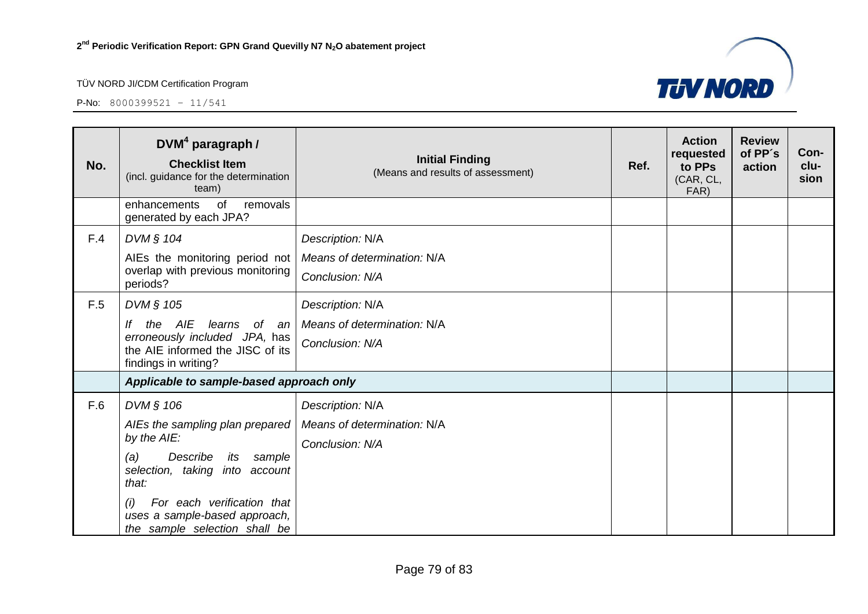

| No. | DVM <sup>4</sup> paragraph /<br><b>Checklist Item</b><br>(incl. guidance for the determination<br>team)                                                                                                                                           | <b>Initial Finding</b><br>(Means and results of assessment)        | Ref. | <b>Action</b><br>requested<br>to PPs<br>(CAR, CL,<br>FAR) | <b>Review</b><br>of PP's<br>action | Con-<br>clu-<br>sion |
|-----|---------------------------------------------------------------------------------------------------------------------------------------------------------------------------------------------------------------------------------------------------|--------------------------------------------------------------------|------|-----------------------------------------------------------|------------------------------------|----------------------|
|     | enhancements<br>of<br>removals<br>generated by each JPA?                                                                                                                                                                                          |                                                                    |      |                                                           |                                    |                      |
| F.4 | DVM § 104<br>AIEs the monitoring period not<br>overlap with previous monitoring<br>periods?                                                                                                                                                       | Description: N/A<br>Means of determination: N/A<br>Conclusion: N/A |      |                                                           |                                    |                      |
| F.5 | DVM § 105<br>the AIE learns<br>of an<br>lf<br>erroneously included JPA, has<br>the AIE informed the JISC of its<br>findings in writing?                                                                                                           | Description: N/A<br>Means of determination: N/A<br>Conclusion: N/A |      |                                                           |                                    |                      |
|     | Applicable to sample-based approach only                                                                                                                                                                                                          |                                                                    |      |                                                           |                                    |                      |
| F.6 | DVM § 106<br>AIEs the sampling plan prepared<br>by the AIE:<br>Describe<br>(a)<br>its<br>sample<br>selection, taking into account<br>that:<br>For each verification that<br>(i)<br>uses a sample-based approach,<br>the sample selection shall be | Description: N/A<br>Means of determination: N/A<br>Conclusion: N/A |      |                                                           |                                    |                      |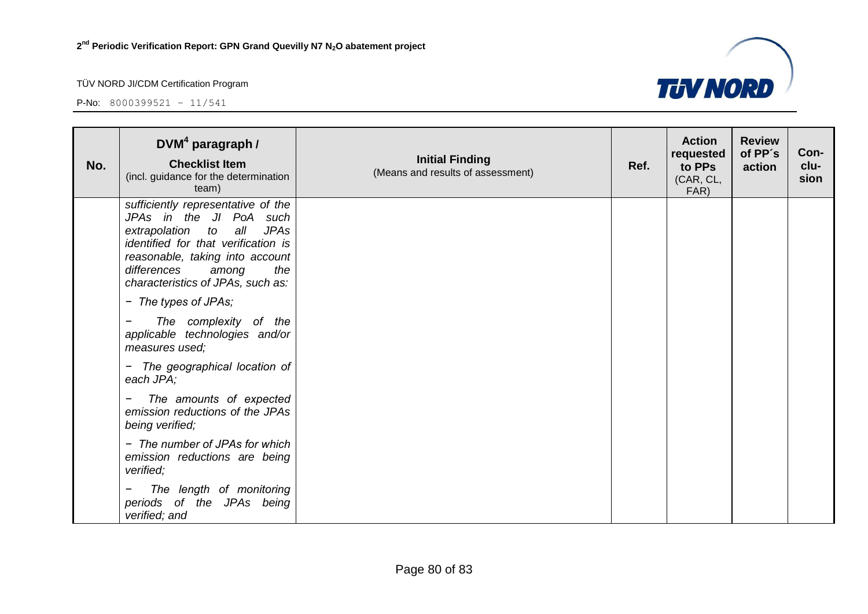

| No. | $DVM4$ paragraph /<br><b>Checklist Item</b><br>(incl. guidance for the determination<br>team)                                                                                                                                                         | <b>Initial Finding</b><br>(Means and results of assessment) | Ref. | <b>Action</b><br>requested<br>to PPs<br>(CAR, CL,<br>FAR) | <b>Review</b><br>of PP's<br>action | Con-<br>clu-<br>sion |
|-----|-------------------------------------------------------------------------------------------------------------------------------------------------------------------------------------------------------------------------------------------------------|-------------------------------------------------------------|------|-----------------------------------------------------------|------------------------------------|----------------------|
|     | sufficiently representative of the<br>JPAs in the JI PoA such<br>all<br>extrapolation to<br><b>JPAs</b><br>identified for that verification is<br>reasonable, taking into account<br>differences<br>the<br>among<br>characteristics of JPAs, such as: |                                                             |      |                                                           |                                    |                      |
|     | - The types of JPAs;                                                                                                                                                                                                                                  |                                                             |      |                                                           |                                    |                      |
|     | The complexity of the<br>applicable technologies and/or<br>measures used;                                                                                                                                                                             |                                                             |      |                                                           |                                    |                      |
|     | The geographical location of<br>$\blacksquare$<br>each JPA;                                                                                                                                                                                           |                                                             |      |                                                           |                                    |                      |
|     | The amounts of expected<br>emission reductions of the JPAs<br>being verified;                                                                                                                                                                         |                                                             |      |                                                           |                                    |                      |
|     | - The number of JPAs for which<br>emission reductions are being<br>verified;                                                                                                                                                                          |                                                             |      |                                                           |                                    |                      |
|     | The length of monitoring<br>periods of the JPAs being<br>verified; and                                                                                                                                                                                |                                                             |      |                                                           |                                    |                      |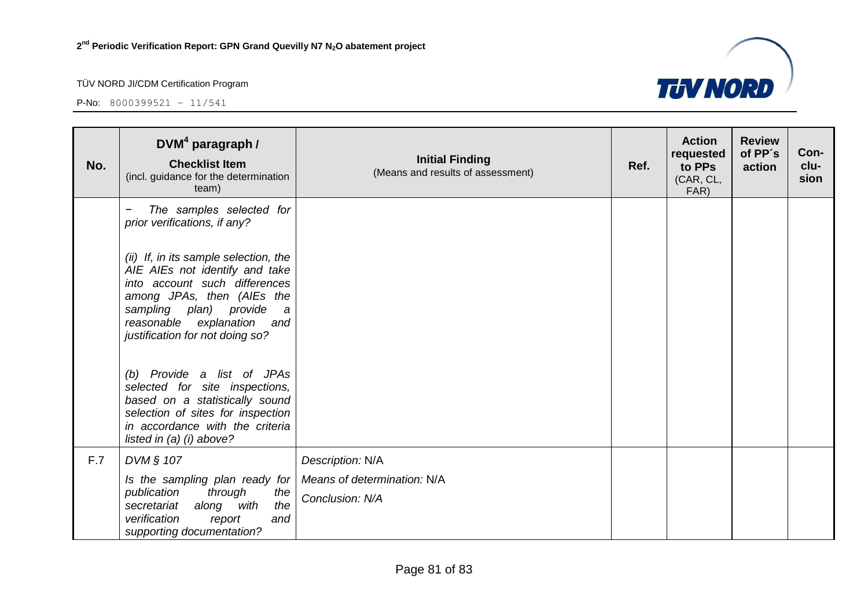

| No. | $DVM4$ paragraph /<br><b>Checklist Item</b><br>(incl. guidance for the determination<br>team)                                                                                                                                                                                                             | <b>Initial Finding</b><br>(Means and results of assessment) | Ref. | <b>Action</b><br>requested<br>to PPs<br>(CAR, CL,<br>FAR) | <b>Review</b><br>of PP's<br>action | Con-<br>clu-<br>sion |
|-----|-----------------------------------------------------------------------------------------------------------------------------------------------------------------------------------------------------------------------------------------------------------------------------------------------------------|-------------------------------------------------------------|------|-----------------------------------------------------------|------------------------------------|----------------------|
|     | The samples selected for<br>prior verifications, if any?                                                                                                                                                                                                                                                  |                                                             |      |                                                           |                                    |                      |
|     | (ii) If, in its sample selection, the<br>AIE AIEs not identify and take<br>into account such differences<br>among JPAs, then (AIEs the<br>sampling plan) provide<br>a<br>reasonable explanation<br>and<br>justification for not doing so?<br>(b) Provide a list of JPAs<br>selected for site inspections, |                                                             |      |                                                           |                                    |                      |
|     | based on a statistically sound<br>selection of sites for inspection<br>in accordance with the criteria<br>listed in $(a)$ $(i)$ above?                                                                                                                                                                    |                                                             |      |                                                           |                                    |                      |
| F.7 | DVM § 107                                                                                                                                                                                                                                                                                                 | Description: N/A                                            |      |                                                           |                                    |                      |
|     | Is the sampling plan ready for<br>publication<br>through<br>the<br>the<br>along<br>with<br>secretariat<br>verification<br>and<br>report<br>supporting documentation?                                                                                                                                      | Means of determination: N/A<br>Conclusion: N/A              |      |                                                           |                                    |                      |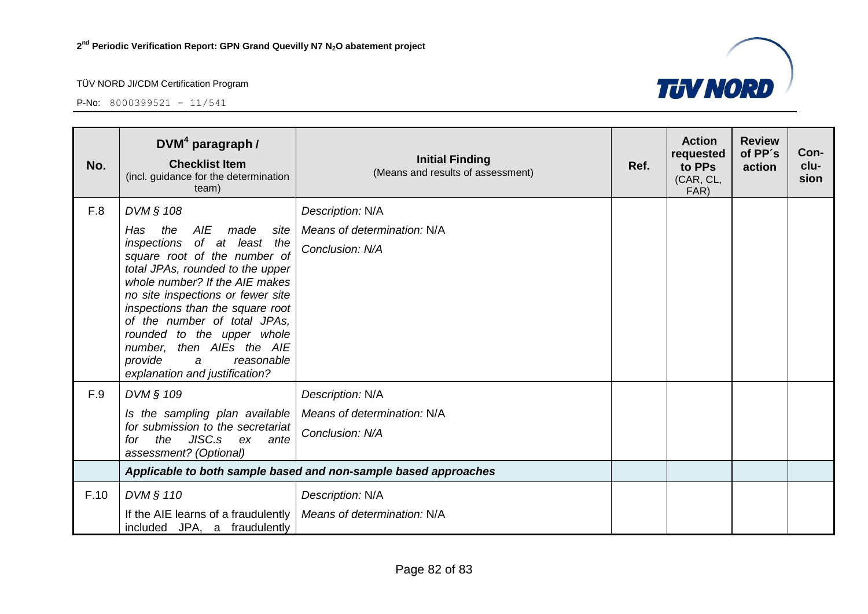

| No.  | $DWM4$ paragraph /<br><b>Checklist Item</b><br>(incl. guidance for the determination<br>team)                                                                                                                                                                                                                                                                            | <b>Initial Finding</b><br>(Means and results of assessment)     | Ref. | <b>Action</b><br>requested<br>to PPs<br>(CAR, CL,<br>FAR) | <b>Review</b><br>of PP's<br>action | Con-<br>clu-<br>sion |
|------|--------------------------------------------------------------------------------------------------------------------------------------------------------------------------------------------------------------------------------------------------------------------------------------------------------------------------------------------------------------------------|-----------------------------------------------------------------|------|-----------------------------------------------------------|------------------------------------|----------------------|
| F.8  | DVM § 108                                                                                                                                                                                                                                                                                                                                                                | Description: N/A                                                |      |                                                           |                                    |                      |
|      | AIE<br>the<br>made<br>site<br>Has.                                                                                                                                                                                                                                                                                                                                       | Means of determination: N/A                                     |      |                                                           |                                    |                      |
|      | of at least the<br>inspections<br>square root of the number of<br>total JPAs, rounded to the upper<br>whole number? If the AIE makes<br>no site inspections or fewer site<br>inspections than the square root<br>of the number of total JPAs,<br>rounded to the upper whole<br>number, then AIEs the AIE<br>provide<br>reasonable<br>a<br>explanation and justification? | Conclusion: N/A                                                 |      |                                                           |                                    |                      |
| F.9  | DVM § 109                                                                                                                                                                                                                                                                                                                                                                | Description: N/A                                                |      |                                                           |                                    |                      |
|      | Is the sampling plan available                                                                                                                                                                                                                                                                                                                                           | Means of determination: N/A                                     |      |                                                           |                                    |                      |
|      | for submission to the secretariat<br>JISC.s ex<br>the<br>for<br>ante<br>assessment? (Optional)                                                                                                                                                                                                                                                                           | Conclusion: N/A                                                 |      |                                                           |                                    |                      |
|      |                                                                                                                                                                                                                                                                                                                                                                          | Applicable to both sample based and non-sample based approaches |      |                                                           |                                    |                      |
| F.10 | DVM § 110                                                                                                                                                                                                                                                                                                                                                                | Description: N/A                                                |      |                                                           |                                    |                      |
|      | If the AIE learns of a fraudulently<br>included JPA, a fraudulently                                                                                                                                                                                                                                                                                                      | Means of determination: N/A                                     |      |                                                           |                                    |                      |